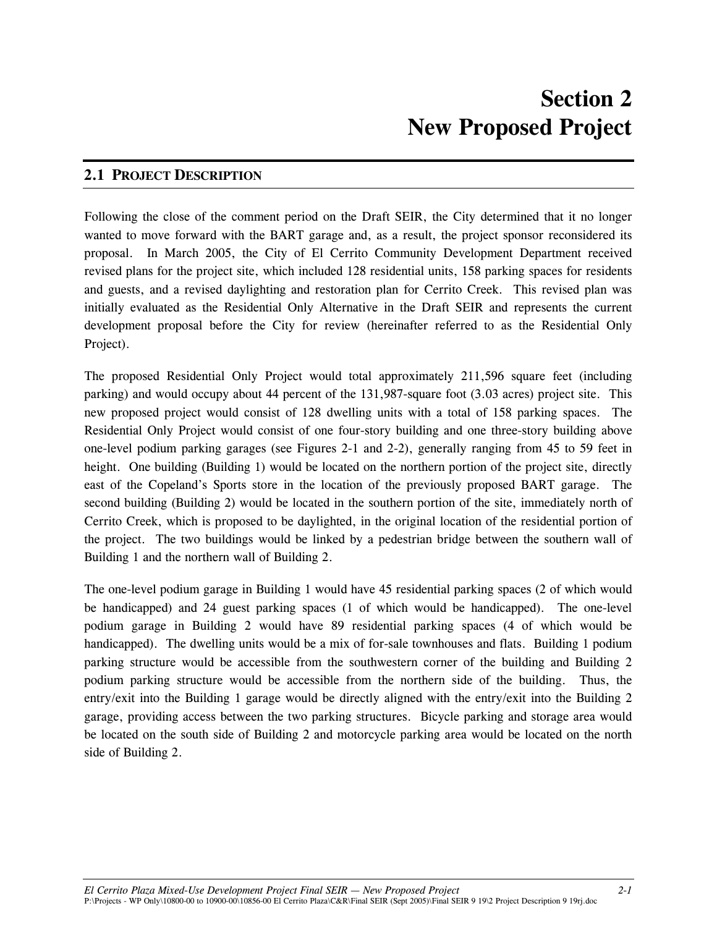### **2.1 PROJECT DESCRIPTION**

Following the close of the comment period on the Draft SEIR, the City determined that it no longer wanted to move forward with the BART garage and, as a result, the project sponsor reconsidered its proposal. In March 2005, the City of El Cerrito Community Development Department received revised plans for the project site, which included 128 residential units, 158 parking spaces for residents and guests, and a revised daylighting and restoration plan for Cerrito Creek. This revised plan was initially evaluated as the Residential Only Alternative in the Draft SEIR and represents the current development proposal before the City for review (hereinafter referred to as the Residential Only Project).

The proposed Residential Only Project would total approximately 211,596 square feet (including parking) and would occupy about 44 percent of the 131,987-square foot (3.03 acres) project site. This new proposed project would consist of 128 dwelling units with a total of 158 parking spaces. The Residential Only Project would consist of one four-story building and one three-story building above one-level podium parking garages (see Figures 2-1 and 2-2), generally ranging from 45 to 59 feet in height. One building (Building 1) would be located on the northern portion of the project site, directly east of the Copeland's Sports store in the location of the previously proposed BART garage. The second building (Building 2) would be located in the southern portion of the site, immediately north of Cerrito Creek, which is proposed to be daylighted, in the original location of the residential portion of the project. The two buildings would be linked by a pedestrian bridge between the southern wall of Building 1 and the northern wall of Building 2.

The one-level podium garage in Building 1 would have 45 residential parking spaces (2 of which would be handicapped) and 24 guest parking spaces (1 of which would be handicapped). The one-level podium garage in Building 2 would have 89 residential parking spaces (4 of which would be handicapped). The dwelling units would be a mix of for-sale townhouses and flats. Building 1 podium parking structure would be accessible from the southwestern corner of the building and Building 2 podium parking structure would be accessible from the northern side of the building. Thus, the entry/exit into the Building 1 garage would be directly aligned with the entry/exit into the Building 2 garage, providing access between the two parking structures. Bicycle parking and storage area would be located on the south side of Building 2 and motorcycle parking area would be located on the north side of Building 2.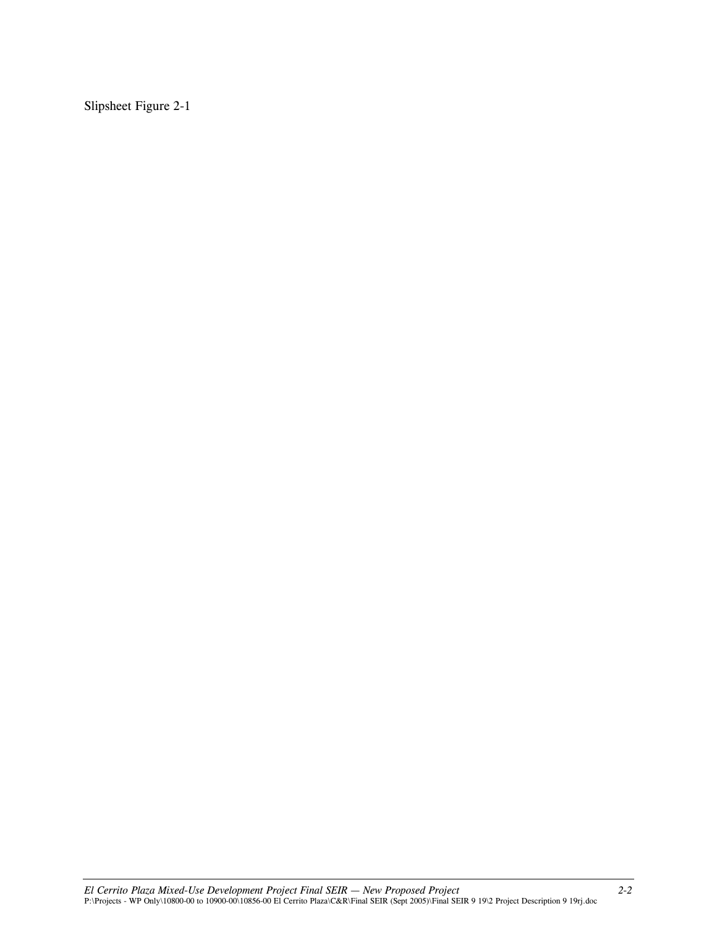Slipsheet Figure 2-1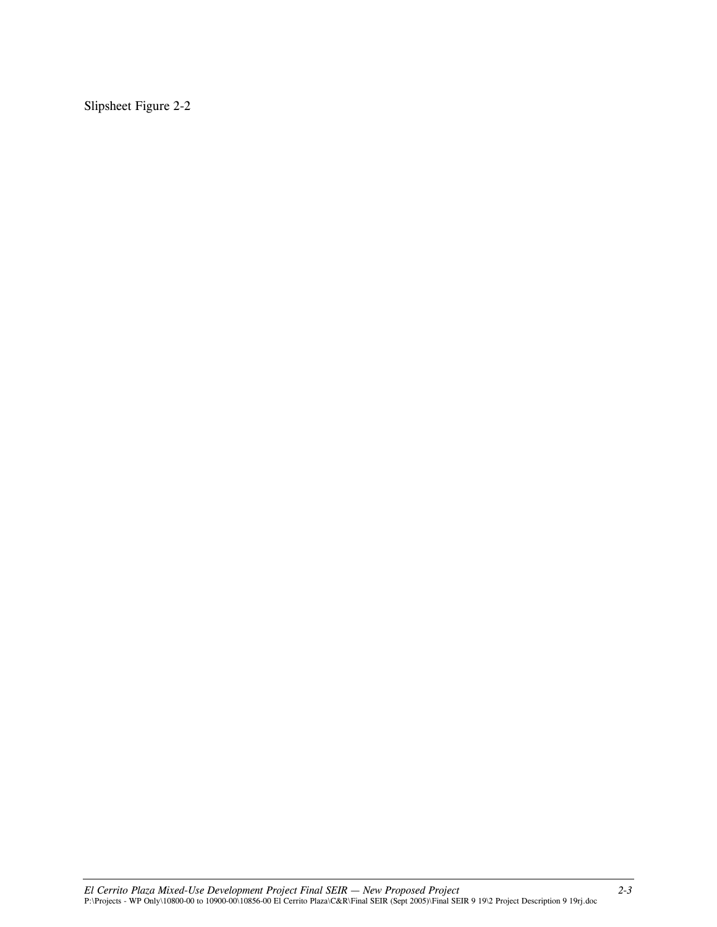Slipsheet Figure 2-2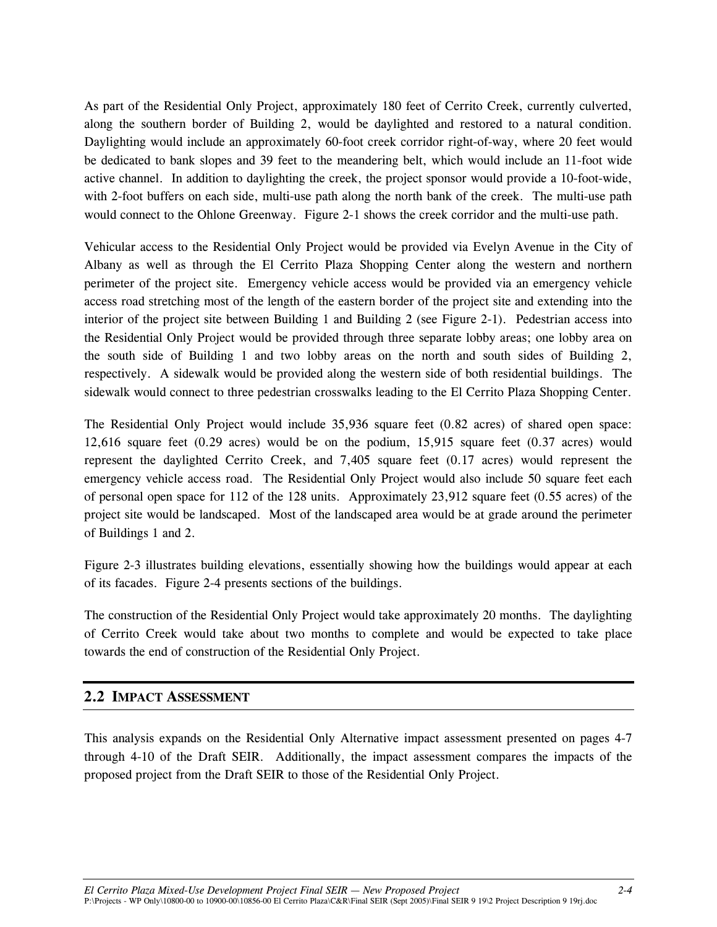As part of the Residential Only Project, approximately 180 feet of Cerrito Creek, currently culverted, along the southern border of Building 2, would be daylighted and restored to a natural condition. Daylighting would include an approximately 60-foot creek corridor right-of-way, where 20 feet would be dedicated to bank slopes and 39 feet to the meandering belt, which would include an 11-foot wide active channel. In addition to daylighting the creek, the project sponsor would provide a 10-foot-wide, with 2-foot buffers on each side, multi-use path along the north bank of the creek. The multi-use path would connect to the Ohlone Greenway. Figure 2-1 shows the creek corridor and the multi-use path.

Vehicular access to the Residential Only Project would be provided via Evelyn Avenue in the City of Albany as well as through the El Cerrito Plaza Shopping Center along the western and northern perimeter of the project site. Emergency vehicle access would be provided via an emergency vehicle access road stretching most of the length of the eastern border of the project site and extending into the interior of the project site between Building 1 and Building 2 (see Figure 2-1). Pedestrian access into the Residential Only Project would be provided through three separate lobby areas; one lobby area on the south side of Building 1 and two lobby areas on the north and south sides of Building 2, respectively. A sidewalk would be provided along the western side of both residential buildings. The sidewalk would connect to three pedestrian crosswalks leading to the El Cerrito Plaza Shopping Center.

The Residential Only Project would include 35,936 square feet (0.82 acres) of shared open space: 12,616 square feet (0.29 acres) would be on the podium, 15,915 square feet (0.37 acres) would represent the daylighted Cerrito Creek, and 7,405 square feet (0.17 acres) would represent the emergency vehicle access road. The Residential Only Project would also include 50 square feet each of personal open space for 112 of the 128 units. Approximately 23,912 square feet (0.55 acres) of the project site would be landscaped. Most of the landscaped area would be at grade around the perimeter of Buildings 1 and 2.

Figure 2-3 illustrates building elevations, essentially showing how the buildings would appear at each of its facades. Figure 2-4 presents sections of the buildings.

The construction of the Residential Only Project would take approximately 20 months. The daylighting of Cerrito Creek would take about two months to complete and would be expected to take place towards the end of construction of the Residential Only Project.

#### **2.2 IMPACT ASSESSMENT**

This analysis expands on the Residential Only Alternative impact assessment presented on pages 4-7 through 4-10 of the Draft SEIR. Additionally, the impact assessment compares the impacts of the proposed project from the Draft SEIR to those of the Residential Only Project.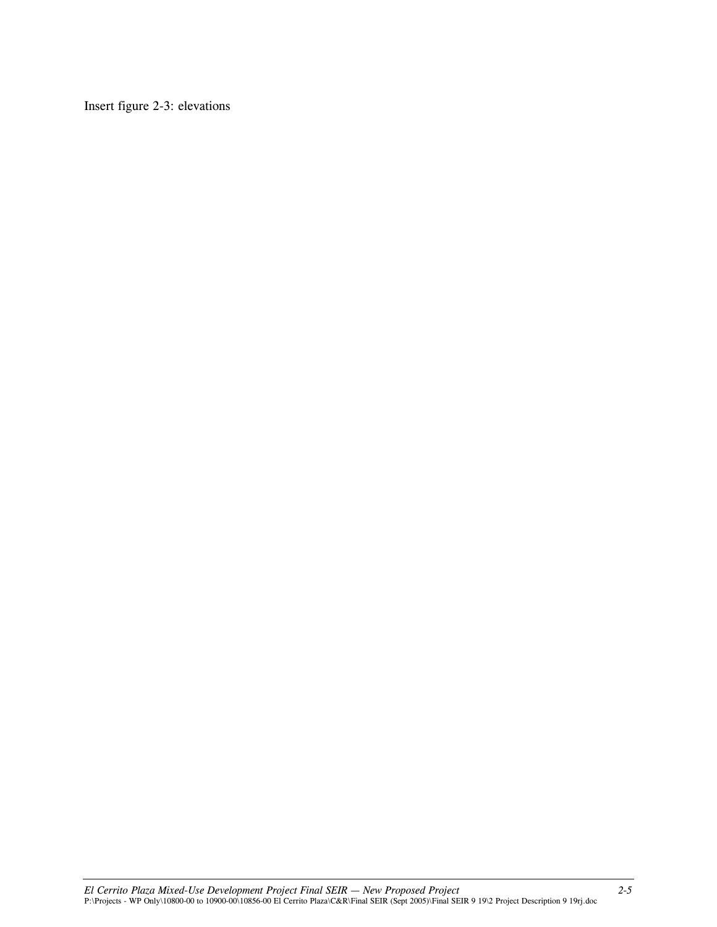Insert figure 2-3: elevations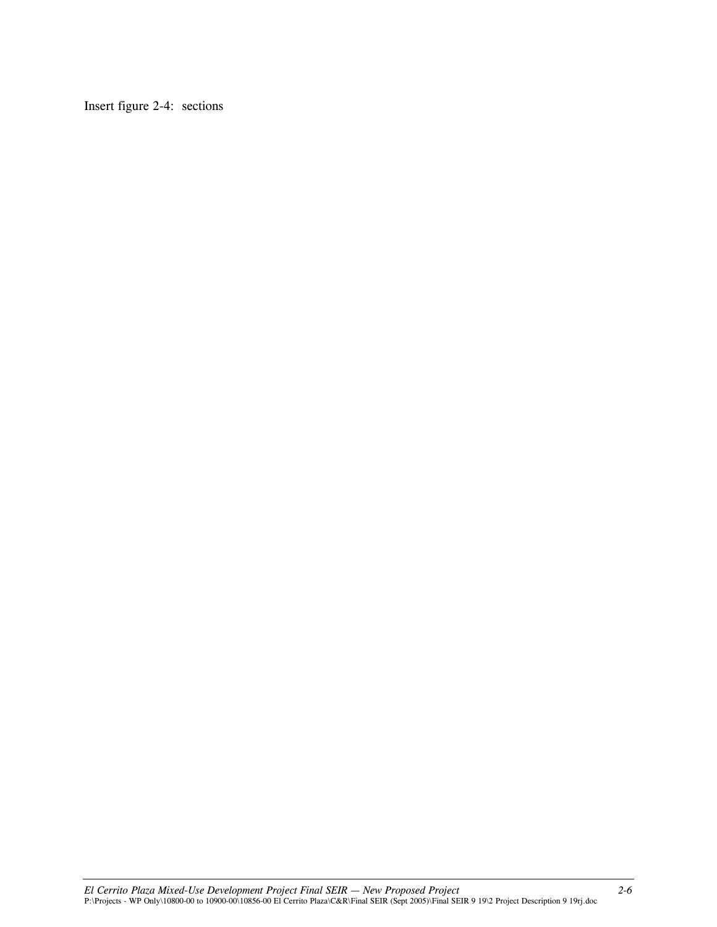Insert figure 2-4: sections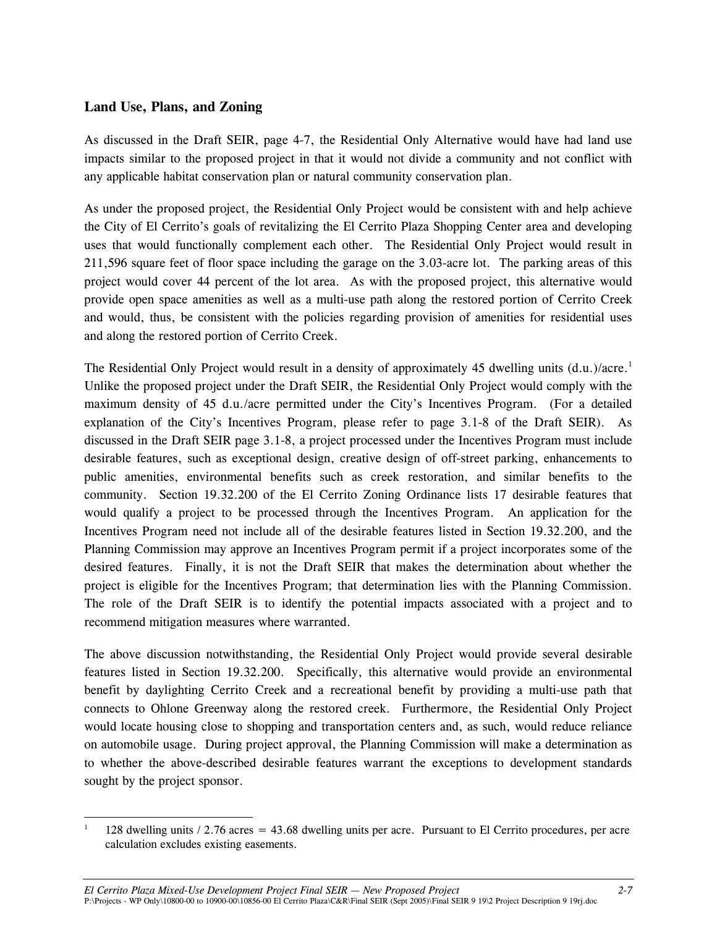#### **Land Use, Plans, and Zoning**

As discussed in the Draft SEIR, page 4-7, the Residential Only Alternative would have had land use impacts similar to the proposed project in that it would not divide a community and not conflict with any applicable habitat conservation plan or natural community conservation plan.

As under the proposed project, the Residential Only Project would be consistent with and help achieve the City of El Cerrito's goals of revitalizing the El Cerrito Plaza Shopping Center area and developing uses that would functionally complement each other. The Residential Only Project would result in 211,596 square feet of floor space including the garage on the 3.03-acre lot. The parking areas of this project would cover 44 percent of the lot area. As with the proposed project, this alternative would provide open space amenities as well as a multi-use path along the restored portion of Cerrito Creek and would, thus, be consistent with the policies regarding provision of amenities for residential uses and along the restored portion of Cerrito Creek.

The Residential Only Project would result in a density of approximately 45 dwelling units (d.u.)/acre.<sup>1</sup> Unlike the proposed project under the Draft SEIR, the Residential Only Project would comply with the maximum density of 45 d.u./acre permitted under the City's Incentives Program. (For a detailed explanation of the City's Incentives Program, please refer to page 3.1-8 of the Draft SEIR). As discussed in the Draft SEIR page 3.1-8, a project processed under the Incentives Program must include desirable features, such as exceptional design, creative design of off-street parking, enhancements to public amenities, environmental benefits such as creek restoration, and similar benefits to the community. Section 19.32.200 of the El Cerrito Zoning Ordinance lists 17 desirable features that would qualify a project to be processed through the Incentives Program. An application for the Incentives Program need not include all of the desirable features listed in Section 19.32.200, and the Planning Commission may approve an Incentives Program permit if a project incorporates some of the desired features. Finally, it is not the Draft SEIR that makes the determination about whether the project is eligible for the Incentives Program; that determination lies with the Planning Commission. The role of the Draft SEIR is to identify the potential impacts associated with a project and to recommend mitigation measures where warranted.

The above discussion notwithstanding, the Residential Only Project would provide several desirable features listed in Section 19.32.200. Specifically, this alternative would provide an environmental benefit by daylighting Cerrito Creek and a recreational benefit by providing a multi-use path that connects to Ohlone Greenway along the restored creek. Furthermore, the Residential Only Project would locate housing close to shopping and transportation centers and, as such, would reduce reliance on automobile usage. During project approval, the Planning Commission will make a determination as to whether the above-described desirable features warrant the exceptions to development standards sought by the project sponsor.

 1 128 dwelling units / 2.76 acres = 43.68 dwelling units per acre. Pursuant to El Cerrito procedures, per acre calculation excludes existing easements.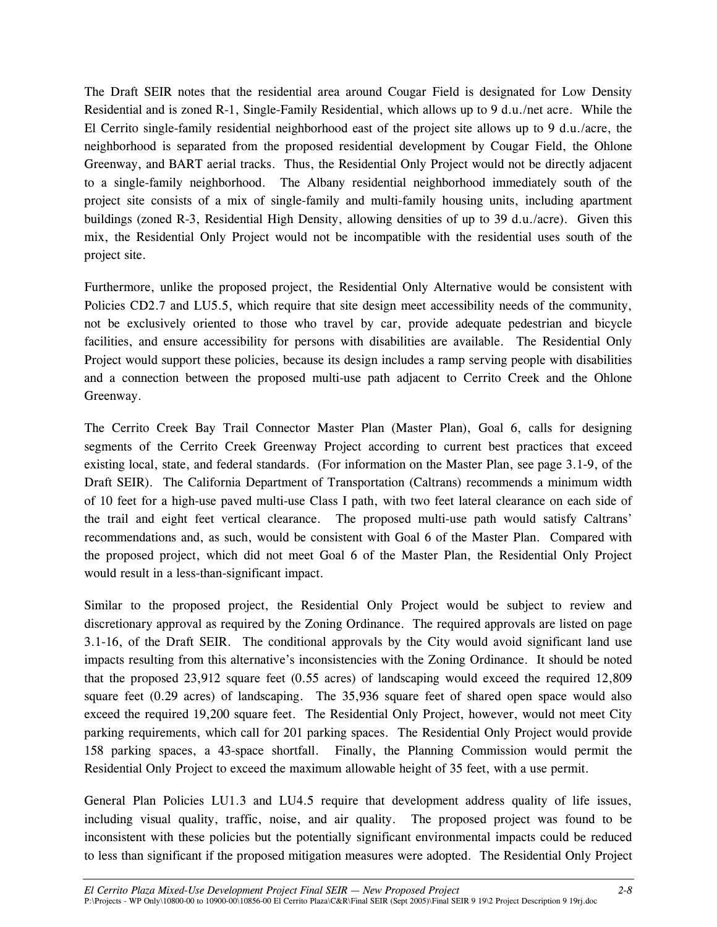The Draft SEIR notes that the residential area around Cougar Field is designated for Low Density Residential and is zoned R-1, Single-Family Residential, which allows up to 9 d.u./net acre. While the El Cerrito single-family residential neighborhood east of the project site allows up to 9 d.u./acre, the neighborhood is separated from the proposed residential development by Cougar Field, the Ohlone Greenway, and BART aerial tracks. Thus, the Residential Only Project would not be directly adjacent to a single-family neighborhood. The Albany residential neighborhood immediately south of the project site consists of a mix of single-family and multi-family housing units, including apartment buildings (zoned R-3, Residential High Density, allowing densities of up to 39 d.u./acre). Given this mix, the Residential Only Project would not be incompatible with the residential uses south of the project site.

Furthermore, unlike the proposed project, the Residential Only Alternative would be consistent with Policies CD2.7 and LU5.5, which require that site design meet accessibility needs of the community, not be exclusively oriented to those who travel by car, provide adequate pedestrian and bicycle facilities, and ensure accessibility for persons with disabilities are available. The Residential Only Project would support these policies, because its design includes a ramp serving people with disabilities and a connection between the proposed multi-use path adjacent to Cerrito Creek and the Ohlone Greenway.

The Cerrito Creek Bay Trail Connector Master Plan (Master Plan), Goal 6, calls for designing segments of the Cerrito Creek Greenway Project according to current best practices that exceed existing local, state, and federal standards. (For information on the Master Plan, see page 3.1-9, of the Draft SEIR). The California Department of Transportation (Caltrans) recommends a minimum width of 10 feet for a high-use paved multi-use Class I path, with two feet lateral clearance on each side of the trail and eight feet vertical clearance. The proposed multi-use path would satisfy Caltrans' recommendations and, as such, would be consistent with Goal 6 of the Master Plan. Compared with the proposed project, which did not meet Goal 6 of the Master Plan, the Residential Only Project would result in a less-than-significant impact.

Similar to the proposed project, the Residential Only Project would be subject to review and discretionary approval as required by the Zoning Ordinance. The required approvals are listed on page 3.1-16, of the Draft SEIR. The conditional approvals by the City would avoid significant land use impacts resulting from this alternative's inconsistencies with the Zoning Ordinance. It should be noted that the proposed 23,912 square feet (0.55 acres) of landscaping would exceed the required 12,809 square feet (0.29 acres) of landscaping. The 35,936 square feet of shared open space would also exceed the required 19,200 square feet. The Residential Only Project, however, would not meet City parking requirements, which call for 201 parking spaces. The Residential Only Project would provide 158 parking spaces, a 43-space shortfall. Finally, the Planning Commission would permit the Residential Only Project to exceed the maximum allowable height of 35 feet, with a use permit.

General Plan Policies LU1.3 and LU4.5 require that development address quality of life issues, including visual quality, traffic, noise, and air quality. The proposed project was found to be inconsistent with these policies but the potentially significant environmental impacts could be reduced to less than significant if the proposed mitigation measures were adopted. The Residential Only Project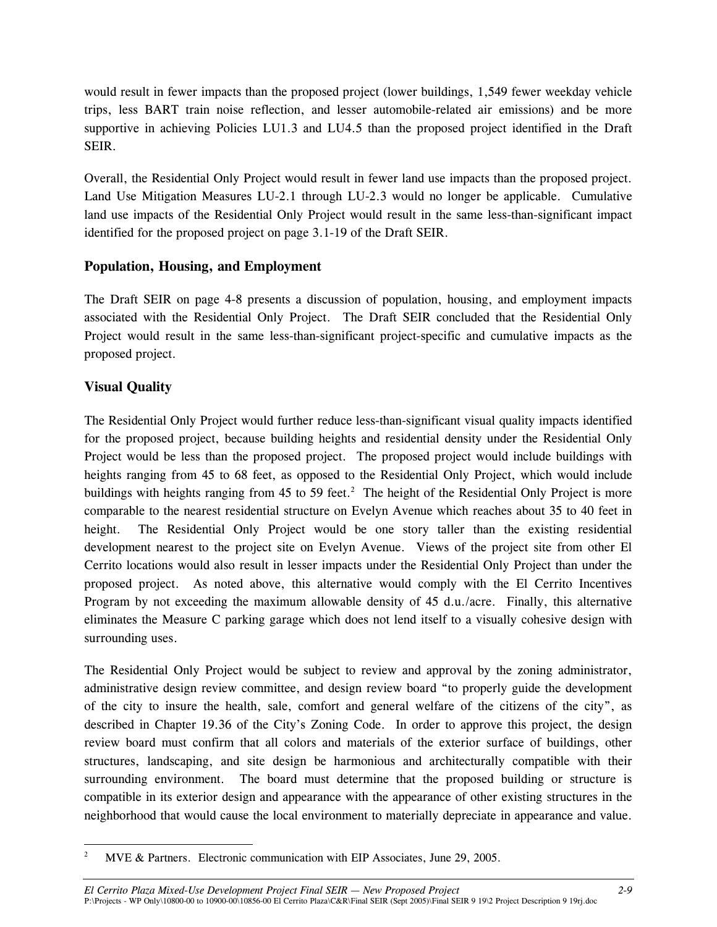would result in fewer impacts than the proposed project (lower buildings, 1,549 fewer weekday vehicle trips, less BART train noise reflection, and lesser automobile-related air emissions) and be more supportive in achieving Policies LU1.3 and LU4.5 than the proposed project identified in the Draft SEIR.

Overall, the Residential Only Project would result in fewer land use impacts than the proposed project. Land Use Mitigation Measures LU-2.1 through LU-2.3 would no longer be applicable. Cumulative land use impacts of the Residential Only Project would result in the same less-than-significant impact identified for the proposed project on page 3.1-19 of the Draft SEIR.

#### **Population, Housing, and Employment**

The Draft SEIR on page 4-8 presents a discussion of population, housing, and employment impacts associated with the Residential Only Project. The Draft SEIR concluded that the Residential Only Project would result in the same less-than-significant project-specific and cumulative impacts as the proposed project.

# **Visual Quality**

The Residential Only Project would further reduce less-than-significant visual quality impacts identified for the proposed project, because building heights and residential density under the Residential Only Project would be less than the proposed project. The proposed project would include buildings with heights ranging from 45 to 68 feet, as opposed to the Residential Only Project, which would include buildings with heights ranging from 45 to 59 feet.<sup>2</sup> The height of the Residential Only Project is more comparable to the nearest residential structure on Evelyn Avenue which reaches about 35 to 40 feet in height. The Residential Only Project would be one story taller than the existing residential development nearest to the project site on Evelyn Avenue. Views of the project site from other El Cerrito locations would also result in lesser impacts under the Residential Only Project than under the proposed project. As noted above, this alternative would comply with the El Cerrito Incentives Program by not exceeding the maximum allowable density of 45 d.u./acre. Finally, this alternative eliminates the Measure C parking garage which does not lend itself to a visually cohesive design with surrounding uses.

The Residential Only Project would be subject to review and approval by the zoning administrator, administrative design review committee, and design review board "to properly guide the development of the city to insure the health, sale, comfort and general welfare of the citizens of the city", as described in Chapter 19.36 of the City's Zoning Code. In order to approve this project, the design review board must confirm that all colors and materials of the exterior surface of buildings, other structures, landscaping, and site design be harmonious and architecturally compatible with their surrounding environment. The board must determine that the proposed building or structure is compatible in its exterior design and appearance with the appearance of other existing structures in the neighborhood that would cause the local environment to materially depreciate in appearance and value.

 $\overline{2}$ MVE & Partners. Electronic communication with EIP Associates, June 29, 2005.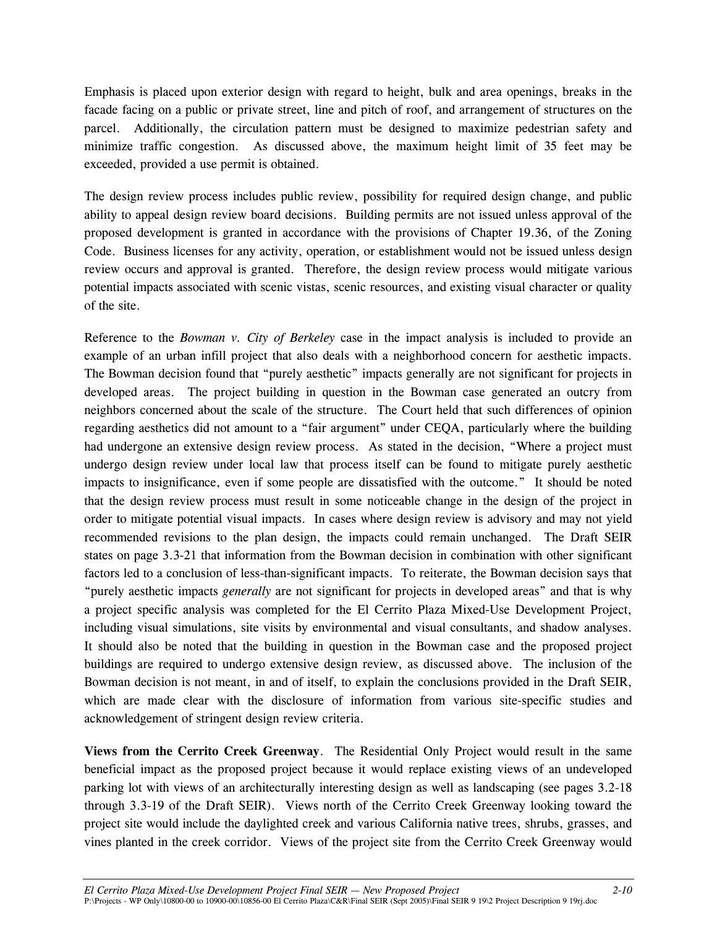Emphasis is placed upon exterior design with regard to height, bulk and area openings, breaks in the facade facing on a public or private street, line and pitch of roof, and arrangement of structures on the parcel. Additionally, the circulation pattern must be designed to maximize pedestrian safety and minimize traffic congestion. As discussed above, the maximum height limit of 35 feet may be exceeded, provided a use permit is obtained.

The design review process includes public review, possibility for required design change, and public ability to appeal design review board decisions. Building permits are not issued unless approval of the proposed development is granted in accordance with the provisions of Chapter 19.36, of the Zoning Code. Business licenses for any activity, operation, or establishment would not be issued unless design review occurs and approval is granted. Therefore, the design review process would mitigate various potential impacts associated with scenic vistas, scenic resources, and existing visual character or quality of the site.

Reference to the *Bowman v. City of Berkeley* case in the impact analysis is included to provide an example of an urban infill project that also deals with a neighborhood concern for aesthetic impacts. The Bowman decision found that "purely aesthetic" impacts generally are not significant for projects in developed areas. The project building in question in the Bowman case generated an outcry from neighbors concerned about the scale of the structure. The Court held that such differences of opinion regarding aesthetics did not amount to a "fair argument" under CEQA, particularly where the building had undergone an extensive design review process. As stated in the decision, "Where a project must undergo design review under local law that process itself can be found to mitigate purely aesthetic impacts to insignificance, even if some people are dissatisfied with the outcome." It should be noted that the design review process must result in some noticeable change in the design of the project in order to mitigate potential visual impacts. In cases where design review is advisory and may not yield recommended revisions to the plan design, the impacts could remain unchanged. The Draft SEIR states on page 3.3-21 that information from the Bowman decision in combination with other significant factors led to a conclusion of less-than-significant impacts. To reiterate, the Bowman decision says that "purely aesthetic impacts *generally* are not significant for projects in developed areas" and that is why a project specific analysis was completed for the El Cerrito Plaza Mixed-Use Development Project, including visual simulations, site visits by environmental and visual consultants, and shadow analyses. It should also be noted that the building in question in the Bowman case and the proposed project buildings are required to undergo extensive design review, as discussed above. The inclusion of the Bowman decision is not meant, in and of itself, to explain the conclusions provided in the Draft SEIR, which are made clear with the disclosure of information from various site-specific studies and acknowledgement of stringent design review criteria.

**Views from the Cerrito Creek Greenway**.The Residential Only Project would result in the same beneficial impact as the proposed project because it would replace existing views of an undeveloped parking lot with views of an architecturally interesting design as well as landscaping (see pages 3.2-18 through 3.3-19 of the Draft SEIR). Views north of the Cerrito Creek Greenway looking toward the project site would include the daylighted creek and various California native trees, shrubs, grasses, and vines planted in the creek corridor. Views of the project site from the Cerrito Creek Greenway would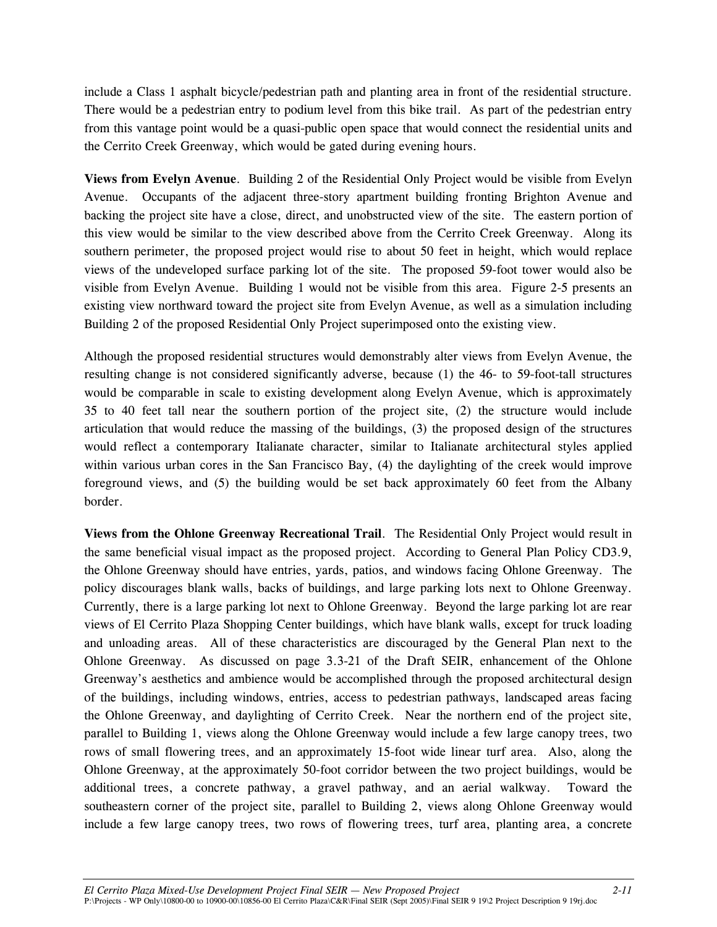include a Class 1 asphalt bicycle/pedestrian path and planting area in front of the residential structure. There would be a pedestrian entry to podium level from this bike trail. As part of the pedestrian entry from this vantage point would be a quasi-public open space that would connect the residential units and the Cerrito Creek Greenway, which would be gated during evening hours.

**Views from Evelyn Avenue**. Building 2 of the Residential Only Project would be visible from Evelyn Avenue. Occupants of the adjacent three-story apartment building fronting Brighton Avenue and backing the project site have a close, direct, and unobstructed view of the site. The eastern portion of this view would be similar to the view described above from the Cerrito Creek Greenway. Along its southern perimeter, the proposed project would rise to about 50 feet in height, which would replace views of the undeveloped surface parking lot of the site. The proposed 59-foot tower would also be visible from Evelyn Avenue. Building 1 would not be visible from this area. Figure 2-5 presents an existing view northward toward the project site from Evelyn Avenue, as well as a simulation including Building 2 of the proposed Residential Only Project superimposed onto the existing view.

Although the proposed residential structures would demonstrably alter views from Evelyn Avenue, the resulting change is not considered significantly adverse, because (1) the 46- to 59-foot-tall structures would be comparable in scale to existing development along Evelyn Avenue, which is approximately 35 to 40 feet tall near the southern portion of the project site, (2) the structure would include articulation that would reduce the massing of the buildings, (3) the proposed design of the structures would reflect a contemporary Italianate character, similar to Italianate architectural styles applied within various urban cores in the San Francisco Bay, (4) the daylighting of the creek would improve foreground views, and (5) the building would be set back approximately 60 feet from the Albany border.

**Views from the Ohlone Greenway Recreational Trail**. The Residential Only Project would result in the same beneficial visual impact as the proposed project. According to General Plan Policy CD3.9, the Ohlone Greenway should have entries, yards, patios, and windows facing Ohlone Greenway. The policy discourages blank walls, backs of buildings, and large parking lots next to Ohlone Greenway. Currently, there is a large parking lot next to Ohlone Greenway. Beyond the large parking lot are rear views of El Cerrito Plaza Shopping Center buildings, which have blank walls, except for truck loading and unloading areas. All of these characteristics are discouraged by the General Plan next to the Ohlone Greenway. As discussed on page 3.3-21 of the Draft SEIR, enhancement of the Ohlone Greenway's aesthetics and ambience would be accomplished through the proposed architectural design of the buildings, including windows, entries, access to pedestrian pathways, landscaped areas facing the Ohlone Greenway, and daylighting of Cerrito Creek. Near the northern end of the project site, parallel to Building 1, views along the Ohlone Greenway would include a few large canopy trees, two rows of small flowering trees, and an approximately 15-foot wide linear turf area. Also, along the Ohlone Greenway, at the approximately 50-foot corridor between the two project buildings, would be additional trees, a concrete pathway, a gravel pathway, and an aerial walkway. Toward the southeastern corner of the project site, parallel to Building 2, views along Ohlone Greenway would include a few large canopy trees, two rows of flowering trees, turf area, planting area, a concrete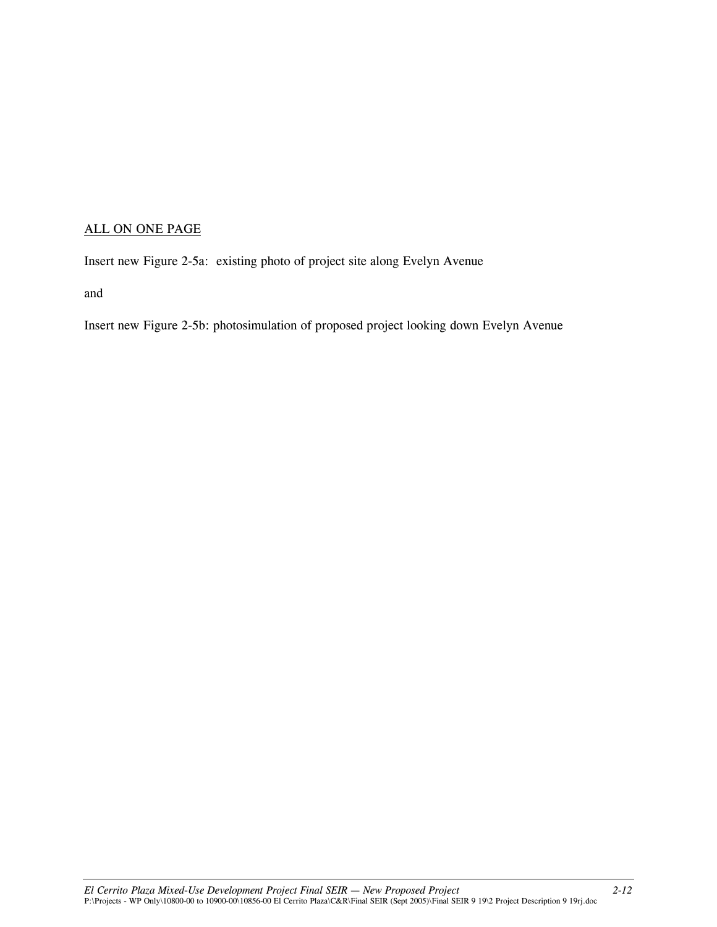# ALL ON ONE PAGE

Insert new Figure 2-5a: existing photo of project site along Evelyn Avenue

and

Insert new Figure 2-5b: photosimulation of proposed project looking down Evelyn Avenue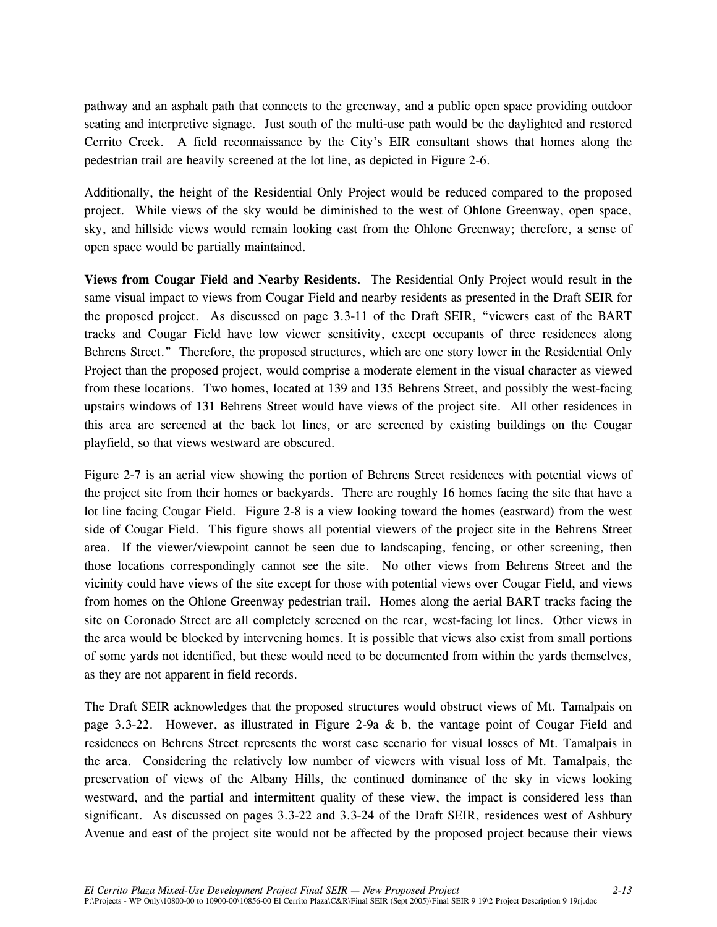pathway and an asphalt path that connects to the greenway, and a public open space providing outdoor seating and interpretive signage. Just south of the multi-use path would be the daylighted and restored Cerrito Creek. A field reconnaissance by the City's EIR consultant shows that homes along the pedestrian trail are heavily screened at the lot line, as depicted in Figure 2-6.

Additionally, the height of the Residential Only Project would be reduced compared to the proposed project. While views of the sky would be diminished to the west of Ohlone Greenway, open space, sky, and hillside views would remain looking east from the Ohlone Greenway; therefore, a sense of open space would be partially maintained.

**Views from Cougar Field and Nearby Residents**. The Residential Only Project would result in the same visual impact to views from Cougar Field and nearby residents as presented in the Draft SEIR for the proposed project. As discussed on page 3.3-11 of the Draft SEIR, "viewers east of the BART tracks and Cougar Field have low viewer sensitivity, except occupants of three residences along Behrens Street." Therefore, the proposed structures, which are one story lower in the Residential Only Project than the proposed project, would comprise a moderate element in the visual character as viewed from these locations. Two homes, located at 139 and 135 Behrens Street, and possibly the west-facing upstairs windows of 131 Behrens Street would have views of the project site. All other residences in this area are screened at the back lot lines, or are screened by existing buildings on the Cougar playfield, so that views westward are obscured.

Figure 2-7 is an aerial view showing the portion of Behrens Street residences with potential views of the project site from their homes or backyards. There are roughly 16 homes facing the site that have a lot line facing Cougar Field. Figure 2-8 is a view looking toward the homes (eastward) from the west side of Cougar Field. This figure shows all potential viewers of the project site in the Behrens Street area. If the viewer/viewpoint cannot be seen due to landscaping, fencing, or other screening, then those locations correspondingly cannot see the site. No other views from Behrens Street and the vicinity could have views of the site except for those with potential views over Cougar Field, and views from homes on the Ohlone Greenway pedestrian trail. Homes along the aerial BART tracks facing the site on Coronado Street are all completely screened on the rear, west-facing lot lines. Other views in the area would be blocked by intervening homes. It is possible that views also exist from small portions of some yards not identified, but these would need to be documented from within the yards themselves, as they are not apparent in field records.

The Draft SEIR acknowledges that the proposed structures would obstruct views of Mt. Tamalpais on page 3.3-22. However, as illustrated in Figure 2-9a & b, the vantage point of Cougar Field and residences on Behrens Street represents the worst case scenario for visual losses of Mt. Tamalpais in the area. Considering the relatively low number of viewers with visual loss of Mt. Tamalpais, the preservation of views of the Albany Hills, the continued dominance of the sky in views looking westward, and the partial and intermittent quality of these view, the impact is considered less than significant. As discussed on pages 3.3-22 and 3.3-24 of the Draft SEIR, residences west of Ashbury Avenue and east of the project site would not be affected by the proposed project because their views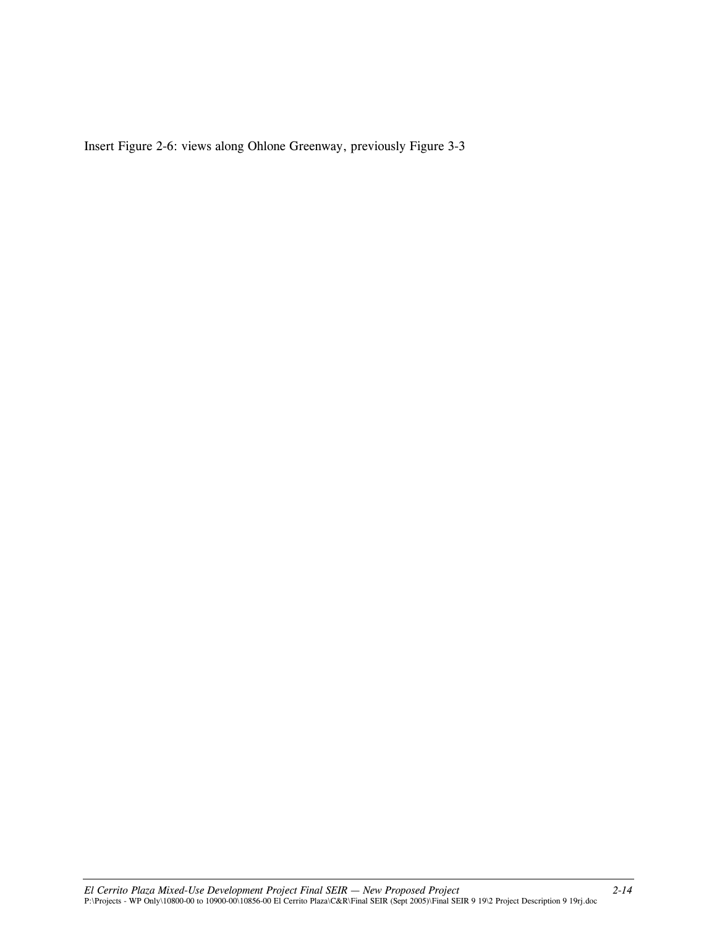Insert Figure 2-6: views along Ohlone Greenway, previously Figure 3-3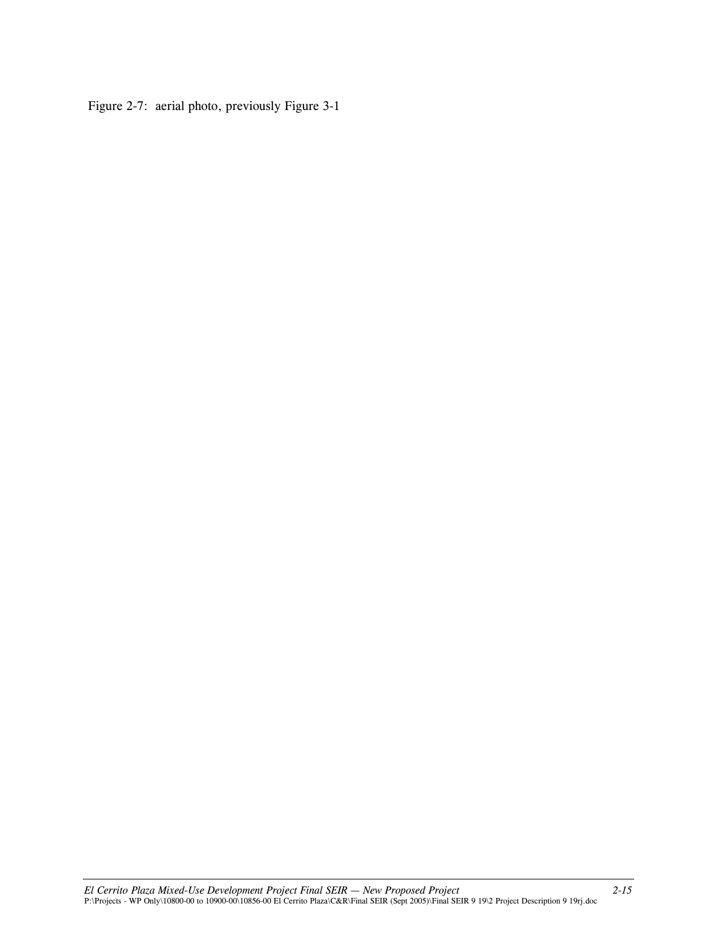Figure 2-7: aerial photo, previously Figure 3-1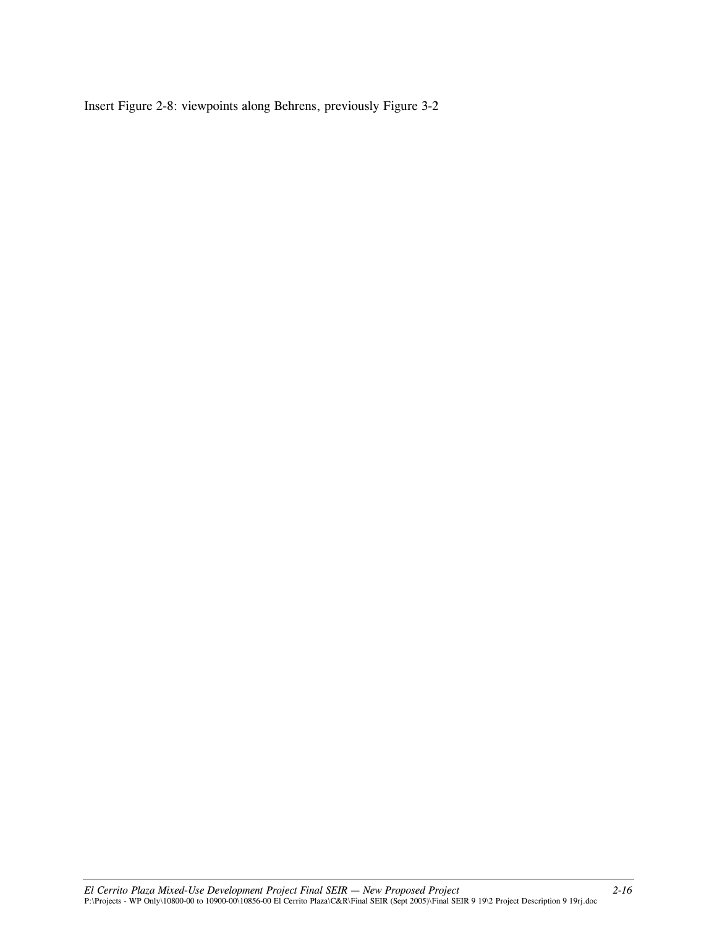Insert Figure 2-8: viewpoints along Behrens, previously Figure 3-2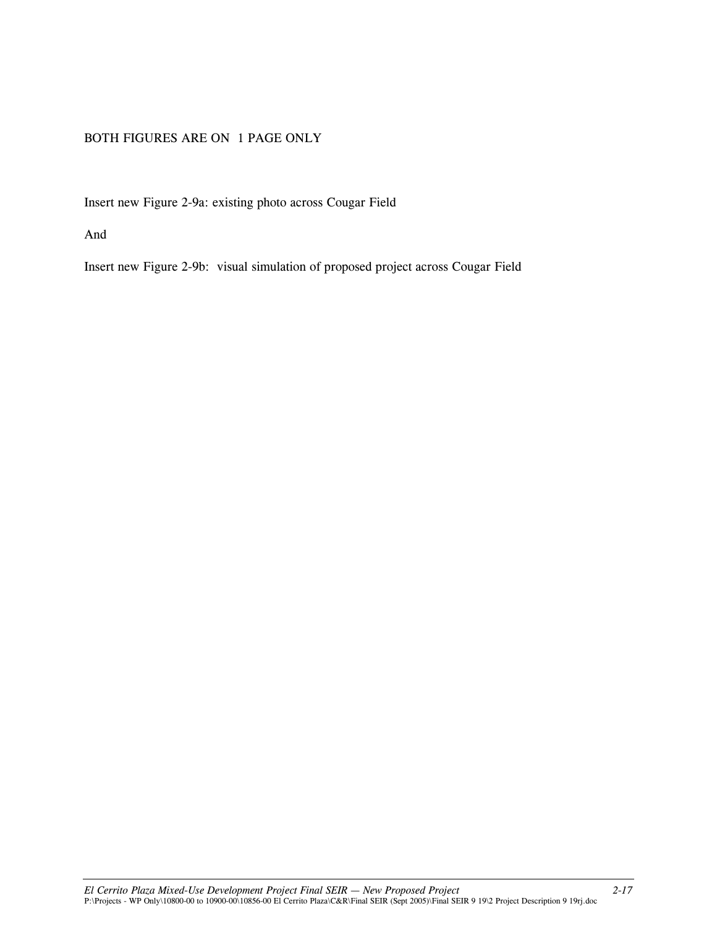#### BOTH FIGURES ARE ON 1 PAGE ONLY

Insert new Figure 2-9a: existing photo across Cougar Field

And

Insert new Figure 2-9b: visual simulation of proposed project across Cougar Field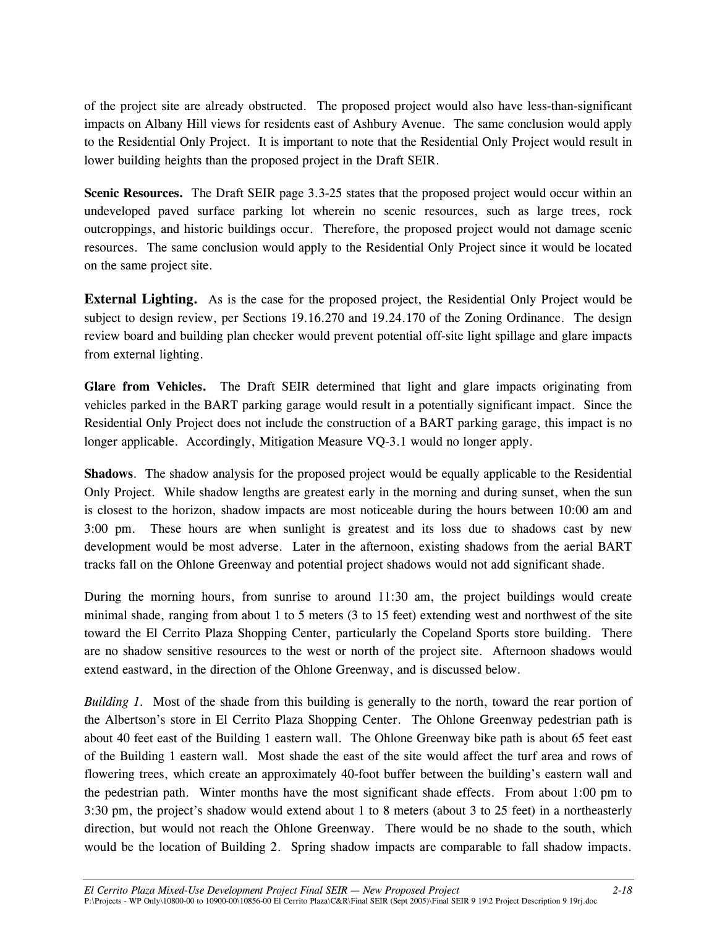of the project site are already obstructed. The proposed project would also have less-than-significant impacts on Albany Hill views for residents east of Ashbury Avenue. The same conclusion would apply to the Residential Only Project. It is important to note that the Residential Only Project would result in lower building heights than the proposed project in the Draft SEIR.

**Scenic Resources.** The Draft SEIR page 3.3-25 states that the proposed project would occur within an undeveloped paved surface parking lot wherein no scenic resources, such as large trees, rock outcroppings, and historic buildings occur. Therefore, the proposed project would not damage scenic resources. The same conclusion would apply to the Residential Only Project since it would be located on the same project site.

**External Lighting.** As is the case for the proposed project, the Residential Only Project would be subject to design review, per Sections 19.16.270 and 19.24.170 of the Zoning Ordinance. The design review board and building plan checker would prevent potential off-site light spillage and glare impacts from external lighting.

**Glare from Vehicles.** The Draft SEIR determined that light and glare impacts originating from vehicles parked in the BART parking garage would result in a potentially significant impact. Since the Residential Only Project does not include the construction of a BART parking garage, this impact is no longer applicable. Accordingly, Mitigation Measure VQ-3.1 would no longer apply.

**Shadows**. The shadow analysis for the proposed project would be equally applicable to the Residential Only Project. While shadow lengths are greatest early in the morning and during sunset, when the sun is closest to the horizon, shadow impacts are most noticeable during the hours between 10:00 am and 3:00 pm. These hours are when sunlight is greatest and its loss due to shadows cast by new development would be most adverse. Later in the afternoon, existing shadows from the aerial BART tracks fall on the Ohlone Greenway and potential project shadows would not add significant shade.

During the morning hours, from sunrise to around 11:30 am, the project buildings would create minimal shade, ranging from about 1 to 5 meters (3 to 15 feet) extending west and northwest of the site toward the El Cerrito Plaza Shopping Center, particularly the Copeland Sports store building. There are no shadow sensitive resources to the west or north of the project site. Afternoon shadows would extend eastward, in the direction of the Ohlone Greenway, and is discussed below.

*Building 1.* Most of the shade from this building is generally to the north, toward the rear portion of the Albertson's store in El Cerrito Plaza Shopping Center. The Ohlone Greenway pedestrian path is about 40 feet east of the Building 1 eastern wall. The Ohlone Greenway bike path is about 65 feet east of the Building 1 eastern wall. Most shade the east of the site would affect the turf area and rows of flowering trees, which create an approximately 40-foot buffer between the building's eastern wall and the pedestrian path. Winter months have the most significant shade effects. From about 1:00 pm to 3:30 pm, the project's shadow would extend about 1 to 8 meters (about 3 to 25 feet) in a northeasterly direction, but would not reach the Ohlone Greenway. There would be no shade to the south, which would be the location of Building 2. Spring shadow impacts are comparable to fall shadow impacts.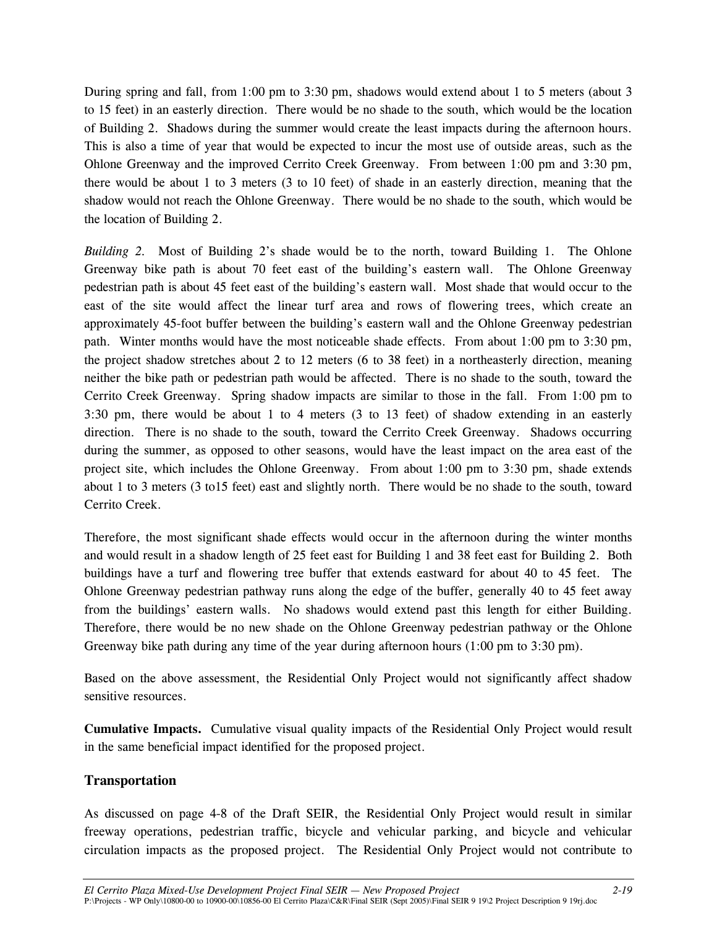During spring and fall, from 1:00 pm to 3:30 pm, shadows would extend about 1 to 5 meters (about 3 to 15 feet) in an easterly direction. There would be no shade to the south, which would be the location of Building 2. Shadows during the summer would create the least impacts during the afternoon hours. This is also a time of year that would be expected to incur the most use of outside areas, such as the Ohlone Greenway and the improved Cerrito Creek Greenway. From between 1:00 pm and 3:30 pm, there would be about 1 to 3 meters (3 to 10 feet) of shade in an easterly direction, meaning that the shadow would not reach the Ohlone Greenway. There would be no shade to the south, which would be the location of Building 2.

*Building 2.*Most of Building 2's shade would be to the north, toward Building 1. The Ohlone Greenway bike path is about 70 feet east of the building's eastern wall. The Ohlone Greenway pedestrian path is about 45 feet east of the building's eastern wall. Most shade that would occur to the east of the site would affect the linear turf area and rows of flowering trees, which create an approximately 45-foot buffer between the building's eastern wall and the Ohlone Greenway pedestrian path. Winter months would have the most noticeable shade effects. From about 1:00 pm to 3:30 pm, the project shadow stretches about 2 to 12 meters (6 to 38 feet) in a northeasterly direction, meaning neither the bike path or pedestrian path would be affected. There is no shade to the south, toward the Cerrito Creek Greenway. Spring shadow impacts are similar to those in the fall. From 1:00 pm to 3:30 pm, there would be about 1 to 4 meters (3 to 13 feet) of shadow extending in an easterly direction. There is no shade to the south, toward the Cerrito Creek Greenway. Shadows occurring during the summer, as opposed to other seasons, would have the least impact on the area east of the project site, which includes the Ohlone Greenway. From about 1:00 pm to 3:30 pm, shade extends about 1 to 3 meters (3 to15 feet) east and slightly north. There would be no shade to the south, toward Cerrito Creek.

Therefore, the most significant shade effects would occur in the afternoon during the winter months and would result in a shadow length of 25 feet east for Building 1 and 38 feet east for Building 2. Both buildings have a turf and flowering tree buffer that extends eastward for about 40 to 45 feet. The Ohlone Greenway pedestrian pathway runs along the edge of the buffer, generally 40 to 45 feet away from the buildings' eastern walls. No shadows would extend past this length for either Building. Therefore, there would be no new shade on the Ohlone Greenway pedestrian pathway or the Ohlone Greenway bike path during any time of the year during afternoon hours (1:00 pm to 3:30 pm).

Based on the above assessment, the Residential Only Project would not significantly affect shadow sensitive resources.

**Cumulative Impacts.** Cumulative visual quality impacts of the Residential Only Project would result in the same beneficial impact identified for the proposed project.

#### **Transportation**

As discussed on page 4-8 of the Draft SEIR, the Residential Only Project would result in similar freeway operations, pedestrian traffic, bicycle and vehicular parking, and bicycle and vehicular circulation impacts as the proposed project. The Residential Only Project would not contribute to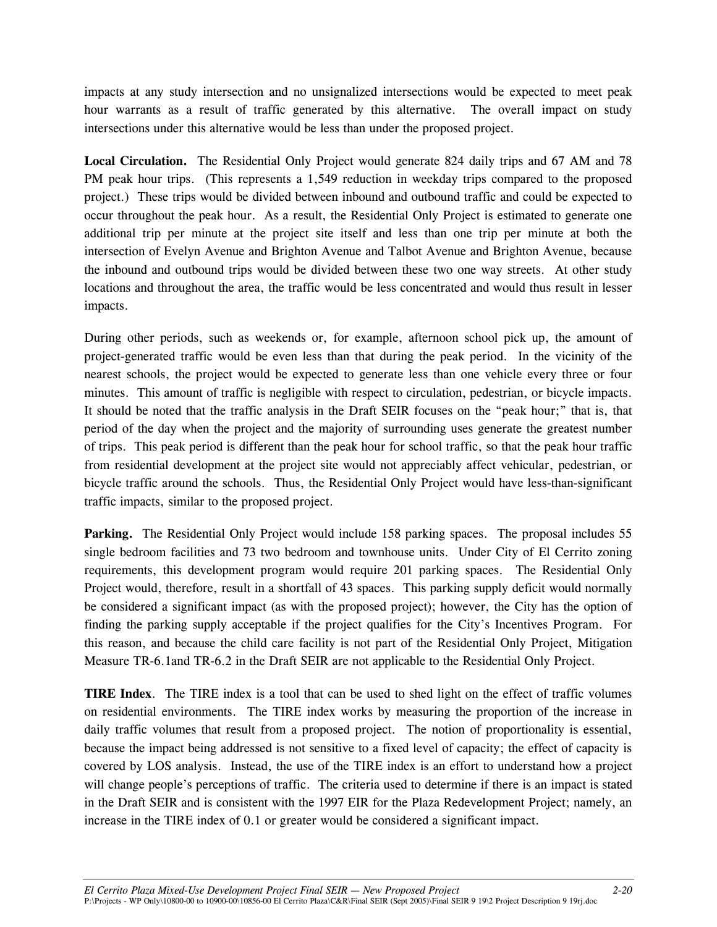impacts at any study intersection and no unsignalized intersections would be expected to meet peak hour warrants as a result of traffic generated by this alternative. The overall impact on study intersections under this alternative would be less than under the proposed project.

**Local Circulation.** The Residential Only Project would generate 824 daily trips and 67 AM and 78 PM peak hour trips. (This represents a 1,549 reduction in weekday trips compared to the proposed project.) These trips would be divided between inbound and outbound traffic and could be expected to occur throughout the peak hour. As a result, the Residential Only Project is estimated to generate one additional trip per minute at the project site itself and less than one trip per minute at both the intersection of Evelyn Avenue and Brighton Avenue and Talbot Avenue and Brighton Avenue, because the inbound and outbound trips would be divided between these two one way streets. At other study locations and throughout the area, the traffic would be less concentrated and would thus result in lesser impacts.

During other periods, such as weekends or, for example, afternoon school pick up, the amount of project-generated traffic would be even less than that during the peak period. In the vicinity of the nearest schools, the project would be expected to generate less than one vehicle every three or four minutes. This amount of traffic is negligible with respect to circulation, pedestrian, or bicycle impacts. It should be noted that the traffic analysis in the Draft SEIR focuses on the "peak hour;" that is, that period of the day when the project and the majority of surrounding uses generate the greatest number of trips. This peak period is different than the peak hour for school traffic, so that the peak hour traffic from residential development at the project site would not appreciably affect vehicular, pedestrian, or bicycle traffic around the schools. Thus, the Residential Only Project would have less-than-significant traffic impacts, similar to the proposed project.

Parking. The Residential Only Project would include 158 parking spaces. The proposal includes 55 single bedroom facilities and 73 two bedroom and townhouse units. Under City of El Cerrito zoning requirements, this development program would require 201 parking spaces. The Residential Only Project would, therefore, result in a shortfall of 43 spaces. This parking supply deficit would normally be considered a significant impact (as with the proposed project); however, the City has the option of finding the parking supply acceptable if the project qualifies for the City's Incentives Program. For this reason, and because the child care facility is not part of the Residential Only Project, Mitigation Measure TR-6.1and TR-6.2 in the Draft SEIR are not applicable to the Residential Only Project.

**TIRE Index**. The TIRE index is a tool that can be used to shed light on the effect of traffic volumes on residential environments. The TIRE index works by measuring the proportion of the increase in daily traffic volumes that result from a proposed project. The notion of proportionality is essential, because the impact being addressed is not sensitive to a fixed level of capacity; the effect of capacity is covered by LOS analysis. Instead, the use of the TIRE index is an effort to understand how a project will change people's perceptions of traffic. The criteria used to determine if there is an impact is stated in the Draft SEIR and is consistent with the 1997 EIR for the Plaza Redevelopment Project; namely, an increase in the TIRE index of 0.1 or greater would be considered a significant impact.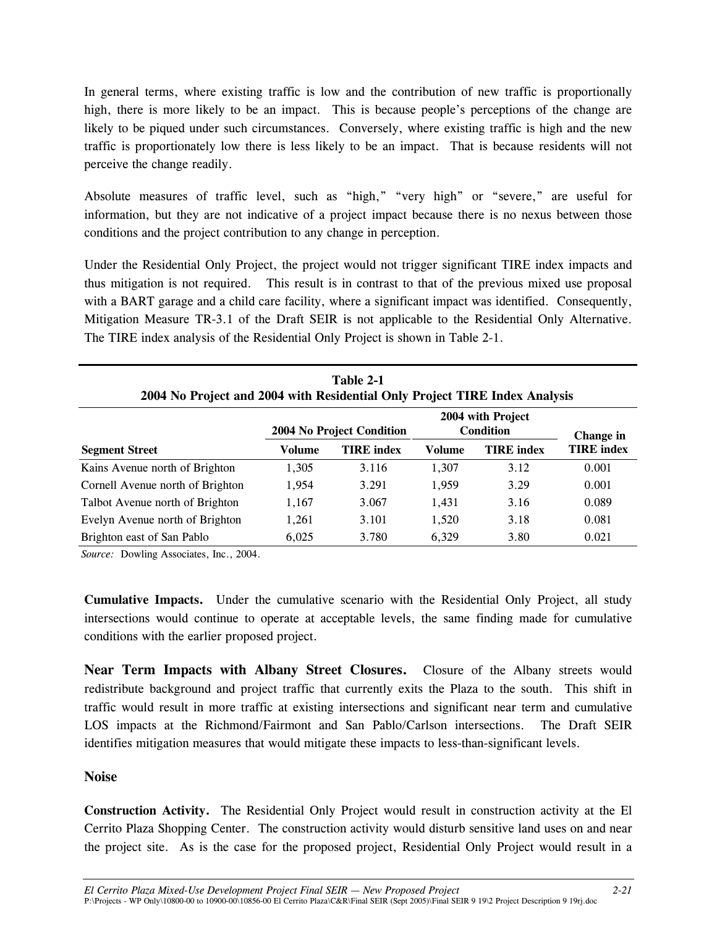In general terms, where existing traffic is low and the contribution of new traffic is proportionally high, there is more likely to be an impact. This is because people's perceptions of the change are likely to be piqued under such circumstances. Conversely, where existing traffic is high and the new traffic is proportionately low there is less likely to be an impact. That is because residents will not perceive the change readily.

Absolute measures of traffic level, such as "high," "very high" or "severe," are useful for information, but they are not indicative of a project impact because there is no nexus between those conditions and the project contribution to any change in perception.

Under the Residential Only Project, the project would not trigger significant TIRE index impacts and thus mitigation is not required. This result is in contrast to that of the previous mixed use proposal with a BART garage and a child care facility, where a significant impact was identified. Consequently, Mitigation Measure TR-3.1 of the Draft SEIR is not applicable to the Residential Only Alternative. The TIRE index analysis of the Residential Only Project is shown in Table 2-1.

| Table 2-1<br>2004 No Project and 2004 with Residential Only Project TIRE Index Analysis |        |                           |        |                                       |                   |  |  |  |
|-----------------------------------------------------------------------------------------|--------|---------------------------|--------|---------------------------------------|-------------------|--|--|--|
|                                                                                         |        | 2004 No Project Condition |        | 2004 with Project<br><b>Condition</b> | Change in         |  |  |  |
| <b>Segment Street</b>                                                                   | Volume | <b>TIRE</b> index         | Volume | <b>TIRE</b> index                     | <b>TIRE</b> index |  |  |  |
| Kains Avenue north of Brighton                                                          | 1,305  | 3.116                     | 1,307  | 3.12                                  | 0.001             |  |  |  |
| Cornell Avenue north of Brighton                                                        | 1,954  | 3.291                     | 1,959  | 3.29                                  | 0.001             |  |  |  |
| Talbot Avenue north of Brighton                                                         | 1,167  | 3.067                     | 1,431  | 3.16                                  | 0.089             |  |  |  |
| Evelyn Avenue north of Brighton                                                         | 1,261  | 3.101                     | 1,520  | 3.18                                  | 0.081             |  |  |  |
| Brighton east of San Pablo                                                              | 6,025  | 3.780                     | 6,329  | 3.80                                  | 0.021             |  |  |  |

*Source:* Dowling Associates, Inc., 2004.

**Cumulative Impacts.** Under the cumulative scenario with the Residential Only Project, all study intersections would continue to operate at acceptable levels, the same finding made for cumulative conditions with the earlier proposed project.

**Near Term Impacts with Albany Street Closures.** Closure of the Albany streets would redistribute background and project traffic that currently exits the Plaza to the south. This shift in traffic would result in more traffic at existing intersections and significant near term and cumulative LOS impacts at the Richmond/Fairmont and San Pablo/Carlson intersections. The Draft SEIR identifies mitigation measures that would mitigate these impacts to less-than-significant levels.

#### **Noise**

**Construction Activity.** The Residential Only Project would result in construction activity at the El Cerrito Plaza Shopping Center. The construction activity would disturb sensitive land uses on and near the project site. As is the case for the proposed project, Residential Only Project would result in a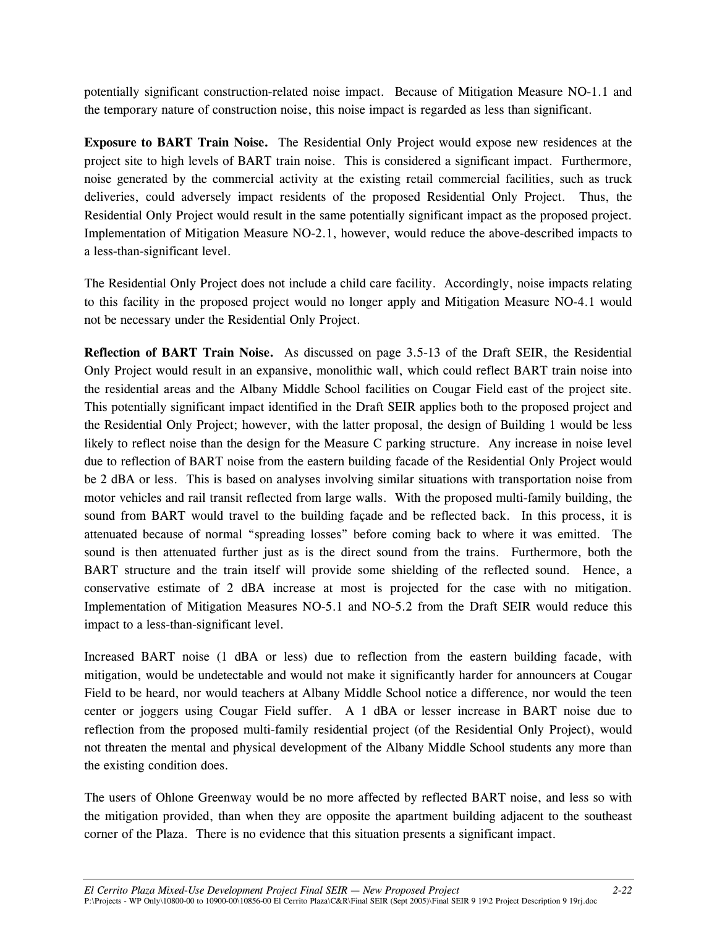potentially significant construction-related noise impact. Because of Mitigation Measure NO-1.1 and the temporary nature of construction noise, this noise impact is regarded as less than significant.

**Exposure to BART Train Noise.** The Residential Only Project would expose new residences at the project site to high levels of BART train noise. This is considered a significant impact. Furthermore, noise generated by the commercial activity at the existing retail commercial facilities, such as truck deliveries, could adversely impact residents of the proposed Residential Only Project. Thus, the Residential Only Project would result in the same potentially significant impact as the proposed project. Implementation of Mitigation Measure NO-2.1, however, would reduce the above-described impacts to a less-than-significant level.

The Residential Only Project does not include a child care facility. Accordingly, noise impacts relating to this facility in the proposed project would no longer apply and Mitigation Measure NO-4.1 would not be necessary under the Residential Only Project.

**Reflection of BART Train Noise.** As discussed on page 3.5-13 of the Draft SEIR, the Residential Only Project would result in an expansive, monolithic wall, which could reflect BART train noise into the residential areas and the Albany Middle School facilities on Cougar Field east of the project site. This potentially significant impact identified in the Draft SEIR applies both to the proposed project and the Residential Only Project; however, with the latter proposal, the design of Building 1 would be less likely to reflect noise than the design for the Measure C parking structure. Any increase in noise level due to reflection of BART noise from the eastern building facade of the Residential Only Project would be 2 dBA or less. This is based on analyses involving similar situations with transportation noise from motor vehicles and rail transit reflected from large walls. With the proposed multi-family building, the sound from BART would travel to the building façade and be reflected back. In this process, it is attenuated because of normal "spreading losses" before coming back to where it was emitted. The sound is then attenuated further just as is the direct sound from the trains. Furthermore, both the BART structure and the train itself will provide some shielding of the reflected sound. Hence, a conservative estimate of 2 dBA increase at most is projected for the case with no mitigation. Implementation of Mitigation Measures NO-5.1 and NO-5.2 from the Draft SEIR would reduce this impact to a less-than-significant level.

Increased BART noise (1 dBA or less) due to reflection from the eastern building facade, with mitigation, would be undetectable and would not make it significantly harder for announcers at Cougar Field to be heard, nor would teachers at Albany Middle School notice a difference, nor would the teen center or joggers using Cougar Field suffer. A 1 dBA or lesser increase in BART noise due to reflection from the proposed multi-family residential project (of the Residential Only Project), would not threaten the mental and physical development of the Albany Middle School students any more than the existing condition does.

The users of Ohlone Greenway would be no more affected by reflected BART noise, and less so with the mitigation provided, than when they are opposite the apartment building adjacent to the southeast corner of the Plaza. There is no evidence that this situation presents a significant impact.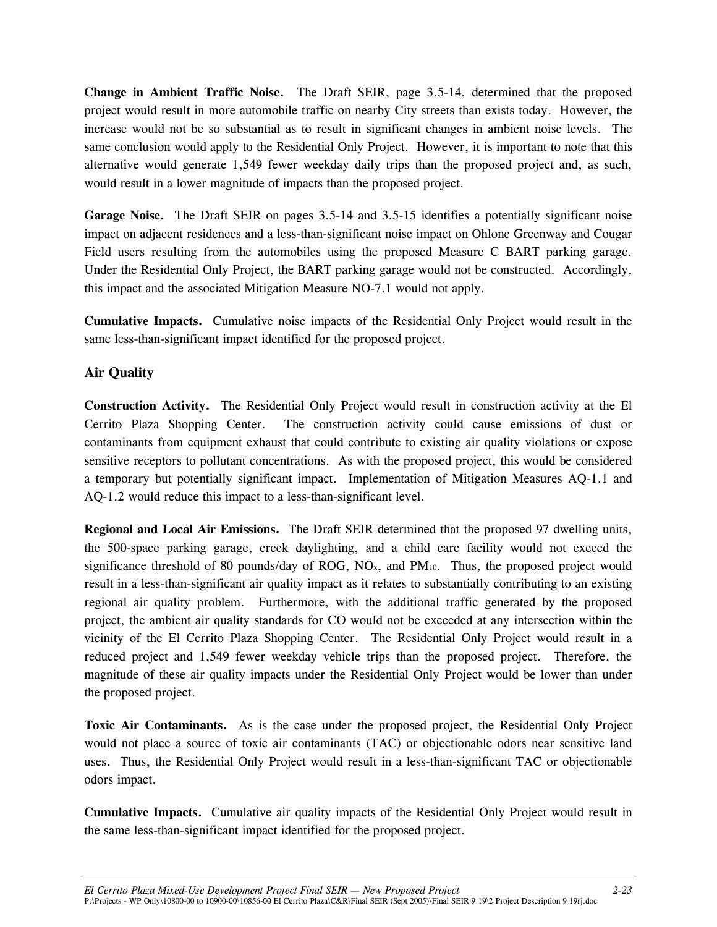**Change in Ambient Traffic Noise.** The Draft SEIR, page 3.5-14, determined that the proposed project would result in more automobile traffic on nearby City streets than exists today. However, the increase would not be so substantial as to result in significant changes in ambient noise levels. The same conclusion would apply to the Residential Only Project. However, it is important to note that this alternative would generate 1,549 fewer weekday daily trips than the proposed project and, as such, would result in a lower magnitude of impacts than the proposed project.

**Garage Noise.** The Draft SEIR on pages 3.5-14 and 3.5-15 identifies a potentially significant noise impact on adjacent residences and a less-than-significant noise impact on Ohlone Greenway and Cougar Field users resulting from the automobiles using the proposed Measure C BART parking garage. Under the Residential Only Project, the BART parking garage would not be constructed. Accordingly, this impact and the associated Mitigation Measure NO-7.1 would not apply.

**Cumulative Impacts.** Cumulative noise impacts of the Residential Only Project would result in the same less-than-significant impact identified for the proposed project.

#### **Air Quality**

**Construction Activity.** The Residential Only Project would result in construction activity at the El Cerrito Plaza Shopping Center. The construction activity could cause emissions of dust or contaminants from equipment exhaust that could contribute to existing air quality violations or expose sensitive receptors to pollutant concentrations. As with the proposed project, this would be considered a temporary but potentially significant impact. Implementation of Mitigation Measures AQ-1.1 and AQ-1.2 would reduce this impact to a less-than-significant level.

**Regional and Local Air Emissions.** The Draft SEIR determined that the proposed 97 dwelling units, the 500-space parking garage, creek daylighting, and a child care facility would not exceed the significance threshold of 80 pounds/day of ROG,  $NO<sub>x</sub>$ , and  $PM<sub>10</sub>$ . Thus, the proposed project would result in a less-than-significant air quality impact as it relates to substantially contributing to an existing regional air quality problem. Furthermore, with the additional traffic generated by the proposed project, the ambient air quality standards for CO would not be exceeded at any intersection within the vicinity of the El Cerrito Plaza Shopping Center. The Residential Only Project would result in a reduced project and 1,549 fewer weekday vehicle trips than the proposed project. Therefore, the magnitude of these air quality impacts under the Residential Only Project would be lower than under the proposed project.

**Toxic Air Contaminants.** As is the case under the proposed project, the Residential Only Project would not place a source of toxic air contaminants (TAC) or objectionable odors near sensitive land uses. Thus, the Residential Only Project would result in a less-than-significant TAC or objectionable odors impact.

**Cumulative Impacts.** Cumulative air quality impacts of the Residential Only Project would result in the same less-than-significant impact identified for the proposed project.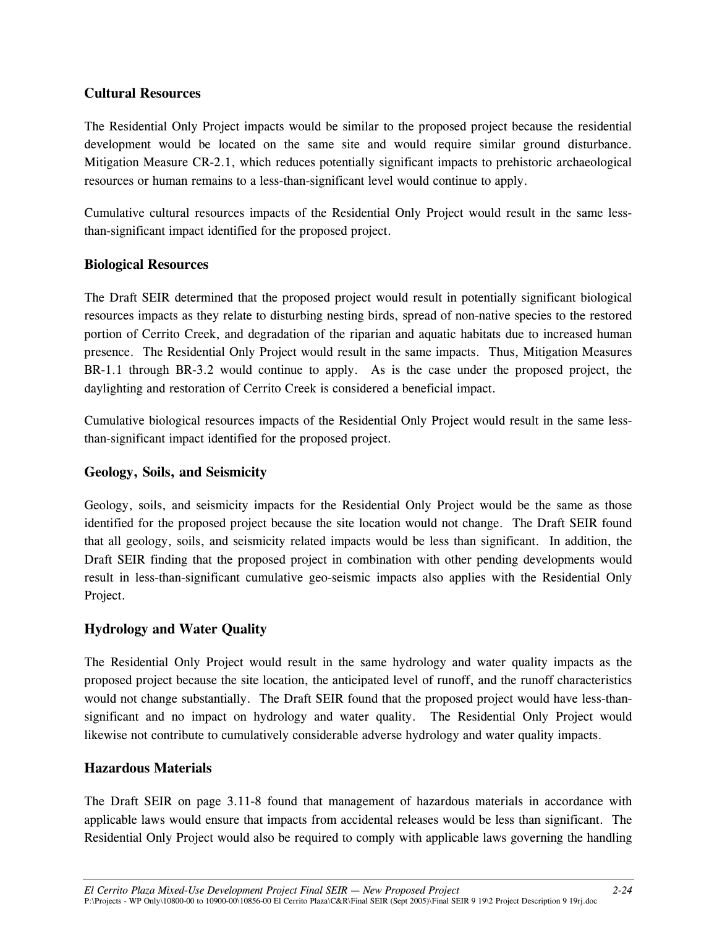### **Cultural Resources**

The Residential Only Project impacts would be similar to the proposed project because the residential development would be located on the same site and would require similar ground disturbance. Mitigation Measure CR-2.1, which reduces potentially significant impacts to prehistoric archaeological resources or human remains to a less-than-significant level would continue to apply.

Cumulative cultural resources impacts of the Residential Only Project would result in the same lessthan-significant impact identified for the proposed project.

# **Biological Resources**

The Draft SEIR determined that the proposed project would result in potentially significant biological resources impacts as they relate to disturbing nesting birds, spread of non-native species to the restored portion of Cerrito Creek, and degradation of the riparian and aquatic habitats due to increased human presence. The Residential Only Project would result in the same impacts. Thus, Mitigation Measures BR-1.1 through BR-3.2 would continue to apply. As is the case under the proposed project, the daylighting and restoration of Cerrito Creek is considered a beneficial impact.

Cumulative biological resources impacts of the Residential Only Project would result in the same lessthan-significant impact identified for the proposed project.

### **Geology, Soils, and Seismicity**

Geology, soils, and seismicity impacts for the Residential Only Project would be the same as those identified for the proposed project because the site location would not change. The Draft SEIR found that all geology, soils, and seismicity related impacts would be less than significant. In addition, the Draft SEIR finding that the proposed project in combination with other pending developments would result in less-than-significant cumulative geo-seismic impacts also applies with the Residential Only Project.

#### **Hydrology and Water Quality**

The Residential Only Project would result in the same hydrology and water quality impacts as the proposed project because the site location, the anticipated level of runoff, and the runoff characteristics would not change substantially. The Draft SEIR found that the proposed project would have less-thansignificant and no impact on hydrology and water quality. The Residential Only Project would likewise not contribute to cumulatively considerable adverse hydrology and water quality impacts.

#### **Hazardous Materials**

The Draft SEIR on page 3.11-8 found that management of hazardous materials in accordance with applicable laws would ensure that impacts from accidental releases would be less than significant. The Residential Only Project would also be required to comply with applicable laws governing the handling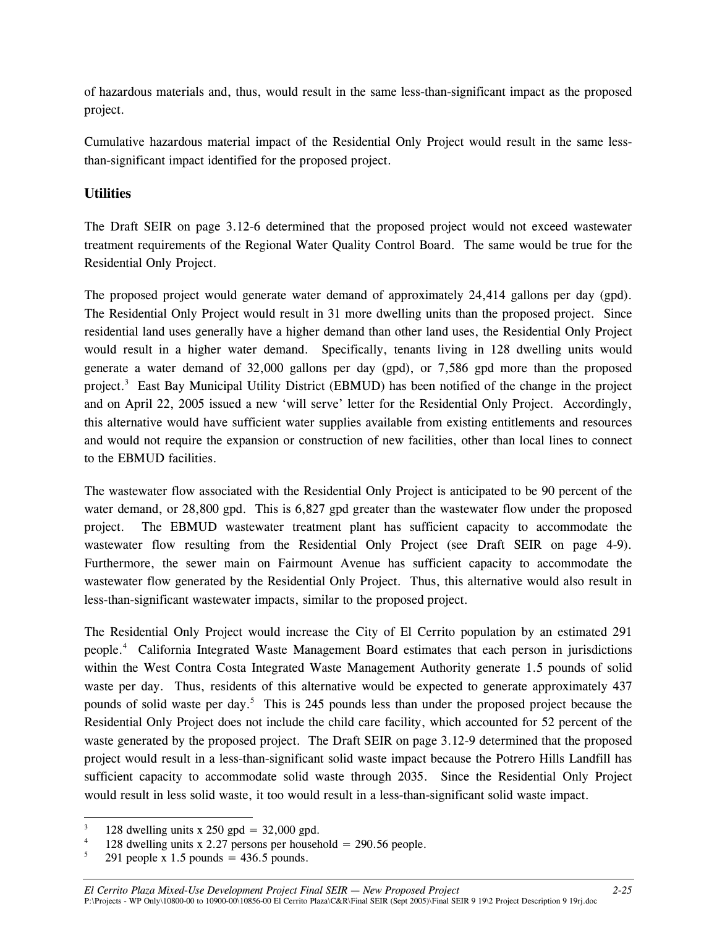of hazardous materials and, thus, would result in the same less-than-significant impact as the proposed project.

Cumulative hazardous material impact of the Residential Only Project would result in the same lessthan-significant impact identified for the proposed project.

# **Utilities**

The Draft SEIR on page 3.12-6 determined that the proposed project would not exceed wastewater treatment requirements of the Regional Water Quality Control Board. The same would be true for the Residential Only Project.

The proposed project would generate water demand of approximately 24,414 gallons per day (gpd). The Residential Only Project would result in 31 more dwelling units than the proposed project. Since residential land uses generally have a higher demand than other land uses, the Residential Only Project would result in a higher water demand. Specifically, tenants living in 128 dwelling units would generate a water demand of 32,000 gallons per day (gpd), or 7,586 gpd more than the proposed project.<sup>3</sup> East Bay Municipal Utility District (EBMUD) has been notified of the change in the project and on April 22, 2005 issued a new 'will serve' letter for the Residential Only Project. Accordingly, this alternative would have sufficient water supplies available from existing entitlements and resources and would not require the expansion or construction of new facilities, other than local lines to connect to the EBMUD facilities.

The wastewater flow associated with the Residential Only Project is anticipated to be 90 percent of the water demand, or 28,800 gpd. This is 6,827 gpd greater than the wastewater flow under the proposed project. The EBMUD wastewater treatment plant has sufficient capacity to accommodate the wastewater flow resulting from the Residential Only Project (see Draft SEIR on page 4-9). Furthermore, the sewer main on Fairmount Avenue has sufficient capacity to accommodate the wastewater flow generated by the Residential Only Project. Thus, this alternative would also result in less-than-significant wastewater impacts, similar to the proposed project.

The Residential Only Project would increase the City of El Cerrito population by an estimated 291 people.4 California Integrated Waste Management Board estimates that each person in jurisdictions within the West Contra Costa Integrated Waste Management Authority generate 1.5 pounds of solid waste per day. Thus, residents of this alternative would be expected to generate approximately 437 pounds of solid waste per day.<sup>5</sup> This is 245 pounds less than under the proposed project because the Residential Only Project does not include the child care facility, which accounted for 52 percent of the waste generated by the proposed project. The Draft SEIR on page 3.12-9 determined that the proposed project would result in a less-than-significant solid waste impact because the Potrero Hills Landfill has sufficient capacity to accommodate solid waste through 2035. Since the Residential Only Project would result in less solid waste, it too would result in a less-than-significant solid waste impact.

<sup>3</sup> 128 dwelling units x 250 gpd =  $32,000$  gpd.

<sup>4</sup> 128 dwelling units x 2.27 persons per household = 290.56 people.

<sup>5</sup> 291 people x 1.5 pounds  $=$  436.5 pounds.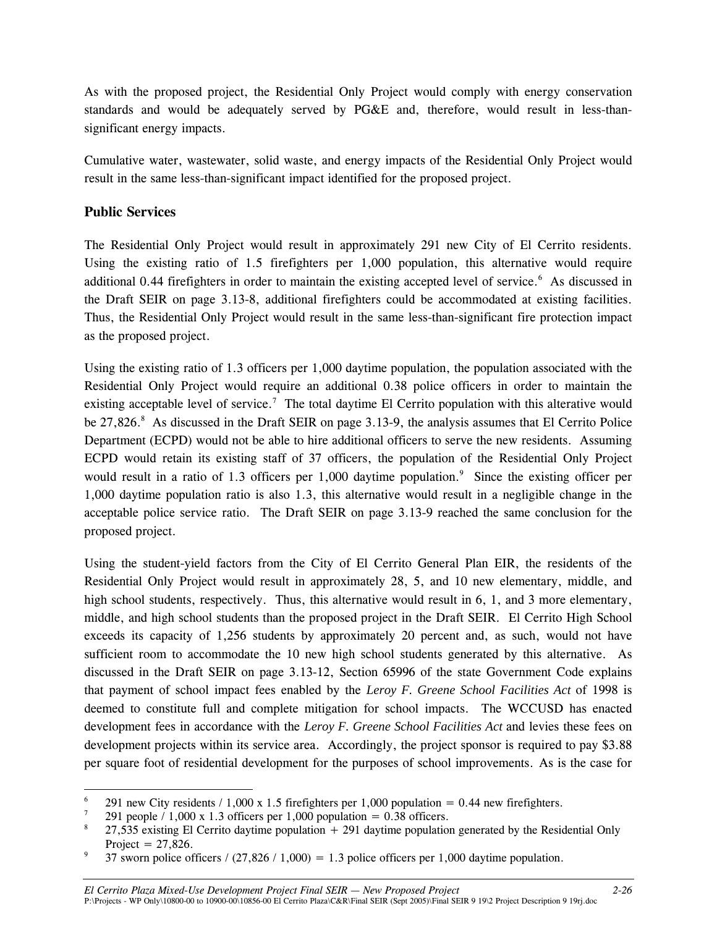As with the proposed project, the Residential Only Project would comply with energy conservation standards and would be adequately served by PG&E and, therefore, would result in less-thansignificant energy impacts.

Cumulative water, wastewater, solid waste, and energy impacts of the Residential Only Project would result in the same less-than-significant impact identified for the proposed project.

# **Public Services**

The Residential Only Project would result in approximately 291 new City of El Cerrito residents. Using the existing ratio of 1.5 firefighters per 1,000 population, this alternative would require additional 0.44 firefighters in order to maintain the existing accepted level of service.<sup>6</sup> As discussed in the Draft SEIR on page 3.13-8, additional firefighters could be accommodated at existing facilities. Thus, the Residential Only Project would result in the same less-than-significant fire protection impact as the proposed project.

Using the existing ratio of 1.3 officers per 1,000 daytime population, the population associated with the Residential Only Project would require an additional 0.38 police officers in order to maintain the existing acceptable level of service.<sup>7</sup> The total daytime El Cerrito population with this alterative would be  $27,826$ .<sup>8</sup> As discussed in the Draft SEIR on page 3.13-9, the analysis assumes that El Cerrito Police Department (ECPD) would not be able to hire additional officers to serve the new residents. Assuming ECPD would retain its existing staff of 37 officers, the population of the Residential Only Project would result in a ratio of 1.3 officers per 1,000 daytime population.<sup>9</sup> Since the existing officer per 1,000 daytime population ratio is also 1.3, this alternative would result in a negligible change in the acceptable police service ratio. The Draft SEIR on page 3.13-9 reached the same conclusion for the proposed project.

Using the student-yield factors from the City of El Cerrito General Plan EIR, the residents of the Residential Only Project would result in approximately 28, 5, and 10 new elementary, middle, and high school students, respectively. Thus, this alternative would result in 6, 1, and 3 more elementary, middle, and high school students than the proposed project in the Draft SEIR. El Cerrito High School exceeds its capacity of 1,256 students by approximately 20 percent and, as such, would not have sufficient room to accommodate the 10 new high school students generated by this alternative. As discussed in the Draft SEIR on page 3.13-12, Section 65996 of the state Government Code explains that payment of school impact fees enabled by the *Leroy F. Greene School Facilities Act* of 1998 is deemed to constitute full and complete mitigation for school impacts. The WCCUSD has enacted development fees in accordance with the *Leroy F. Greene School Facilities Act* and levies these fees on development projects within its service area. Accordingly, the project sponsor is required to pay \$3.88 per square foot of residential development for the purposes of school improvements. As is the case for

 $\overline{a}$ 6 291 new City residents  $/ 1,000 \times 1.5$  firefighters per 1,000 population = 0.44 new firefighters.

<sup>291</sup> people  $/ 1,000 \times 1.3$  officers per 1,000 population = 0.38 officers.

<sup>8</sup> 27,535 existing El Cerrito daytime population  $+ 291$  daytime population generated by the Residential Only Project =  $27,826$ .

<sup>37</sup> sworn police officers /  $(27,826 / 1,000) = 1.3$  police officers per 1,000 daytime population.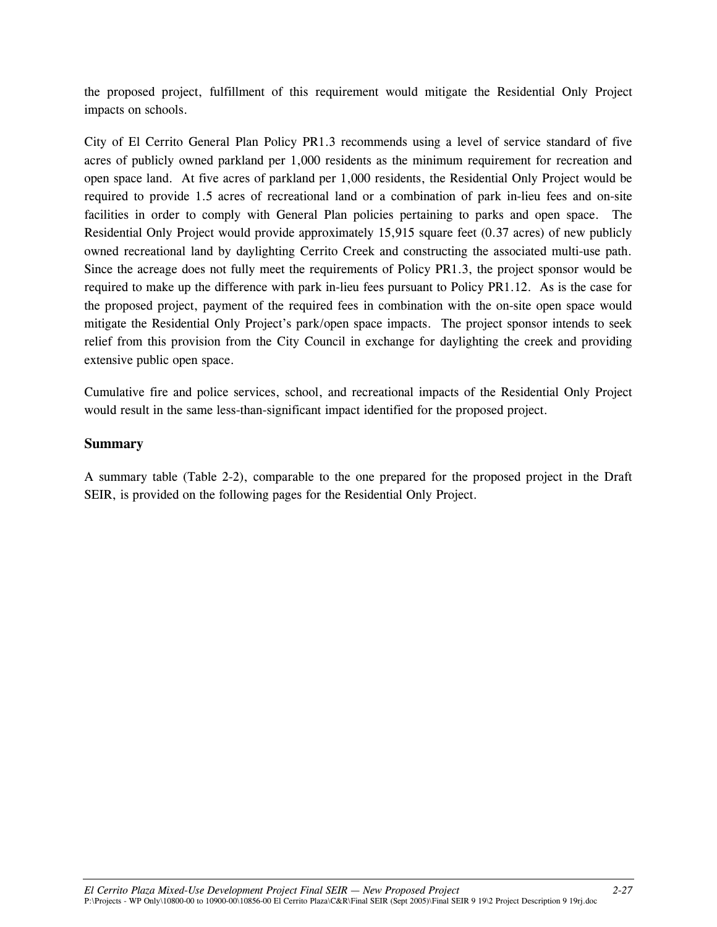the proposed project, fulfillment of this requirement would mitigate the Residential Only Project impacts on schools.

City of El Cerrito General Plan Policy PR1.3 recommends using a level of service standard of five acres of publicly owned parkland per 1,000 residents as the minimum requirement for recreation and open space land. At five acres of parkland per 1,000 residents, the Residential Only Project would be required to provide 1.5 acres of recreational land or a combination of park in-lieu fees and on-site facilities in order to comply with General Plan policies pertaining to parks and open space. The Residential Only Project would provide approximately 15,915 square feet (0.37 acres) of new publicly owned recreational land by daylighting Cerrito Creek and constructing the associated multi-use path. Since the acreage does not fully meet the requirements of Policy PR1.3, the project sponsor would be required to make up the difference with park in-lieu fees pursuant to Policy PR1.12. As is the case for the proposed project, payment of the required fees in combination with the on-site open space would mitigate the Residential Only Project's park/open space impacts. The project sponsor intends to seek relief from this provision from the City Council in exchange for daylighting the creek and providing extensive public open space.

Cumulative fire and police services, school, and recreational impacts of the Residential Only Project would result in the same less-than-significant impact identified for the proposed project.

#### **Summary**

A summary table (Table 2-2), comparable to the one prepared for the proposed project in the Draft SEIR, is provided on the following pages for the Residential Only Project.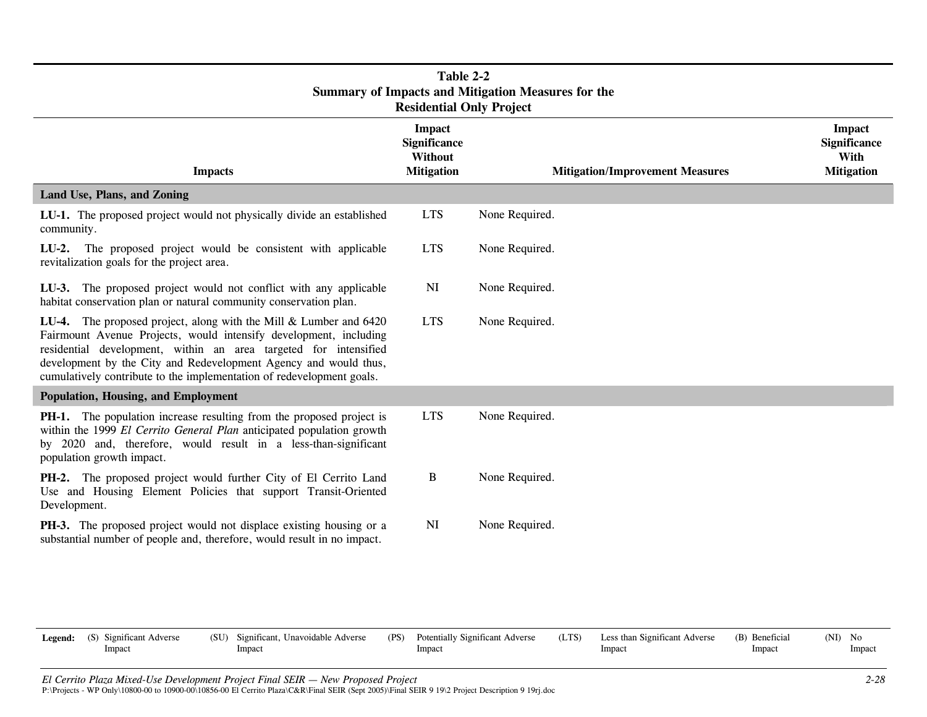| Table 2-2<br><b>Summary of Impacts and Mitigation Measures for the</b><br><b>Residential Only Project</b>                                                                                                                                                                                                                                               |                                                                      |                                        |                                                                   |  |  |  |
|---------------------------------------------------------------------------------------------------------------------------------------------------------------------------------------------------------------------------------------------------------------------------------------------------------------------------------------------------------|----------------------------------------------------------------------|----------------------------------------|-------------------------------------------------------------------|--|--|--|
| <b>Impacts</b>                                                                                                                                                                                                                                                                                                                                          | <b>Impact</b><br>Significance<br><b>Without</b><br><b>Mitigation</b> | <b>Mitigation/Improvement Measures</b> | <b>Impact</b><br><b>Significance</b><br>With<br><b>Mitigation</b> |  |  |  |
| Land Use, Plans, and Zoning                                                                                                                                                                                                                                                                                                                             |                                                                      |                                        |                                                                   |  |  |  |
| LU-1. The proposed project would not physically divide an established<br>community.                                                                                                                                                                                                                                                                     | <b>LTS</b>                                                           | None Required.                         |                                                                   |  |  |  |
| LU-2. The proposed project would be consistent with applicable<br>revitalization goals for the project area.                                                                                                                                                                                                                                            | <b>LTS</b>                                                           | None Required.                         |                                                                   |  |  |  |
| LU-3. The proposed project would not conflict with any applicable<br>habitat conservation plan or natural community conservation plan.                                                                                                                                                                                                                  | NI                                                                   | None Required.                         |                                                                   |  |  |  |
| LU-4. The proposed project, along with the Mill & Lumber and 6420<br>Fairmount Avenue Projects, would intensify development, including<br>residential development, within an area targeted for intensified<br>development by the City and Redevelopment Agency and would thus,<br>cumulatively contribute to the implementation of redevelopment goals. | <b>LTS</b>                                                           | None Required.                         |                                                                   |  |  |  |
| Population, Housing, and Employment                                                                                                                                                                                                                                                                                                                     |                                                                      |                                        |                                                                   |  |  |  |
| <b>PH-1.</b> The population increase resulting from the proposed project is<br>within the 1999 El Cerrito General Plan anticipated population growth<br>by 2020 and, therefore, would result in a less-than-significant<br>population growth impact.                                                                                                    | <b>LTS</b>                                                           | None Required.                         |                                                                   |  |  |  |
| PH-2. The proposed project would further City of El Cerrito Land<br>Use and Housing Element Policies that support Transit-Oriented<br>Development.                                                                                                                                                                                                      | B                                                                    | None Required.                         |                                                                   |  |  |  |
| PH-3. The proposed project would not displace existing housing or a<br>substantial number of people and, therefore, would result in no impact.                                                                                                                                                                                                          | NI                                                                   | None Required.                         |                                                                   |  |  |  |

| <b>Legend:</b> (S) Significant Adverse<br>Impact | (SU) Significant, Unavoidable Adverse<br>Impact | (PS) Potentially Significant Adverse<br>Impact | (LTS) | Less than Significant Adverse<br>Impact | (B) Beneficial<br>Impact | $(NI)$ No<br>Impact |
|--------------------------------------------------|-------------------------------------------------|------------------------------------------------|-------|-----------------------------------------|--------------------------|---------------------|
|                                                  |                                                 |                                                |       |                                         |                          |                     |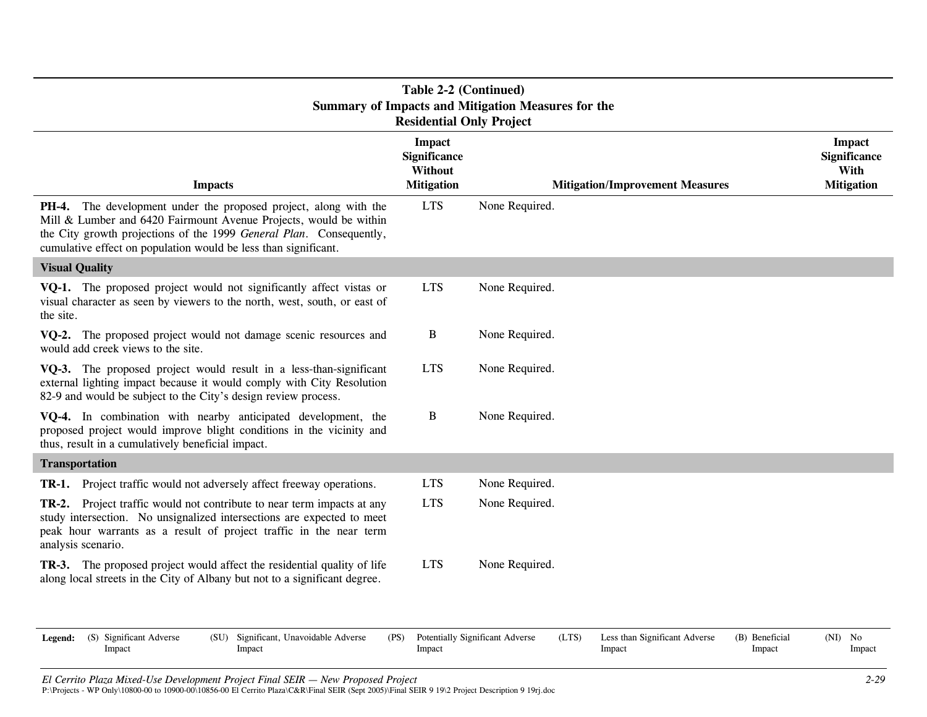|                                                                                                                                                                                                                                                                                        | Table 2-2 (Continued)<br><b>Residential Only Project</b>                    | <b>Summary of Impacts and Mitigation Measures for the</b> |                                         |                          |                                                                   |
|----------------------------------------------------------------------------------------------------------------------------------------------------------------------------------------------------------------------------------------------------------------------------------------|-----------------------------------------------------------------------------|-----------------------------------------------------------|-----------------------------------------|--------------------------|-------------------------------------------------------------------|
| <b>Impacts</b>                                                                                                                                                                                                                                                                         | <b>Impact</b><br><b>Significance</b><br><b>Without</b><br><b>Mitigation</b> |                                                           | <b>Mitigation/Improvement Measures</b>  |                          | <b>Impact</b><br><b>Significance</b><br>With<br><b>Mitigation</b> |
| <b>PH-4.</b> The development under the proposed project, along with the<br>Mill & Lumber and 6420 Fairmount Avenue Projects, would be within<br>the City growth projections of the 1999 General Plan. Consequently,<br>cumulative effect on population would be less than significant. | <b>LTS</b>                                                                  | None Required.                                            |                                         |                          |                                                                   |
| <b>Visual Quality</b>                                                                                                                                                                                                                                                                  |                                                                             |                                                           |                                         |                          |                                                                   |
| VQ-1. The proposed project would not significantly affect vistas or<br>visual character as seen by viewers to the north, west, south, or east of<br>the site.                                                                                                                          | <b>LTS</b>                                                                  | None Required.                                            |                                         |                          |                                                                   |
| VQ-2. The proposed project would not damage scenic resources and<br>would add creek views to the site.                                                                                                                                                                                 | B                                                                           | None Required.                                            |                                         |                          |                                                                   |
| VQ-3. The proposed project would result in a less-than-significant<br>external lighting impact because it would comply with City Resolution<br>82-9 and would be subject to the City's design review process.                                                                          | <b>LTS</b>                                                                  | None Required.                                            |                                         |                          |                                                                   |
| VQ-4. In combination with nearby anticipated development, the<br>proposed project would improve blight conditions in the vicinity and<br>thus, result in a cumulatively beneficial impact.                                                                                             | B                                                                           | None Required.                                            |                                         |                          |                                                                   |
| <b>Transportation</b>                                                                                                                                                                                                                                                                  |                                                                             |                                                           |                                         |                          |                                                                   |
| TR-1. Project traffic would not adversely affect freeway operations.                                                                                                                                                                                                                   | <b>LTS</b>                                                                  | None Required.                                            |                                         |                          |                                                                   |
| TR-2. Project traffic would not contribute to near term impacts at any<br>study intersection. No unsignalized intersections are expected to meet<br>peak hour warrants as a result of project traffic in the near term<br>analysis scenario.                                           | <b>LTS</b>                                                                  | None Required.                                            |                                         |                          |                                                                   |
| TR-3. The proposed project would affect the residential quality of life<br>along local streets in the City of Albany but not to a significant degree.                                                                                                                                  | <b>LTS</b>                                                                  | None Required.                                            |                                         |                          |                                                                   |
| Legend:<br>(S) Significant Adverse<br>(SU)<br>Significant, Unavoidable Adverse<br>Impact<br>Impact                                                                                                                                                                                     | (PS)<br>Impact                                                              | Potentially Significant Adverse<br>(LTS)                  | Less than Significant Adverse<br>Impact | (B) Beneficial<br>Impact | $(NI)$ No<br>Impact                                               |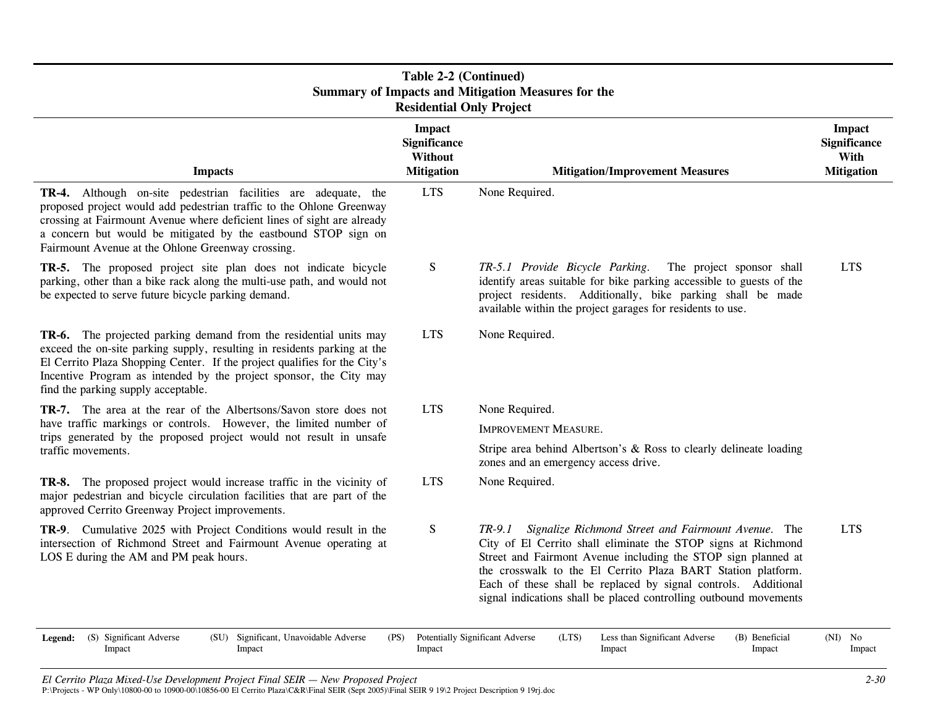| Table 2-2 (Continued)<br><b>Summary of Impacts and Mitigation Measures for the</b><br><b>Residential Only Project</b>                                                                                                                                                                                                                    |                                                                      |                                                                                                                                                                                                                                                                                                                                                                                                          |                                                                   |  |  |  |
|------------------------------------------------------------------------------------------------------------------------------------------------------------------------------------------------------------------------------------------------------------------------------------------------------------------------------------------|----------------------------------------------------------------------|----------------------------------------------------------------------------------------------------------------------------------------------------------------------------------------------------------------------------------------------------------------------------------------------------------------------------------------------------------------------------------------------------------|-------------------------------------------------------------------|--|--|--|
| <b>Impacts</b>                                                                                                                                                                                                                                                                                                                           | <b>Impact</b><br><b>Significance</b><br>Without<br><b>Mitigation</b> | <b>Mitigation/Improvement Measures</b>                                                                                                                                                                                                                                                                                                                                                                   | <b>Impact</b><br><b>Significance</b><br>With<br><b>Mitigation</b> |  |  |  |
| TR-4. Although on-site pedestrian facilities are adequate, the<br>proposed project would add pedestrian traffic to the Ohlone Greenway<br>crossing at Fairmount Avenue where deficient lines of sight are already<br>a concern but would be mitigated by the eastbound STOP sign on<br>Fairmount Avenue at the Ohlone Greenway crossing. | <b>LTS</b>                                                           | None Required.                                                                                                                                                                                                                                                                                                                                                                                           |                                                                   |  |  |  |
| TR-5. The proposed project site plan does not indicate bicycle<br>parking, other than a bike rack along the multi-use path, and would not<br>be expected to serve future bicycle parking demand.                                                                                                                                         | S                                                                    | TR-5.1 Provide Bicycle Parking.<br>The project sponsor shall<br>identify areas suitable for bike parking accessible to guests of the<br>project residents. Additionally, bike parking shall be made<br>available within the project garages for residents to use.                                                                                                                                        | <b>LTS</b>                                                        |  |  |  |
| TR-6. The projected parking demand from the residential units may<br>exceed the on-site parking supply, resulting in residents parking at the<br>El Cerrito Plaza Shopping Center. If the project qualifies for the City's<br>Incentive Program as intended by the project sponsor, the City may<br>find the parking supply acceptable.  | <b>LTS</b>                                                           | None Required.                                                                                                                                                                                                                                                                                                                                                                                           |                                                                   |  |  |  |
| TR-7. The area at the rear of the Albertsons/Savon store does not                                                                                                                                                                                                                                                                        | <b>LTS</b>                                                           | None Required.                                                                                                                                                                                                                                                                                                                                                                                           |                                                                   |  |  |  |
| have traffic markings or controls. However, the limited number of<br>trips generated by the proposed project would not result in unsafe                                                                                                                                                                                                  |                                                                      | <b>IMPROVEMENT MEASURE.</b>                                                                                                                                                                                                                                                                                                                                                                              |                                                                   |  |  |  |
| traffic movements.                                                                                                                                                                                                                                                                                                                       |                                                                      | Stripe area behind Albertson's & Ross to clearly delineate loading<br>zones and an emergency access drive.                                                                                                                                                                                                                                                                                               |                                                                   |  |  |  |
| <b>TR-8.</b> The proposed project would increase traffic in the vicinity of<br>major pedestrian and bicycle circulation facilities that are part of the<br>approved Cerrito Greenway Project improvements.                                                                                                                               | <b>LTS</b>                                                           | None Required.                                                                                                                                                                                                                                                                                                                                                                                           |                                                                   |  |  |  |
| TR-9. Cumulative 2025 with Project Conditions would result in the<br>intersection of Richmond Street and Fairmount Avenue operating at<br>LOS E during the AM and PM peak hours.                                                                                                                                                         | S                                                                    | Signalize Richmond Street and Fairmount Avenue. The<br>$TR-9.1$<br>City of El Cerrito shall eliminate the STOP signs at Richmond<br>Street and Fairmont Avenue including the STOP sign planned at<br>the crosswalk to the El Cerrito Plaza BART Station platform.<br>Each of these shall be replaced by signal controls. Additional<br>signal indications shall be placed controlling outbound movements | <b>LTS</b>                                                        |  |  |  |
| (S) Significant Adverse<br>(SU) Significant, Unavoidable Adverse<br>Legend:<br>Impact<br>Impact                                                                                                                                                                                                                                          | (PS)<br>Impact                                                       | Potentially Significant Adverse<br>Less than Significant Adverse<br>(LTS)<br>(B) Beneficial<br>Impact<br>Impact                                                                                                                                                                                                                                                                                          | $(NI)$ No<br>Impact                                               |  |  |  |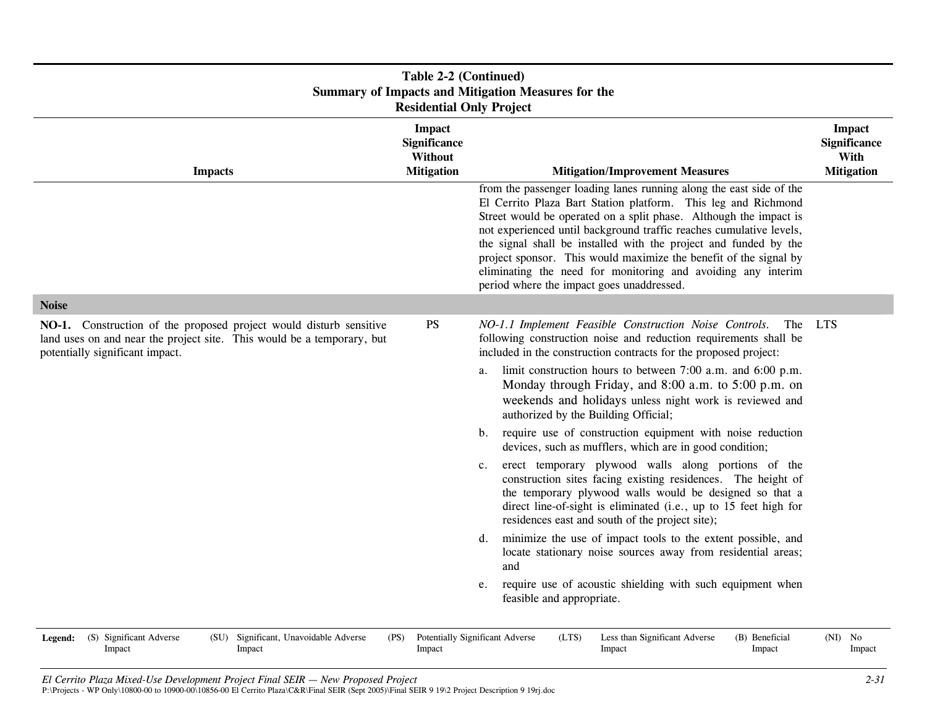| Table 2-2 (Continued)<br><b>Summary of Impacts and Mitigation Measures for the</b><br><b>Residential Only Project</b>                                                           |                                                                      |                                                                                                                                                                                                                                                                                                                                                                                                                                                                                                                                        |                                                                   |  |  |  |
|---------------------------------------------------------------------------------------------------------------------------------------------------------------------------------|----------------------------------------------------------------------|----------------------------------------------------------------------------------------------------------------------------------------------------------------------------------------------------------------------------------------------------------------------------------------------------------------------------------------------------------------------------------------------------------------------------------------------------------------------------------------------------------------------------------------|-------------------------------------------------------------------|--|--|--|
| <b>Impacts</b>                                                                                                                                                                  | <b>Impact</b><br><b>Significance</b><br>Without<br><b>Mitigation</b> | <b>Mitigation/Improvement Measures</b>                                                                                                                                                                                                                                                                                                                                                                                                                                                                                                 | <b>Impact</b><br><b>Significance</b><br>With<br><b>Mitigation</b> |  |  |  |
|                                                                                                                                                                                 |                                                                      | from the passenger loading lanes running along the east side of the<br>El Cerrito Plaza Bart Station platform. This leg and Richmond<br>Street would be operated on a split phase. Although the impact is<br>not experienced until background traffic reaches cumulative levels,<br>the signal shall be installed with the project and funded by the<br>project sponsor. This would maximize the benefit of the signal by<br>eliminating the need for monitoring and avoiding any interim<br>period where the impact goes unaddressed. |                                                                   |  |  |  |
| <b>Noise</b>                                                                                                                                                                    |                                                                      |                                                                                                                                                                                                                                                                                                                                                                                                                                                                                                                                        |                                                                   |  |  |  |
| NO-1. Construction of the proposed project would disturb sensitive<br>land uses on and near the project site. This would be a temporary, but<br>potentially significant impact. | <b>PS</b>                                                            | NO-1.1 Implement Feasible Construction Noise Controls.<br>The<br>following construction noise and reduction requirements shall be<br>included in the construction contracts for the proposed project:<br>limit construction hours to between 7:00 a.m. and 6:00 p.m.<br>a.<br>Monday through Friday, and 8:00 a.m. to 5:00 p.m. on<br>weekends and holidays unless night work is reviewed and<br>authorized by the Building Official;                                                                                                  | <b>LTS</b>                                                        |  |  |  |
|                                                                                                                                                                                 |                                                                      | require use of construction equipment with noise reduction<br>b.<br>devices, such as mufflers, which are in good condition;                                                                                                                                                                                                                                                                                                                                                                                                            |                                                                   |  |  |  |
|                                                                                                                                                                                 |                                                                      | erect temporary plywood walls along portions of the<br>$c_{\cdot}$<br>construction sites facing existing residences. The height of<br>the temporary plywood walls would be designed so that a<br>direct line-of-sight is eliminated (i.e., up to 15 feet high for<br>residences east and south of the project site);                                                                                                                                                                                                                   |                                                                   |  |  |  |
|                                                                                                                                                                                 |                                                                      | minimize the use of impact tools to the extent possible, and<br>d.<br>locate stationary noise sources away from residential areas;<br>and                                                                                                                                                                                                                                                                                                                                                                                              |                                                                   |  |  |  |
|                                                                                                                                                                                 |                                                                      | require use of acoustic shielding with such equipment when<br>e.<br>feasible and appropriate.                                                                                                                                                                                                                                                                                                                                                                                                                                          |                                                                   |  |  |  |
| (S) Significant Adverse<br>(SU) Significant, Unavoidable Adverse<br>Legend:<br>Impact<br>Impact                                                                                 | (PS)<br>Impact                                                       | Potentially Significant Adverse<br>(LTS)<br>Less than Significant Adverse<br>(B) Beneficial<br>Impact<br>Impact                                                                                                                                                                                                                                                                                                                                                                                                                        | $(NI)$ No<br>Impact                                               |  |  |  |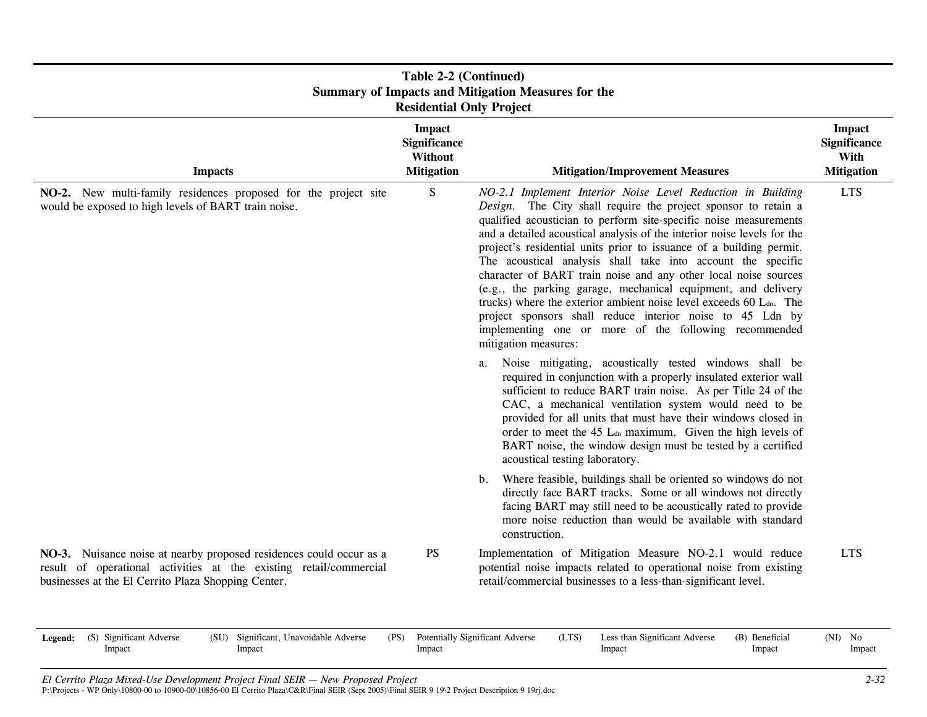| Table 2-2 (Continued)<br><b>Summary of Impacts and Mitigation Measures for the</b><br><b>Residential Only Project</b>                                                                            |                                                                      |                                                                                                                                                                                                                                                                                                                                                                                                                                                                                                                                                                                                                                                                                                                                                                                                                                                                                                                 |                                                            |  |  |  |
|--------------------------------------------------------------------------------------------------------------------------------------------------------------------------------------------------|----------------------------------------------------------------------|-----------------------------------------------------------------------------------------------------------------------------------------------------------------------------------------------------------------------------------------------------------------------------------------------------------------------------------------------------------------------------------------------------------------------------------------------------------------------------------------------------------------------------------------------------------------------------------------------------------------------------------------------------------------------------------------------------------------------------------------------------------------------------------------------------------------------------------------------------------------------------------------------------------------|------------------------------------------------------------|--|--|--|
| <b>Impacts</b>                                                                                                                                                                                   | <b>Impact</b><br><b>Significance</b><br>Without<br><b>Mitigation</b> | <b>Mitigation/Improvement Measures</b>                                                                                                                                                                                                                                                                                                                                                                                                                                                                                                                                                                                                                                                                                                                                                                                                                                                                          | <b>Impact</b><br>Significance<br>With<br><b>Mitigation</b> |  |  |  |
| NO-2. New multi-family residences proposed for the project site<br>would be exposed to high levels of BART train noise.                                                                          | S                                                                    | NO-2.1 Implement Interior Noise Level Reduction in Building<br>Design. The City shall require the project sponsor to retain a<br>qualified acoustician to perform site-specific noise measurements<br>and a detailed acoustical analysis of the interior noise levels for the<br>project's residential units prior to issuance of a building permit.<br>The acoustical analysis shall take into account the specific<br>character of BART train noise and any other local noise sources<br>(e.g., the parking garage, mechanical equipment, and delivery<br>trucks) where the exterior ambient noise level exceeds 60 Ldn. The<br>project sponsors shall reduce interior noise to 45 Ldn by<br>implementing one or more of the following recommended<br>mitigation measures:<br>Noise mitigating, acoustically tested windows shall be<br>a.<br>required in conjunction with a properly insulated exterior wall | <b>LTS</b>                                                 |  |  |  |
|                                                                                                                                                                                                  |                                                                      | sufficient to reduce BART train noise. As per Title 24 of the<br>CAC, a mechanical ventilation system would need to be<br>provided for all units that must have their windows closed in<br>order to meet the 45 Ltn maximum. Given the high levels of<br>BART noise, the window design must be tested by a certified<br>acoustical testing laboratory.                                                                                                                                                                                                                                                                                                                                                                                                                                                                                                                                                          |                                                            |  |  |  |
|                                                                                                                                                                                                  |                                                                      | Where feasible, buildings shall be oriented so windows do not<br>$b_{\cdot}$<br>directly face BART tracks. Some or all windows not directly<br>facing BART may still need to be acoustically rated to provide<br>more noise reduction than would be available with standard<br>construction.                                                                                                                                                                                                                                                                                                                                                                                                                                                                                                                                                                                                                    |                                                            |  |  |  |
| NO-3. Nuisance noise at nearby proposed residences could occur as a<br>result of operational activities at the existing retail/commercial<br>businesses at the El Cerrito Plaza Shopping Center. | <b>PS</b>                                                            | Implementation of Mitigation Measure NO-2.1 would reduce<br>potential noise impacts related to operational noise from existing<br>retail/commercial businesses to a less-than-significant level.                                                                                                                                                                                                                                                                                                                                                                                                                                                                                                                                                                                                                                                                                                                | <b>LTS</b>                                                 |  |  |  |

| Legend: | (S) Significant Adverse | (SU)<br>Significant, Unavoidable Adverse | (PS) | Potentially Significant Adverse | (LTS) | Less than Significant Adverse | (B) Beneficial | (NI) | No     |
|---------|-------------------------|------------------------------------------|------|---------------------------------|-------|-------------------------------|----------------|------|--------|
|         | <b>Impact</b>           | Impact                                   |      | Impact                          |       | mpact                         | Impact         |      | Impact |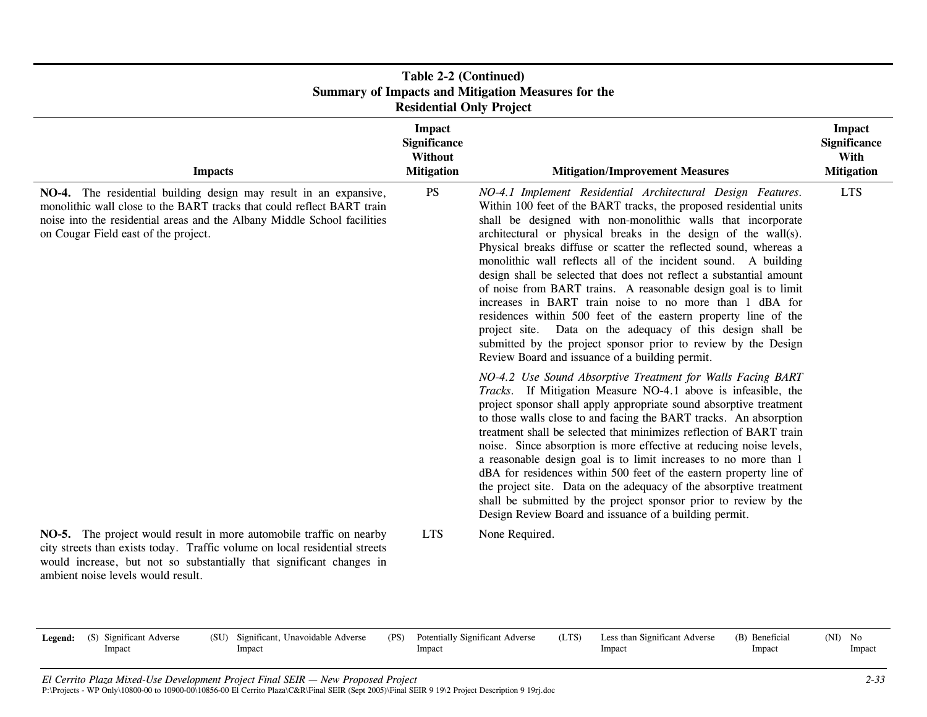| Table 2-2 (Continued)<br><b>Summary of Impacts and Mitigation Measures for the</b><br><b>Residential Only Project</b>                                                                                                                                            |                                                                      |                                                                                                                                                                                                                                                                                                                                                                                                                                                                                                                                                                                                                                                                                                                                                                                                                                                                                                                                                                                                                                                                                                                                                                                                                                                                                                                                                                   |                                                                   |  |  |
|------------------------------------------------------------------------------------------------------------------------------------------------------------------------------------------------------------------------------------------------------------------|----------------------------------------------------------------------|-------------------------------------------------------------------------------------------------------------------------------------------------------------------------------------------------------------------------------------------------------------------------------------------------------------------------------------------------------------------------------------------------------------------------------------------------------------------------------------------------------------------------------------------------------------------------------------------------------------------------------------------------------------------------------------------------------------------------------------------------------------------------------------------------------------------------------------------------------------------------------------------------------------------------------------------------------------------------------------------------------------------------------------------------------------------------------------------------------------------------------------------------------------------------------------------------------------------------------------------------------------------------------------------------------------------------------------------------------------------|-------------------------------------------------------------------|--|--|
| <b>Impacts</b>                                                                                                                                                                                                                                                   | <b>Impact</b><br><b>Significance</b><br>Without<br><b>Mitigation</b> | <b>Mitigation/Improvement Measures</b>                                                                                                                                                                                                                                                                                                                                                                                                                                                                                                                                                                                                                                                                                                                                                                                                                                                                                                                                                                                                                                                                                                                                                                                                                                                                                                                            | <b>Impact</b><br><b>Significance</b><br>With<br><b>Mitigation</b> |  |  |
| NO-4. The residential building design may result in an expansive,<br>monolithic wall close to the BART tracks that could reflect BART train<br>noise into the residential areas and the Albany Middle School facilities<br>on Cougar Field east of the project.  | <b>PS</b>                                                            | NO-4.1 Implement Residential Architectural Design Features.<br>Within 100 feet of the BART tracks, the proposed residential units<br>shall be designed with non-monolithic walls that incorporate<br>architectural or physical breaks in the design of the wall(s).<br>Physical breaks diffuse or scatter the reflected sound, whereas a<br>monolithic wall reflects all of the incident sound. A building<br>design shall be selected that does not reflect a substantial amount<br>of noise from BART trains. A reasonable design goal is to limit<br>increases in BART train noise to no more than 1 dBA for<br>residences within 500 feet of the eastern property line of the<br>project site. Data on the adequacy of this design shall be<br>submitted by the project sponsor prior to review by the Design<br>Review Board and issuance of a building permit.<br>NO-4.2 Use Sound Absorptive Treatment for Walls Facing BART<br>Tracks. If Mitigation Measure NO-4.1 above is infeasible, the<br>project sponsor shall apply appropriate sound absorptive treatment<br>to those walls close to and facing the BART tracks. An absorption<br>treatment shall be selected that minimizes reflection of BART train<br>noise. Since absorption is more effective at reducing noise levels,<br>a reasonable design goal is to limit increases to no more than 1 | <b>LTS</b>                                                        |  |  |
|                                                                                                                                                                                                                                                                  |                                                                      | dBA for residences within 500 feet of the eastern property line of<br>the project site. Data on the adequacy of the absorptive treatment<br>shall be submitted by the project sponsor prior to review by the<br>Design Review Board and issuance of a building permit.                                                                                                                                                                                                                                                                                                                                                                                                                                                                                                                                                                                                                                                                                                                                                                                                                                                                                                                                                                                                                                                                                            |                                                                   |  |  |
| NO-5. The project would result in more automobile traffic on nearby<br>city streets than exists today. Traffic volume on local residential streets<br>would increase, but not so substantially that significant changes in<br>ambient noise levels would result. | <b>LTS</b>                                                           | None Required.                                                                                                                                                                                                                                                                                                                                                                                                                                                                                                                                                                                                                                                                                                                                                                                                                                                                                                                                                                                                                                                                                                                                                                                                                                                                                                                                                    |                                                                   |  |  |

| Legend: | (S) Significant Adverse | (SU)<br>Significant, Unavoidable Adverse | (PS) | <b>Potentially Significant Adverse</b> | (LTS) | Less than Significant Adverse | (B) Beneficial | (NI)<br>No |
|---------|-------------------------|------------------------------------------|------|----------------------------------------|-------|-------------------------------|----------------|------------|
|         | Impact                  | Impact                                   |      | Impact                                 |       | Impact                        | Impact         | Impact     |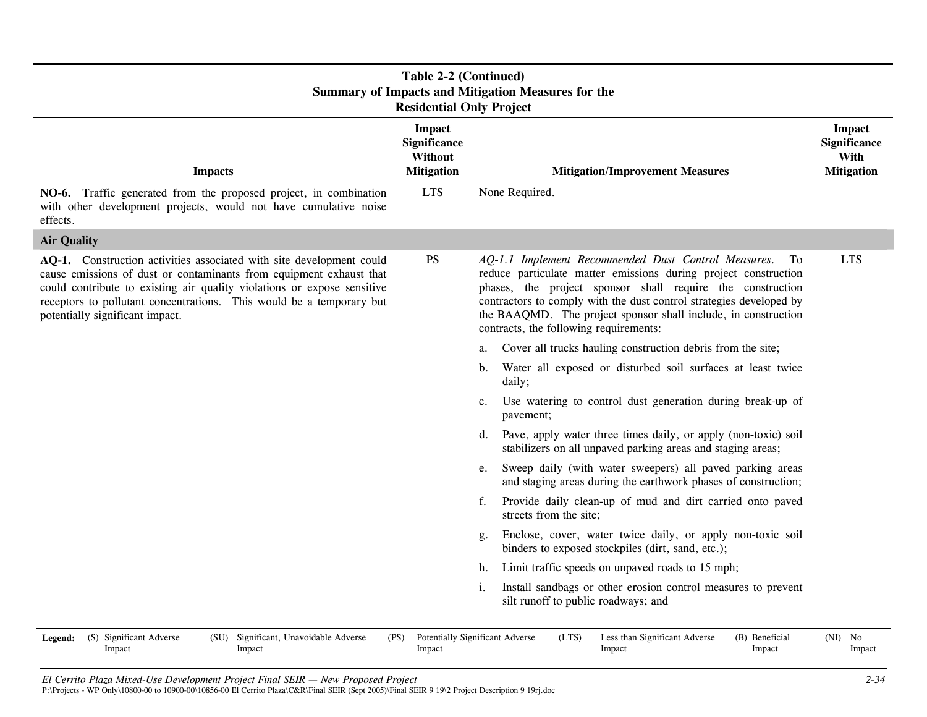| <b>Table 2-2 (Continued)</b><br><b>Summary of Impacts and Mitigation Measures for the</b><br><b>Residential Only Project</b>                                                                                                                                                                                                      |                                                                      |                                                                                                                                                                                                                                                                                                                                                                               |                                                                   |  |  |
|-----------------------------------------------------------------------------------------------------------------------------------------------------------------------------------------------------------------------------------------------------------------------------------------------------------------------------------|----------------------------------------------------------------------|-------------------------------------------------------------------------------------------------------------------------------------------------------------------------------------------------------------------------------------------------------------------------------------------------------------------------------------------------------------------------------|-------------------------------------------------------------------|--|--|
| <b>Impacts</b>                                                                                                                                                                                                                                                                                                                    | <b>Impact</b><br><b>Significance</b><br>Without<br><b>Mitigation</b> | <b>Mitigation/Improvement Measures</b>                                                                                                                                                                                                                                                                                                                                        | <b>Impact</b><br><b>Significance</b><br>With<br><b>Mitigation</b> |  |  |
| NO-6. Traffic generated from the proposed project, in combination<br>with other development projects, would not have cumulative noise<br>effects.                                                                                                                                                                                 | <b>LTS</b>                                                           | None Required.                                                                                                                                                                                                                                                                                                                                                                |                                                                   |  |  |
| <b>Air Quality</b>                                                                                                                                                                                                                                                                                                                |                                                                      |                                                                                                                                                                                                                                                                                                                                                                               |                                                                   |  |  |
| AQ-1. Construction activities associated with site development could<br>cause emissions of dust or contaminants from equipment exhaust that<br>could contribute to existing air quality violations or expose sensitive<br>receptors to pollutant concentrations. This would be a temporary but<br>potentially significant impact. | <b>PS</b>                                                            | AQ-1.1 Implement Recommended Dust Control Measures.<br>To<br>reduce particulate matter emissions during project construction<br>phases, the project sponsor shall require the construction<br>contractors to comply with the dust control strategies developed by<br>the BAAQMD. The project sponsor shall include, in construction<br>contracts, the following requirements: | <b>LTS</b>                                                        |  |  |
|                                                                                                                                                                                                                                                                                                                                   |                                                                      | Cover all trucks hauling construction debris from the site;<br>a.                                                                                                                                                                                                                                                                                                             |                                                                   |  |  |
|                                                                                                                                                                                                                                                                                                                                   |                                                                      | Water all exposed or disturbed soil surfaces at least twice<br>b.<br>daily;                                                                                                                                                                                                                                                                                                   |                                                                   |  |  |
|                                                                                                                                                                                                                                                                                                                                   |                                                                      | Use watering to control dust generation during break-up of<br>$c_{\cdot}$<br>pavement;                                                                                                                                                                                                                                                                                        |                                                                   |  |  |
|                                                                                                                                                                                                                                                                                                                                   |                                                                      | Pave, apply water three times daily, or apply (non-toxic) soil<br>d.<br>stabilizers on all unpaved parking areas and staging areas;                                                                                                                                                                                                                                           |                                                                   |  |  |
|                                                                                                                                                                                                                                                                                                                                   |                                                                      | Sweep daily (with water sweepers) all paved parking areas<br>e.<br>and staging areas during the earthwork phases of construction;                                                                                                                                                                                                                                             |                                                                   |  |  |
|                                                                                                                                                                                                                                                                                                                                   |                                                                      | Provide daily clean-up of mud and dirt carried onto paved<br>f.<br>streets from the site;                                                                                                                                                                                                                                                                                     |                                                                   |  |  |
|                                                                                                                                                                                                                                                                                                                                   |                                                                      | Enclose, cover, water twice daily, or apply non-toxic soil<br>g.<br>binders to exposed stockpiles (dirt, sand, etc.);                                                                                                                                                                                                                                                         |                                                                   |  |  |
|                                                                                                                                                                                                                                                                                                                                   |                                                                      | Limit traffic speeds on unpaved roads to 15 mph;<br>h.                                                                                                                                                                                                                                                                                                                        |                                                                   |  |  |
|                                                                                                                                                                                                                                                                                                                                   |                                                                      | Install sandbags or other erosion control measures to prevent<br>i.<br>silt runoff to public roadways; and                                                                                                                                                                                                                                                                    |                                                                   |  |  |
| (S) Significant Adverse<br>(SU)<br>Significant, Unavoidable Adverse<br><b>Legend:</b><br>Impact<br>Impact                                                                                                                                                                                                                         | (PS)<br>Impact                                                       | Potentially Significant Adverse<br>(LTS)<br>Less than Significant Adverse<br>(B) Beneficial<br>Impact<br>Impact                                                                                                                                                                                                                                                               | $(NI)$ No<br>Impact                                               |  |  |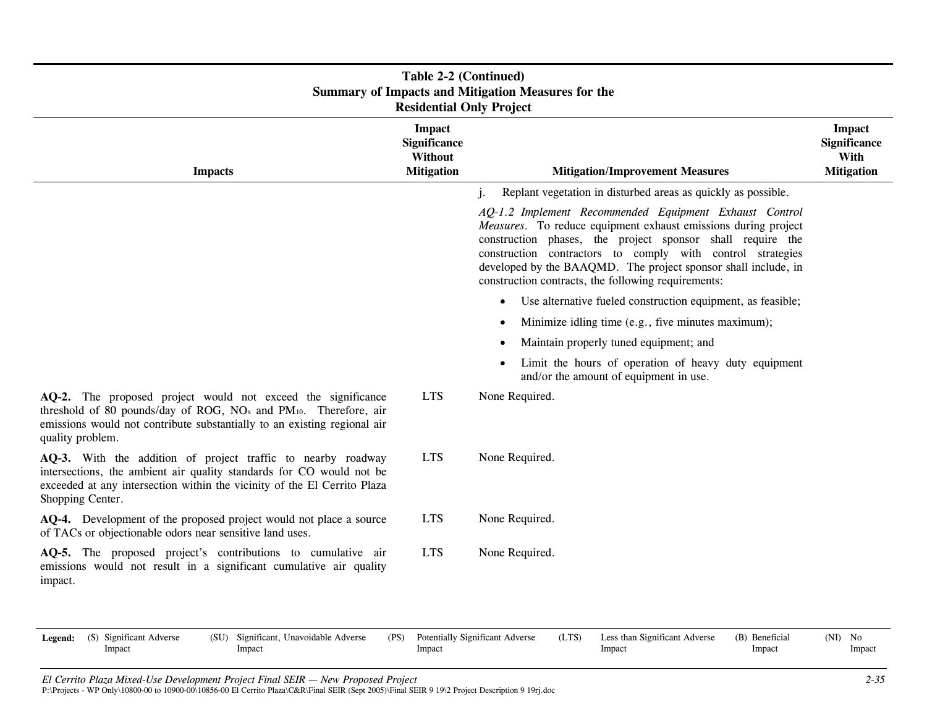| <b>Summary of Impacts and Mitigation Measures for the</b><br><b>Residential Only Project</b>                                                                                                                                                             |                                                                      |                                                                                                                                                                                                                                                                                                                                                                               |                                                                   |  |  |  |  |
|----------------------------------------------------------------------------------------------------------------------------------------------------------------------------------------------------------------------------------------------------------|----------------------------------------------------------------------|-------------------------------------------------------------------------------------------------------------------------------------------------------------------------------------------------------------------------------------------------------------------------------------------------------------------------------------------------------------------------------|-------------------------------------------------------------------|--|--|--|--|
| <b>Impacts</b>                                                                                                                                                                                                                                           | <b>Impact</b><br><b>Significance</b><br>Without<br><b>Mitigation</b> | <b>Mitigation/Improvement Measures</b>                                                                                                                                                                                                                                                                                                                                        | <b>Impact</b><br><b>Significance</b><br>With<br><b>Mitigation</b> |  |  |  |  |
|                                                                                                                                                                                                                                                          |                                                                      | Replant vegetation in disturbed areas as quickly as possible.<br>j.                                                                                                                                                                                                                                                                                                           |                                                                   |  |  |  |  |
|                                                                                                                                                                                                                                                          |                                                                      | AQ-1.2 Implement Recommended Equipment Exhaust Control<br>Measures. To reduce equipment exhaust emissions during project<br>construction phases, the project sponsor shall require the<br>construction contractors to comply with control strategies<br>developed by the BAAQMD. The project sponsor shall include, in<br>construction contracts, the following requirements: |                                                                   |  |  |  |  |
|                                                                                                                                                                                                                                                          |                                                                      | Use alternative fueled construction equipment, as feasible;<br>$\bullet$                                                                                                                                                                                                                                                                                                      |                                                                   |  |  |  |  |
|                                                                                                                                                                                                                                                          |                                                                      | Minimize idling time (e.g., five minutes maximum);<br>$\bullet$                                                                                                                                                                                                                                                                                                               |                                                                   |  |  |  |  |
|                                                                                                                                                                                                                                                          |                                                                      | Maintain properly tuned equipment; and<br>$\bullet$                                                                                                                                                                                                                                                                                                                           |                                                                   |  |  |  |  |
|                                                                                                                                                                                                                                                          |                                                                      | Limit the hours of operation of heavy duty equipment<br>$\bullet$<br>and/or the amount of equipment in use.                                                                                                                                                                                                                                                                   |                                                                   |  |  |  |  |
| AQ-2. The proposed project would not exceed the significance<br>threshold of 80 pounds/day of ROG, NO <sub>x</sub> and PM <sub>10</sub> . Therefore, air<br>emissions would not contribute substantially to an existing regional air<br>quality problem. | <b>LTS</b>                                                           | None Required.                                                                                                                                                                                                                                                                                                                                                                |                                                                   |  |  |  |  |
| AQ-3. With the addition of project traffic to nearby roadway<br>intersections, the ambient air quality standards for CO would not be<br>exceeded at any intersection within the vicinity of the El Cerrito Plaza<br>Shopping Center.                     | <b>LTS</b>                                                           | None Required.                                                                                                                                                                                                                                                                                                                                                                |                                                                   |  |  |  |  |
| AQ-4. Development of the proposed project would not place a source<br>of TACs or objectionable odors near sensitive land uses.                                                                                                                           | <b>LTS</b>                                                           | None Required.                                                                                                                                                                                                                                                                                                                                                                |                                                                   |  |  |  |  |
| AQ-5. The proposed project's contributions to cumulative air<br>emissions would not result in a significant cumulative air quality<br>impact.                                                                                                            | <b>LTS</b>                                                           | None Required.                                                                                                                                                                                                                                                                                                                                                                |                                                                   |  |  |  |  |

#### Impact Impact Impact Impact

Impact

Impact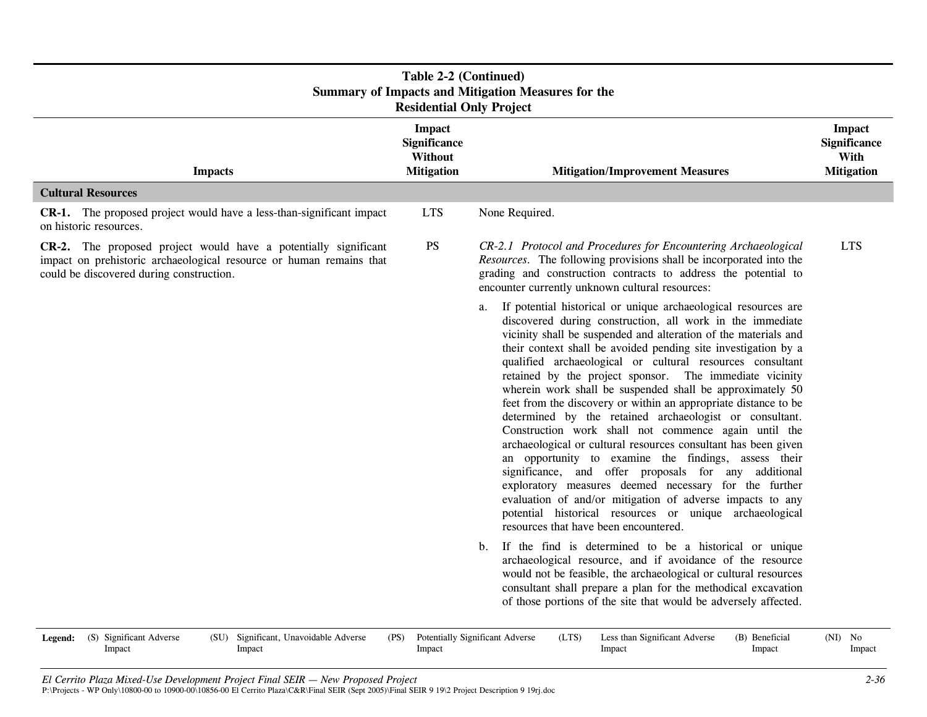| Table 2-2 (Continued)<br><b>Summary of Impacts and Mitigation Measures for the</b><br><b>Residential Only Project</b>                                                              |                                                                             |                                                                                                                                                                                                                                                                                                                                                                                                                                                                                                                                                                                                                                                                                                                                                                                                                                                                                                                                                                                                                                                                                                                                                                                                                                                                                                                                                                                                            |                                                                   |  |  |  |
|------------------------------------------------------------------------------------------------------------------------------------------------------------------------------------|-----------------------------------------------------------------------------|------------------------------------------------------------------------------------------------------------------------------------------------------------------------------------------------------------------------------------------------------------------------------------------------------------------------------------------------------------------------------------------------------------------------------------------------------------------------------------------------------------------------------------------------------------------------------------------------------------------------------------------------------------------------------------------------------------------------------------------------------------------------------------------------------------------------------------------------------------------------------------------------------------------------------------------------------------------------------------------------------------------------------------------------------------------------------------------------------------------------------------------------------------------------------------------------------------------------------------------------------------------------------------------------------------------------------------------------------------------------------------------------------------|-------------------------------------------------------------------|--|--|--|
| <b>Impacts</b>                                                                                                                                                                     | <b>Impact</b><br><b>Significance</b><br><b>Without</b><br><b>Mitigation</b> | <b>Mitigation/Improvement Measures</b>                                                                                                                                                                                                                                                                                                                                                                                                                                                                                                                                                                                                                                                                                                                                                                                                                                                                                                                                                                                                                                                                                                                                                                                                                                                                                                                                                                     | <b>Impact</b><br><b>Significance</b><br>With<br><b>Mitigation</b> |  |  |  |
| <b>Cultural Resources</b>                                                                                                                                                          |                                                                             |                                                                                                                                                                                                                                                                                                                                                                                                                                                                                                                                                                                                                                                                                                                                                                                                                                                                                                                                                                                                                                                                                                                                                                                                                                                                                                                                                                                                            |                                                                   |  |  |  |
| <b>CR-1.</b> The proposed project would have a less-than-significant impact<br>on historic resources.                                                                              | <b>LTS</b>                                                                  | None Required.                                                                                                                                                                                                                                                                                                                                                                                                                                                                                                                                                                                                                                                                                                                                                                                                                                                                                                                                                                                                                                                                                                                                                                                                                                                                                                                                                                                             |                                                                   |  |  |  |
| CR-2. The proposed project would have a potentially significant<br>impact on prehistoric archaeological resource or human remains that<br>could be discovered during construction. | <b>PS</b>                                                                   | CR-2.1 Protocol and Procedures for Encountering Archaeological<br>Resources. The following provisions shall be incorporated into the<br>grading and construction contracts to address the potential to<br>encounter currently unknown cultural resources:                                                                                                                                                                                                                                                                                                                                                                                                                                                                                                                                                                                                                                                                                                                                                                                                                                                                                                                                                                                                                                                                                                                                                  | <b>LTS</b>                                                        |  |  |  |
|                                                                                                                                                                                    |                                                                             | If potential historical or unique archaeological resources are<br>a.<br>discovered during construction, all work in the immediate<br>vicinity shall be suspended and alteration of the materials and<br>their context shall be avoided pending site investigation by a<br>qualified archaeological or cultural resources consultant<br>retained by the project sponsor. The immediate vicinity<br>wherein work shall be suspended shall be approximately 50<br>feet from the discovery or within an appropriate distance to be<br>determined by the retained archaeologist or consultant.<br>Construction work shall not commence again until the<br>archaeological or cultural resources consultant has been given<br>an opportunity to examine the findings, assess their<br>significance, and offer proposals for any additional<br>exploratory measures deemed necessary for the further<br>evaluation of and/or mitigation of adverse impacts to any<br>potential historical resources or unique archaeological<br>resources that have been encountered.<br>If the find is determined to be a historical or unique<br>$b_{\cdot}$<br>archaeological resource, and if avoidance of the resource<br>would not be feasible, the archaeological or cultural resources<br>consultant shall prepare a plan for the methodical excavation<br>of those portions of the site that would be adversely affected. |                                                                   |  |  |  |

| <b>Legend:</b> (S) Significant Adverse | Significant, Unavoidable Adverse<br>(SU) | (PS) | <b>Potentially Significant Adverse</b> | (LTS) | Less than Significant Adverse | (B) Beneficial | (NI) | No.    |
|----------------------------------------|------------------------------------------|------|----------------------------------------|-------|-------------------------------|----------------|------|--------|
| Impact                                 | Impact                                   |      | Impact                                 |       | Impact                        | Impact         |      | Impact |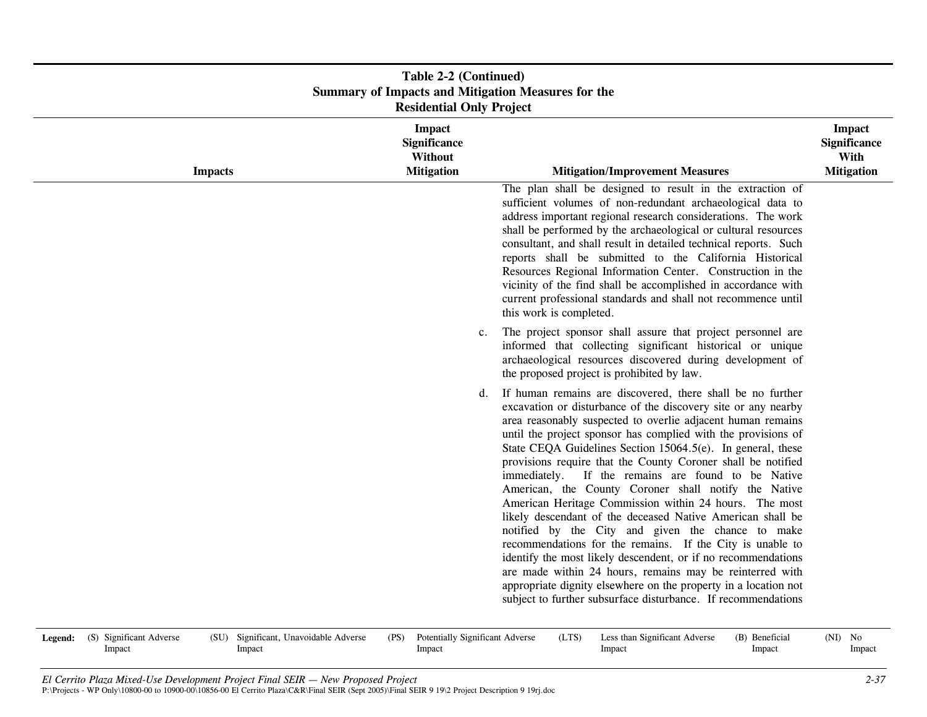| Table 2-2 (Continued)<br><b>Summary of Impacts and Mitigation Measures for the</b><br><b>Residential Only Project</b> |                                                               |                                                                                                                                                                                                                                                                                                                                                                                                                                                                                                                                                                                                                                                                                                                                                                                                                                                                                                                                                                                                                     |                                                                   |  |  |
|-----------------------------------------------------------------------------------------------------------------------|---------------------------------------------------------------|---------------------------------------------------------------------------------------------------------------------------------------------------------------------------------------------------------------------------------------------------------------------------------------------------------------------------------------------------------------------------------------------------------------------------------------------------------------------------------------------------------------------------------------------------------------------------------------------------------------------------------------------------------------------------------------------------------------------------------------------------------------------------------------------------------------------------------------------------------------------------------------------------------------------------------------------------------------------------------------------------------------------|-------------------------------------------------------------------|--|--|
| <b>Impacts</b>                                                                                                        | <b>Impact</b><br>Significance<br>Without<br><b>Mitigation</b> | <b>Mitigation/Improvement Measures</b>                                                                                                                                                                                                                                                                                                                                                                                                                                                                                                                                                                                                                                                                                                                                                                                                                                                                                                                                                                              | <b>Impact</b><br><b>Significance</b><br>With<br><b>Mitigation</b> |  |  |
|                                                                                                                       |                                                               | The plan shall be designed to result in the extraction of<br>sufficient volumes of non-redundant archaeological data to<br>address important regional research considerations. The work<br>shall be performed by the archaeological or cultural resources<br>consultant, and shall result in detailed technical reports. Such<br>reports shall be submitted to the California Historical<br>Resources Regional Information Center. Construction in the<br>vicinity of the find shall be accomplished in accordance with<br>current professional standards and shall not recommence until<br>this work is completed.                                                                                                                                                                                                                                                                                                                                                                                                 |                                                                   |  |  |
|                                                                                                                       | $c_{\cdot}$                                                   | The project sponsor shall assure that project personnel are<br>informed that collecting significant historical or unique<br>archaeological resources discovered during development of<br>the proposed project is prohibited by law.                                                                                                                                                                                                                                                                                                                                                                                                                                                                                                                                                                                                                                                                                                                                                                                 |                                                                   |  |  |
|                                                                                                                       | d.                                                            | If human remains are discovered, there shall be no further<br>excavation or disturbance of the discovery site or any nearby<br>area reasonably suspected to overlie adjacent human remains<br>until the project sponsor has complied with the provisions of<br>State CEQA Guidelines Section 15064.5(e). In general, these<br>provisions require that the County Coroner shall be notified<br>immediately. If the remains are found to be Native<br>American, the County Coroner shall notify the Native<br>American Heritage Commission within 24 hours. The most<br>likely descendant of the deceased Native American shall be<br>notified by the City and given the chance to make<br>recommendations for the remains. If the City is unable to<br>identify the most likely descendent, or if no recommendations<br>are made within 24 hours, remains may be reinterred with<br>appropriate dignity elsewhere on the property in a location not<br>subject to further subsurface disturbance. If recommendations |                                                                   |  |  |

| <b>Legend:</b> (S) Significant Adverse | (SU) Significant, Unavoidable Adverse | (PS) Potentially Significant Adverse | (LTS) | Less than Significant Adverse | (B) Beneficial | $(NI)$ No |        |
|----------------------------------------|---------------------------------------|--------------------------------------|-------|-------------------------------|----------------|-----------|--------|
| Impact                                 | Impact                                | Impact                               |       | Impact                        | Impact         |           | Impact |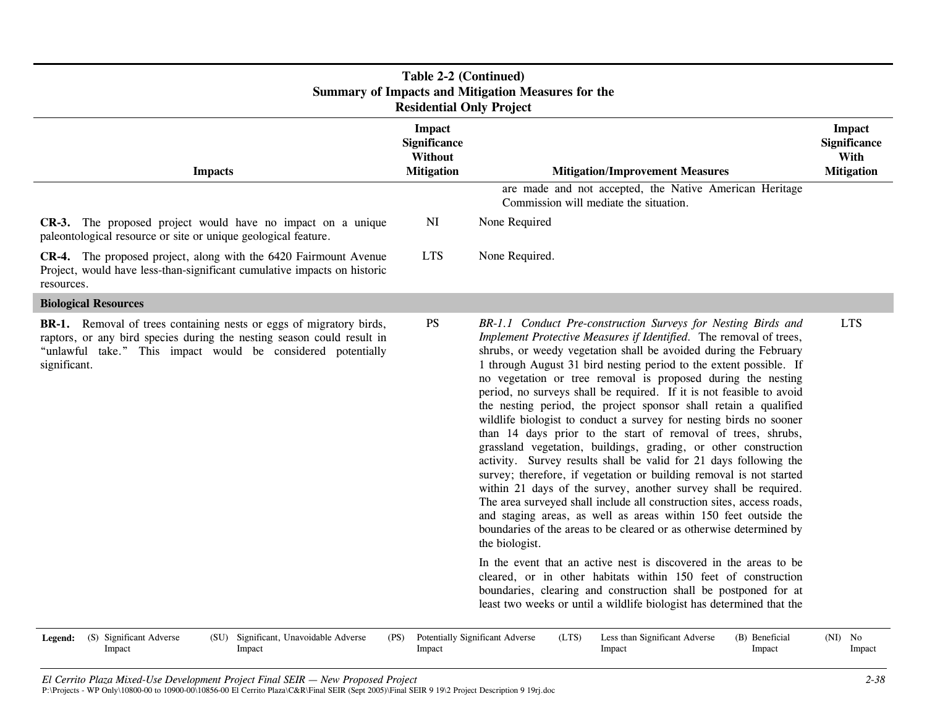| Table 2-2 (Continued)<br><b>Summary of Impacts and Mitigation Measures for the</b><br><b>Residential Only Project</b>                                                                                                                |                                                               |                                                                                                                                                                                                                                                                                                                                                                                                                                                                                                                                                                                                                                                                                                                                                                                                                                                                                                                                                                                                                                                                                                                                                        |                                                                   |  |  |
|--------------------------------------------------------------------------------------------------------------------------------------------------------------------------------------------------------------------------------------|---------------------------------------------------------------|--------------------------------------------------------------------------------------------------------------------------------------------------------------------------------------------------------------------------------------------------------------------------------------------------------------------------------------------------------------------------------------------------------------------------------------------------------------------------------------------------------------------------------------------------------------------------------------------------------------------------------------------------------------------------------------------------------------------------------------------------------------------------------------------------------------------------------------------------------------------------------------------------------------------------------------------------------------------------------------------------------------------------------------------------------------------------------------------------------------------------------------------------------|-------------------------------------------------------------------|--|--|
| <b>Impacts</b>                                                                                                                                                                                                                       | <b>Impact</b><br>Significance<br>Without<br><b>Mitigation</b> | <b>Mitigation/Improvement Measures</b>                                                                                                                                                                                                                                                                                                                                                                                                                                                                                                                                                                                                                                                                                                                                                                                                                                                                                                                                                                                                                                                                                                                 | <b>Impact</b><br><b>Significance</b><br>With<br><b>Mitigation</b> |  |  |
|                                                                                                                                                                                                                                      |                                                               | are made and not accepted, the Native American Heritage<br>Commission will mediate the situation.                                                                                                                                                                                                                                                                                                                                                                                                                                                                                                                                                                                                                                                                                                                                                                                                                                                                                                                                                                                                                                                      |                                                                   |  |  |
| <b>CR-3.</b> The proposed project would have no impact on a unique<br>paleontological resource or site or unique geological feature.                                                                                                 | NI                                                            | None Required                                                                                                                                                                                                                                                                                                                                                                                                                                                                                                                                                                                                                                                                                                                                                                                                                                                                                                                                                                                                                                                                                                                                          |                                                                   |  |  |
| <b>CR-4.</b> The proposed project, along with the 6420 Fairmount Avenue<br>Project, would have less-than-significant cumulative impacts on historic<br>resources.                                                                    | <b>LTS</b>                                                    | None Required.                                                                                                                                                                                                                                                                                                                                                                                                                                                                                                                                                                                                                                                                                                                                                                                                                                                                                                                                                                                                                                                                                                                                         |                                                                   |  |  |
| <b>Biological Resources</b>                                                                                                                                                                                                          |                                                               |                                                                                                                                                                                                                                                                                                                                                                                                                                                                                                                                                                                                                                                                                                                                                                                                                                                                                                                                                                                                                                                                                                                                                        |                                                                   |  |  |
| <b>BR-1.</b> Removal of trees containing nests or eggs of migratory birds,<br>raptors, or any bird species during the nesting season could result in<br>"unlawful take." This impact would be considered potentially<br>significant. | <b>PS</b>                                                     | BR-1.1 Conduct Pre-construction Surveys for Nesting Birds and<br>Implement Protective Measures if Identified. The removal of trees,<br>shrubs, or weedy vegetation shall be avoided during the February<br>1 through August 31 bird nesting period to the extent possible. If<br>no vegetation or tree removal is proposed during the nesting<br>period, no surveys shall be required. If it is not feasible to avoid<br>the nesting period, the project sponsor shall retain a qualified<br>wildlife biologist to conduct a survey for nesting birds no sooner<br>than 14 days prior to the start of removal of trees, shrubs,<br>grassland vegetation, buildings, grading, or other construction<br>activity. Survey results shall be valid for 21 days following the<br>survey; therefore, if vegetation or building removal is not started<br>within 21 days of the survey, another survey shall be required.<br>The area surveyed shall include all construction sites, access roads,<br>and staging areas, as well as areas within 150 feet outside the<br>boundaries of the areas to be cleared or as otherwise determined by<br>the biologist. | <b>LTS</b>                                                        |  |  |
|                                                                                                                                                                                                                                      |                                                               | In the event that an active nest is discovered in the areas to be<br>cleared, or in other habitats within 150 feet of construction<br>boundaries, clearing and construction shall be postponed for at<br>least two weeks or until a wildlife biologist has determined that the                                                                                                                                                                                                                                                                                                                                                                                                                                                                                                                                                                                                                                                                                                                                                                                                                                                                         |                                                                   |  |  |
| (S) Significant Adverse<br>(SU) Significant, Unavoidable Adverse<br>Legend:                                                                                                                                                          | (PS)                                                          | Potentially Significant Adverse<br>(LTS)<br>Less than Significant Adverse<br>(B) Beneficial                                                                                                                                                                                                                                                                                                                                                                                                                                                                                                                                                                                                                                                                                                                                                                                                                                                                                                                                                                                                                                                            | $(NI)$ No                                                         |  |  |

Impact

Impact

Impact

Impact

Impact

Impact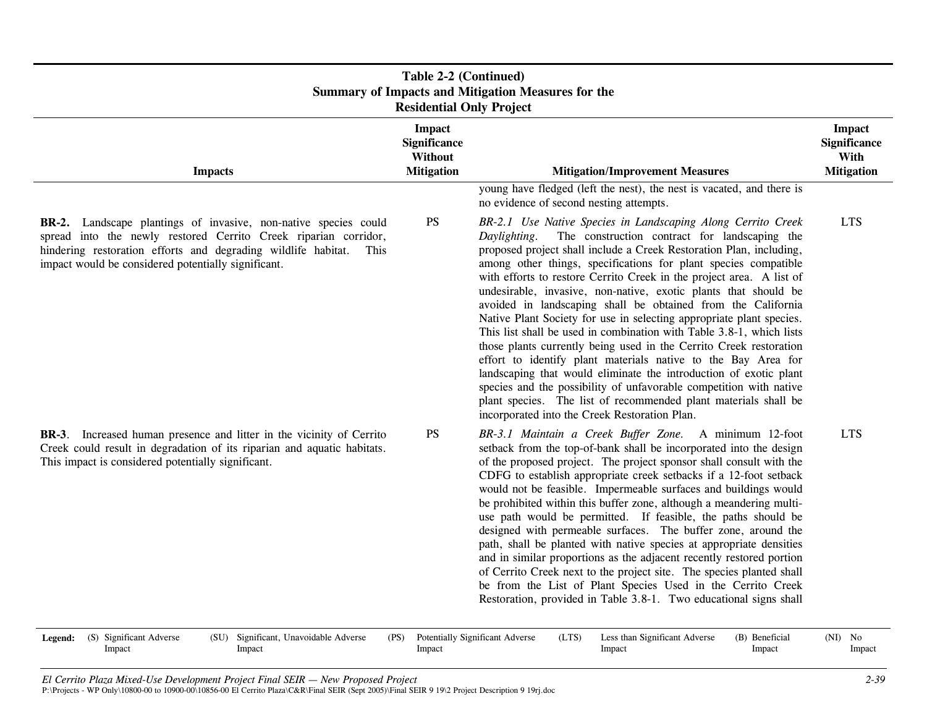| Table 2-2 (Continued)<br><b>Summary of Impacts and Mitigation Measures for the</b><br><b>Residential Only Project</b> |                                                                                                                                                                                                                                                                                                                                                                                                                                                                                                                                                                                                                                                                                                                                                                                                                                                                                                                                                                                                                                                                                     |                                                                                                    |  |  |  |  |
|-----------------------------------------------------------------------------------------------------------------------|-------------------------------------------------------------------------------------------------------------------------------------------------------------------------------------------------------------------------------------------------------------------------------------------------------------------------------------------------------------------------------------------------------------------------------------------------------------------------------------------------------------------------------------------------------------------------------------------------------------------------------------------------------------------------------------------------------------------------------------------------------------------------------------------------------------------------------------------------------------------------------------------------------------------------------------------------------------------------------------------------------------------------------------------------------------------------------------|----------------------------------------------------------------------------------------------------|--|--|--|--|
| <b>Impact</b><br><b>Significance</b><br>Without<br><b>Mitigation</b>                                                  | <b>Mitigation/Improvement Measures</b><br>young have fledged (left the nest), the nest is vacated, and there is                                                                                                                                                                                                                                                                                                                                                                                                                                                                                                                                                                                                                                                                                                                                                                                                                                                                                                                                                                     | <b>Impact</b><br><b>Significance</b><br>With<br><b>Mitigation</b>                                  |  |  |  |  |
| <b>PS</b>                                                                                                             | no evidence of second nesting attempts.<br>BR-2.1 Use Native Species in Landscaping Along Cerrito Creek<br>The construction contract for landscaping the<br>Daylighting.<br>proposed project shall include a Creek Restoration Plan, including,<br>among other things, specifications for plant species compatible<br>with efforts to restore Cerrito Creek in the project area. A list of<br>undesirable, invasive, non-native, exotic plants that should be<br>avoided in landscaping shall be obtained from the California<br>Native Plant Society for use in selecting appropriate plant species.<br>This list shall be used in combination with Table 3.8-1, which lists<br>those plants currently being used in the Cerrito Creek restoration<br>effort to identify plant materials native to the Bay Area for<br>landscaping that would eliminate the introduction of exotic plant<br>species and the possibility of unfavorable competition with native<br>plant species. The list of recommended plant materials shall be<br>incorporated into the Creek Restoration Plan. | <b>LTS</b>                                                                                         |  |  |  |  |
| $\mathbf{P}\mathbf{S}$                                                                                                | BR-3.1 Maintain a Creek Buffer Zone. A minimum 12-foot<br>setback from the top-of-bank shall be incorporated into the design<br>of the proposed project. The project sponsor shall consult with the<br>CDFG to establish appropriate creek setbacks if a 12-foot setback<br>would not be feasible. Impermeable surfaces and buildings would<br>be prohibited within this buffer zone, although a meandering multi-<br>use path would be permitted. If feasible, the paths should be<br>designed with permeable surfaces. The buffer zone, around the<br>path, shall be planted with native species at appropriate densities<br>and in similar proportions as the adjacent recently restored portion<br>of Cerrito Creek next to the project site. The species planted shall<br>be from the List of Plant Species Used in the Cerrito Creek<br>Restoration, provided in Table 3.8-1. Two educational signs shall                                                                                                                                                                     | <b>LTS</b>                                                                                         |  |  |  |  |
|                                                                                                                       |                                                                                                                                                                                                                                                                                                                                                                                                                                                                                                                                                                                                                                                                                                                                                                                                                                                                                                                                                                                                                                                                                     | <b>Potentially Significant Adverse</b><br>(LTS)<br>Less than Significant Adverse<br>(B) Beneficial |  |  |  |  |

Impact

Impact

Impact

Impact

Impact

Impact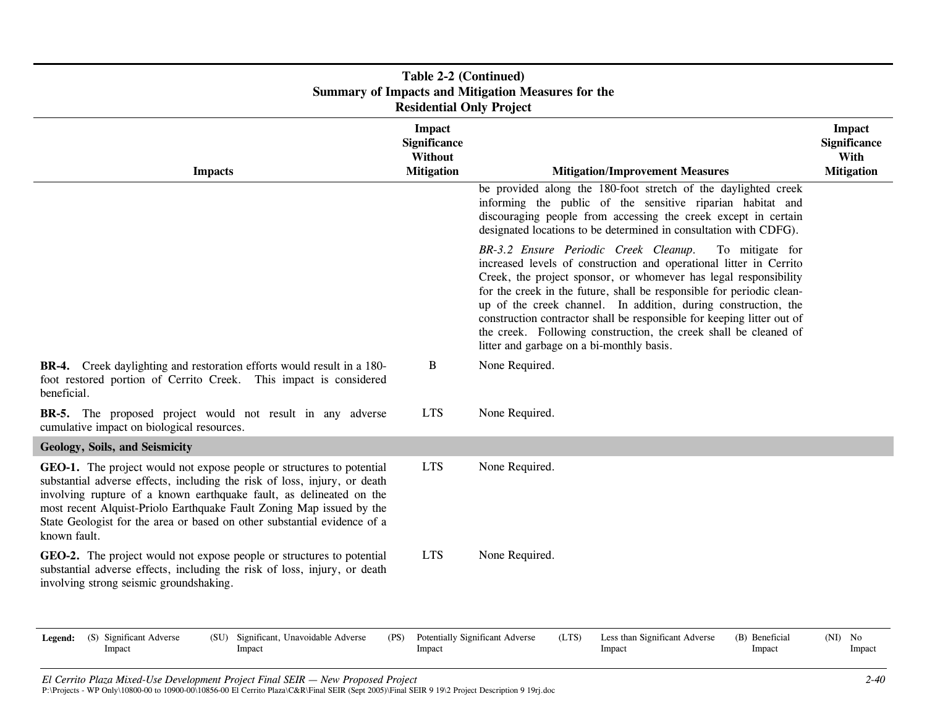| Table 2-2 (Continued)<br><b>Summary of Impacts and Mitigation Measures for the</b><br><b>Residential Only Project</b>                                                                                                                                                                                                                                                                         |                                                                      |                                                                                                                                                                                                                                                                                                                                                                                                                                                                                                                                          |           |                                                            |  |  |
|-----------------------------------------------------------------------------------------------------------------------------------------------------------------------------------------------------------------------------------------------------------------------------------------------------------------------------------------------------------------------------------------------|----------------------------------------------------------------------|------------------------------------------------------------------------------------------------------------------------------------------------------------------------------------------------------------------------------------------------------------------------------------------------------------------------------------------------------------------------------------------------------------------------------------------------------------------------------------------------------------------------------------------|-----------|------------------------------------------------------------|--|--|
| <b>Impacts</b>                                                                                                                                                                                                                                                                                                                                                                                | <b>Impact</b><br><b>Significance</b><br>Without<br><b>Mitigation</b> | <b>Mitigation/Improvement Measures</b>                                                                                                                                                                                                                                                                                                                                                                                                                                                                                                   |           | Impact<br><b>Significance</b><br>With<br><b>Mitigation</b> |  |  |
|                                                                                                                                                                                                                                                                                                                                                                                               |                                                                      | be provided along the 180-foot stretch of the daylighted creek<br>informing the public of the sensitive riparian habitat and<br>discouraging people from accessing the creek except in certain<br>designated locations to be determined in consultation with CDFG).                                                                                                                                                                                                                                                                      |           |                                                            |  |  |
|                                                                                                                                                                                                                                                                                                                                                                                               |                                                                      | BR-3.2 Ensure Periodic Creek Cleanup.<br>To mitigate for<br>increased levels of construction and operational litter in Cerrito<br>Creek, the project sponsor, or whomever has legal responsibility<br>for the creek in the future, shall be responsible for periodic clean-<br>up of the creek channel. In addition, during construction, the<br>construction contractor shall be responsible for keeping litter out of<br>the creek. Following construction, the creek shall be cleaned of<br>litter and garbage on a bi-monthly basis. |           |                                                            |  |  |
| <b>BR-4.</b> Creek daylighting and restoration efforts would result in a 180-<br>foot restored portion of Cerrito Creek. This impact is considered<br>beneficial.                                                                                                                                                                                                                             | B                                                                    | None Required.                                                                                                                                                                                                                                                                                                                                                                                                                                                                                                                           |           |                                                            |  |  |
| <b>BR-5.</b> The proposed project would not result in any adverse<br>cumulative impact on biological resources.                                                                                                                                                                                                                                                                               | <b>LTS</b>                                                           | None Required.                                                                                                                                                                                                                                                                                                                                                                                                                                                                                                                           |           |                                                            |  |  |
| Geology, Soils, and Seismicity                                                                                                                                                                                                                                                                                                                                                                |                                                                      |                                                                                                                                                                                                                                                                                                                                                                                                                                                                                                                                          |           |                                                            |  |  |
| GEO-1. The project would not expose people or structures to potential<br>substantial adverse effects, including the risk of loss, injury, or death<br>involving rupture of a known earthquake fault, as delineated on the<br>most recent Alquist-Priolo Earthquake Fault Zoning Map issued by the<br>State Geologist for the area or based on other substantial evidence of a<br>known fault. | <b>LTS</b>                                                           | None Required.                                                                                                                                                                                                                                                                                                                                                                                                                                                                                                                           |           |                                                            |  |  |
| GEO-2. The project would not expose people or structures to potential<br>substantial adverse effects, including the risk of loss, injury, or death<br>involving strong seismic groundshaking.                                                                                                                                                                                                 | <b>LTS</b>                                                           | None Required.                                                                                                                                                                                                                                                                                                                                                                                                                                                                                                                           |           |                                                            |  |  |
| (S) Significant Adverse<br>(SU) Significant, Unavoidable Adverse<br>Legend:<br>Impact<br>Impact                                                                                                                                                                                                                                                                                               | (PS)<br>Impact                                                       | Potentially Significant Adverse<br>(LTS)<br>Less than Significant Adverse<br>(B) Beneficial<br>Impact<br>Impact                                                                                                                                                                                                                                                                                                                                                                                                                          | $(NI)$ No | Impact                                                     |  |  |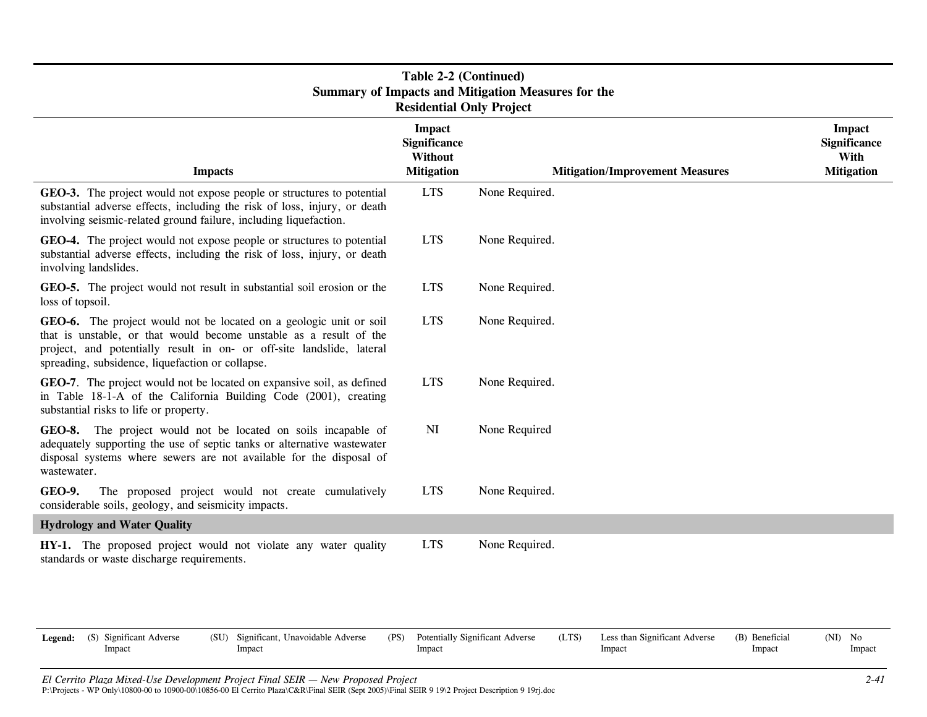| Table 2-2 (Continued)<br><b>Summary of Impacts and Mitigation Measures for the</b><br><b>Residential Only Project</b>                                                                                                                                                 |                                                                      |                                                                                                                 |                                                                   |  |  |  |  |
|-----------------------------------------------------------------------------------------------------------------------------------------------------------------------------------------------------------------------------------------------------------------------|----------------------------------------------------------------------|-----------------------------------------------------------------------------------------------------------------|-------------------------------------------------------------------|--|--|--|--|
| <b>Impacts</b>                                                                                                                                                                                                                                                        | <b>Impact</b><br><b>Significance</b><br>Without<br><b>Mitigation</b> | <b>Mitigation/Improvement Measures</b>                                                                          | <b>Impact</b><br><b>Significance</b><br>With<br><b>Mitigation</b> |  |  |  |  |
| GEO-3. The project would not expose people or structures to potential<br>substantial adverse effects, including the risk of loss, injury, or death<br>involving seismic-related ground failure, including liquefaction.                                               | <b>LTS</b>                                                           | None Required.                                                                                                  |                                                                   |  |  |  |  |
| GEO-4. The project would not expose people or structures to potential<br>substantial adverse effects, including the risk of loss, injury, or death<br>involving landslides.                                                                                           | <b>LTS</b>                                                           | None Required.                                                                                                  |                                                                   |  |  |  |  |
| GEO-5. The project would not result in substantial soil erosion or the<br>loss of topsoil.                                                                                                                                                                            | <b>LTS</b>                                                           | None Required.                                                                                                  |                                                                   |  |  |  |  |
| GEO-6. The project would not be located on a geologic unit or soil<br>that is unstable, or that would become unstable as a result of the<br>project, and potentially result in on- or off-site landslide, lateral<br>spreading, subsidence, liquefaction or collapse. | <b>LTS</b>                                                           | None Required.                                                                                                  |                                                                   |  |  |  |  |
| GEO-7. The project would not be located on expansive soil, as defined<br>in Table 18-1-A of the California Building Code (2001), creating<br>substantial risks to life or property.                                                                                   | <b>LTS</b>                                                           | None Required.                                                                                                  |                                                                   |  |  |  |  |
| The project would not be located on soils incapable of<br>GEO-8.<br>adequately supporting the use of septic tanks or alternative wastewater<br>disposal systems where sewers are not available for the disposal of<br>wastewater.                                     | NI                                                                   | None Required                                                                                                   |                                                                   |  |  |  |  |
| GEO-9.<br>The proposed project would not create cumulatively<br>considerable soils, geology, and seismicity impacts.                                                                                                                                                  | <b>LTS</b>                                                           | None Required.                                                                                                  |                                                                   |  |  |  |  |
| <b>Hydrology and Water Quality</b>                                                                                                                                                                                                                                    |                                                                      |                                                                                                                 |                                                                   |  |  |  |  |
| HY-1. The proposed project would not violate any water quality<br>standards or waste discharge requirements.                                                                                                                                                          | <b>LTS</b>                                                           | None Required.                                                                                                  |                                                                   |  |  |  |  |
| (S) Significant Adverse<br>(SU) Significant, Unavoidable Adverse<br>Legend:<br>Impact<br>Impact                                                                                                                                                                       | (PS)<br>Impact                                                       | Potentially Significant Adverse<br>(LTS)<br>Less than Significant Adverse<br>(B) Beneficial<br>Impact<br>Impact | $(NI)$ No<br>Impact                                               |  |  |  |  |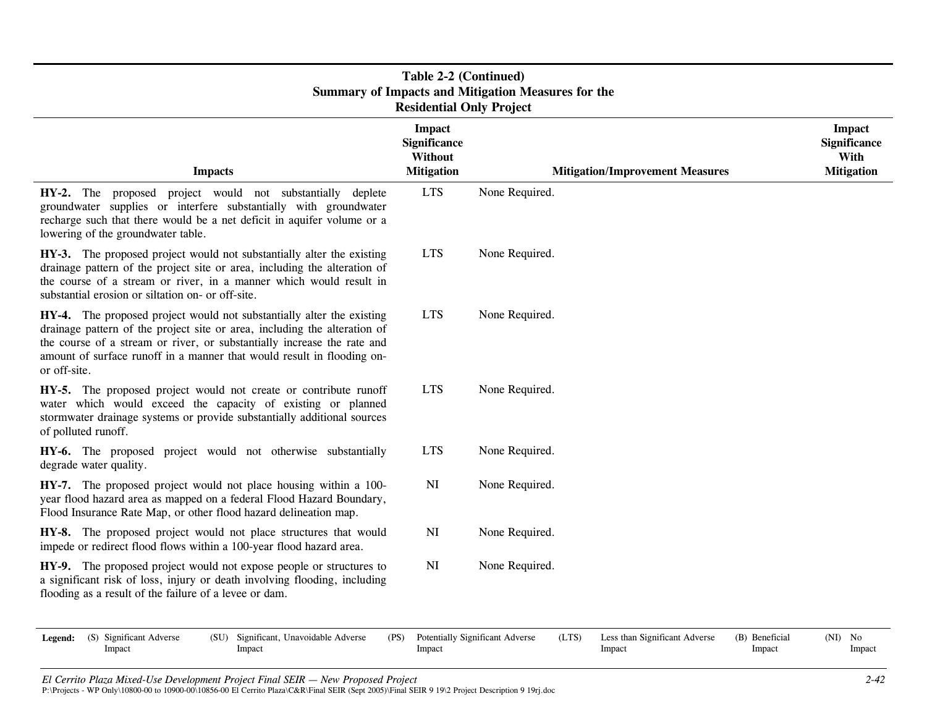| <b>Table 2-2 (Continued)</b><br><b>Summary of Impacts and Mitigation Measures for the</b><br><b>Residential Only Project</b>                                                                                                                                                                                            |                                                               |                                                                                                                 |                                                            |  |  |  |  |
|-------------------------------------------------------------------------------------------------------------------------------------------------------------------------------------------------------------------------------------------------------------------------------------------------------------------------|---------------------------------------------------------------|-----------------------------------------------------------------------------------------------------------------|------------------------------------------------------------|--|--|--|--|
| <b>Impacts</b>                                                                                                                                                                                                                                                                                                          | <b>Impact</b><br>Significance<br>Without<br><b>Mitigation</b> | <b>Mitigation/Improvement Measures</b>                                                                          | <b>Impact</b><br>Significance<br>With<br><b>Mitigation</b> |  |  |  |  |
| HY-2. The proposed project would not substantially deplete<br>groundwater supplies or interfere substantially with groundwater<br>recharge such that there would be a net deficit in aquifer volume or a<br>lowering of the groundwater table.                                                                          | <b>LTS</b>                                                    | None Required.                                                                                                  |                                                            |  |  |  |  |
| HY-3. The proposed project would not substantially alter the existing<br>drainage pattern of the project site or area, including the alteration of<br>the course of a stream or river, in a manner which would result in<br>substantial erosion or siltation on- or off-site.                                           | <b>LTS</b>                                                    | None Required.                                                                                                  |                                                            |  |  |  |  |
| HY-4. The proposed project would not substantially alter the existing<br>drainage pattern of the project site or area, including the alteration of<br>the course of a stream or river, or substantially increase the rate and<br>amount of surface runoff in a manner that would result in flooding on-<br>or off-site. | <b>LTS</b>                                                    | None Required.                                                                                                  |                                                            |  |  |  |  |
| HY-5. The proposed project would not create or contribute runoff<br>water which would exceed the capacity of existing or planned<br>stormwater drainage systems or provide substantially additional sources<br>of polluted runoff.                                                                                      | <b>LTS</b>                                                    | None Required.                                                                                                  |                                                            |  |  |  |  |
| HY-6. The proposed project would not otherwise substantially<br>degrade water quality.                                                                                                                                                                                                                                  | <b>LTS</b>                                                    | None Required.                                                                                                  |                                                            |  |  |  |  |
| HY-7. The proposed project would not place housing within a 100-<br>year flood hazard area as mapped on a federal Flood Hazard Boundary,<br>Flood Insurance Rate Map, or other flood hazard delineation map.                                                                                                            | NI                                                            | None Required.                                                                                                  |                                                            |  |  |  |  |
| HY-8. The proposed project would not place structures that would<br>impede or redirect flood flows within a 100-year flood hazard area.                                                                                                                                                                                 | NI                                                            | None Required.                                                                                                  |                                                            |  |  |  |  |
| HY-9. The proposed project would not expose people or structures to<br>a significant risk of loss, injury or death involving flooding, including<br>flooding as a result of the failure of a levee or dam.                                                                                                              | NI                                                            | None Required.                                                                                                  |                                                            |  |  |  |  |
| (S) Significant Adverse<br>(SU) Significant, Unavoidable Adverse<br>Legend:<br>Impact<br>Impact                                                                                                                                                                                                                         | (PS)<br>Impact                                                | Potentially Significant Adverse<br>(LTS)<br>Less than Significant Adverse<br>(B) Beneficial<br>Impact<br>Impact | $(NI)$ No<br>Impact                                        |  |  |  |  |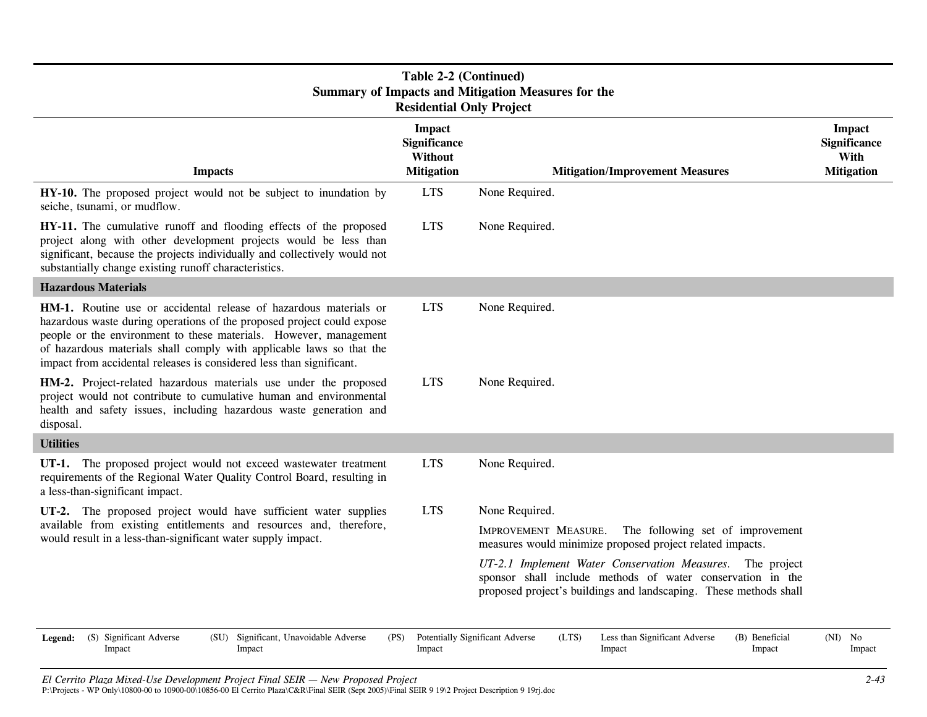| Table 2-2 (Continued)<br><b>Summary of Impacts and Mitigation Measures for the</b><br><b>Residential Only Project</b>                                                                                                                                                                                                                                            |                                                                      |                                                                                                                                                                                              |                                                            |  |  |  |
|------------------------------------------------------------------------------------------------------------------------------------------------------------------------------------------------------------------------------------------------------------------------------------------------------------------------------------------------------------------|----------------------------------------------------------------------|----------------------------------------------------------------------------------------------------------------------------------------------------------------------------------------------|------------------------------------------------------------|--|--|--|
| <b>Impacts</b>                                                                                                                                                                                                                                                                                                                                                   | <b>Impact</b><br>Significance<br><b>Without</b><br><b>Mitigation</b> | <b>Mitigation/Improvement Measures</b>                                                                                                                                                       | <b>Impact</b><br>Significance<br>With<br><b>Mitigation</b> |  |  |  |
| HY-10. The proposed project would not be subject to inundation by<br>seiche, tsunami, or mudflow.                                                                                                                                                                                                                                                                | <b>LTS</b>                                                           | None Required.                                                                                                                                                                               |                                                            |  |  |  |
| HY-11. The cumulative runoff and flooding effects of the proposed<br>project along with other development projects would be less than<br>significant, because the projects individually and collectively would not<br>substantially change existing runoff characteristics.                                                                                      | <b>LTS</b>                                                           | None Required.                                                                                                                                                                               |                                                            |  |  |  |
| <b>Hazardous Materials</b>                                                                                                                                                                                                                                                                                                                                       |                                                                      |                                                                                                                                                                                              |                                                            |  |  |  |
| HM-1. Routine use or accidental release of hazardous materials or<br>hazardous waste during operations of the proposed project could expose<br>people or the environment to these materials. However, management<br>of hazardous materials shall comply with applicable laws so that the<br>impact from accidental releases is considered less than significant. | <b>LTS</b>                                                           | None Required.                                                                                                                                                                               |                                                            |  |  |  |
| HM-2. Project-related hazardous materials use under the proposed<br>project would not contribute to cumulative human and environmental<br>health and safety issues, including hazardous waste generation and<br>disposal.                                                                                                                                        | <b>LTS</b>                                                           | None Required.                                                                                                                                                                               |                                                            |  |  |  |
| <b>Utilities</b>                                                                                                                                                                                                                                                                                                                                                 |                                                                      |                                                                                                                                                                                              |                                                            |  |  |  |
| UT-1. The proposed project would not exceed wastewater treatment<br>requirements of the Regional Water Quality Control Board, resulting in<br>a less-than-significant impact.                                                                                                                                                                                    | <b>LTS</b>                                                           | None Required.                                                                                                                                                                               |                                                            |  |  |  |
| UT-2. The proposed project would have sufficient water supplies                                                                                                                                                                                                                                                                                                  | <b>LTS</b>                                                           | None Required.                                                                                                                                                                               |                                                            |  |  |  |
| available from existing entitlements and resources and, therefore,<br>would result in a less-than-significant water supply impact.                                                                                                                                                                                                                               |                                                                      | IMPROVEMENT MEASURE.<br>The following set of improvement<br>measures would minimize proposed project related impacts.                                                                        |                                                            |  |  |  |
|                                                                                                                                                                                                                                                                                                                                                                  |                                                                      | UT-2.1 Implement Water Conservation Measures. The project<br>sponsor shall include methods of water conservation in the<br>proposed project's buildings and landscaping. These methods shall |                                                            |  |  |  |
| (S) Significant Adverse<br>Significant, Unavoidable Adverse<br>(PS)<br>(SU)<br>Legend:<br>Impact<br>Impact                                                                                                                                                                                                                                                       | Impact                                                               | (B) Beneficial<br>Potentially Significant Adverse<br>(LTS)<br>Less than Significant Adverse<br>Impact<br>Impact                                                                              | $(NI)$ No<br>Impact                                        |  |  |  |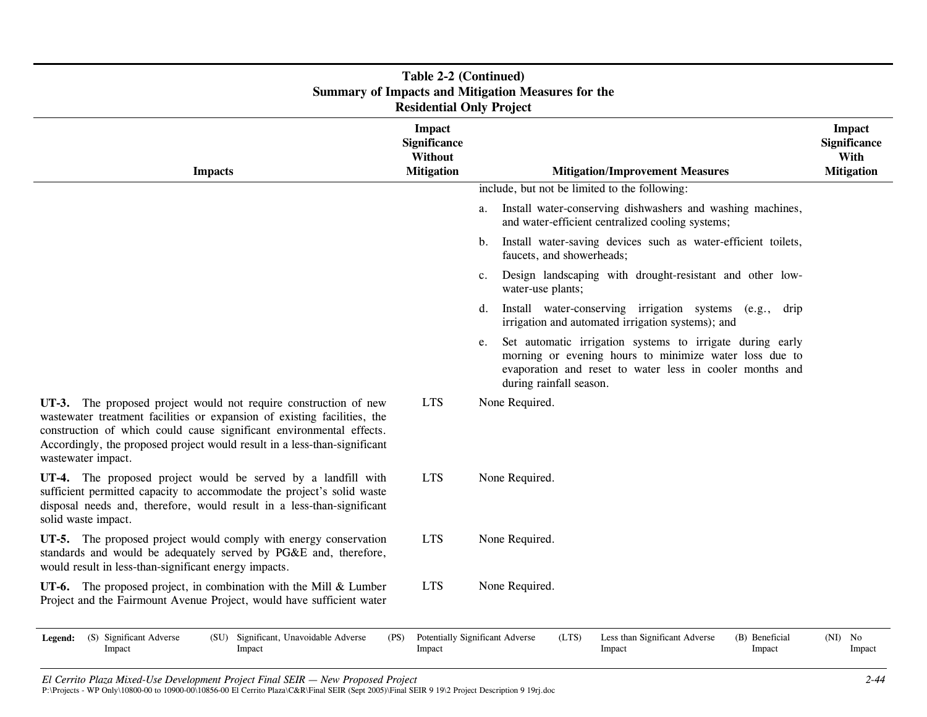| <b>Table 2-2 (Continued)</b><br><b>Summary of Impacts and Mitigation Measures for the</b><br><b>Residential Only Project</b>                                                                                                                                                                                            |                                                                      |                                                                                                                                                                                                                  |                                                                   |  |  |  |
|-------------------------------------------------------------------------------------------------------------------------------------------------------------------------------------------------------------------------------------------------------------------------------------------------------------------------|----------------------------------------------------------------------|------------------------------------------------------------------------------------------------------------------------------------------------------------------------------------------------------------------|-------------------------------------------------------------------|--|--|--|
| <b>Impacts</b>                                                                                                                                                                                                                                                                                                          | <b>Impact</b><br><b>Significance</b><br>Without<br><b>Mitigation</b> | <b>Mitigation/Improvement Measures</b>                                                                                                                                                                           | <b>Impact</b><br><b>Significance</b><br>With<br><b>Mitigation</b> |  |  |  |
|                                                                                                                                                                                                                                                                                                                         |                                                                      | include, but not be limited to the following:                                                                                                                                                                    |                                                                   |  |  |  |
|                                                                                                                                                                                                                                                                                                                         |                                                                      | Install water-conserving dishwashers and washing machines,<br>a.<br>and water-efficient centralized cooling systems;                                                                                             |                                                                   |  |  |  |
|                                                                                                                                                                                                                                                                                                                         |                                                                      | Install water-saving devices such as water-efficient toilets,<br>$b_{\cdot}$<br>faucets, and showerheads;                                                                                                        |                                                                   |  |  |  |
|                                                                                                                                                                                                                                                                                                                         |                                                                      | Design landscaping with drought-resistant and other low-<br>$c_{\cdot}$<br>water-use plants;                                                                                                                     |                                                                   |  |  |  |
|                                                                                                                                                                                                                                                                                                                         |                                                                      | Install water-conserving irrigation systems (e.g.,<br>d.<br>drip<br>irrigation and automated irrigation systems); and                                                                                            |                                                                   |  |  |  |
|                                                                                                                                                                                                                                                                                                                         |                                                                      | Set automatic irrigation systems to irrigate during early<br>e.<br>morning or evening hours to minimize water loss due to<br>evaporation and reset to water less in cooler months and<br>during rainfall season. |                                                                   |  |  |  |
| UT-3. The proposed project would not require construction of new<br>wastewater treatment facilities or expansion of existing facilities, the<br>construction of which could cause significant environmental effects.<br>Accordingly, the proposed project would result in a less-than-significant<br>wastewater impact. | <b>LTS</b>                                                           | None Required.                                                                                                                                                                                                   |                                                                   |  |  |  |
| UT-4. The proposed project would be served by a landfill with<br>sufficient permitted capacity to accommodate the project's solid waste<br>disposal needs and, therefore, would result in a less-than-significant<br>solid waste impact.                                                                                | <b>LTS</b>                                                           | None Required.                                                                                                                                                                                                   |                                                                   |  |  |  |
| UT-5. The proposed project would comply with energy conservation<br>standards and would be adequately served by PG&E and, therefore,<br>would result in less-than-significant energy impacts.                                                                                                                           | <b>LTS</b>                                                           | None Required.                                                                                                                                                                                                   |                                                                   |  |  |  |
| UT-6. The proposed project, in combination with the Mill $&$ Lumber<br>Project and the Fairmount Avenue Project, would have sufficient water                                                                                                                                                                            | <b>LTS</b>                                                           | None Required.                                                                                                                                                                                                   |                                                                   |  |  |  |
| (S) Significant Adverse<br>(SU) Significant, Unavoidable Adverse<br>Legend:<br>Impact<br>Impact                                                                                                                                                                                                                         | (PS)<br>Impact                                                       | Potentially Significant Adverse<br>(LTS)<br>Less than Significant Adverse<br>(B) Beneficial<br>Impact<br>Impact                                                                                                  | $(NI)$ No<br>Impact                                               |  |  |  |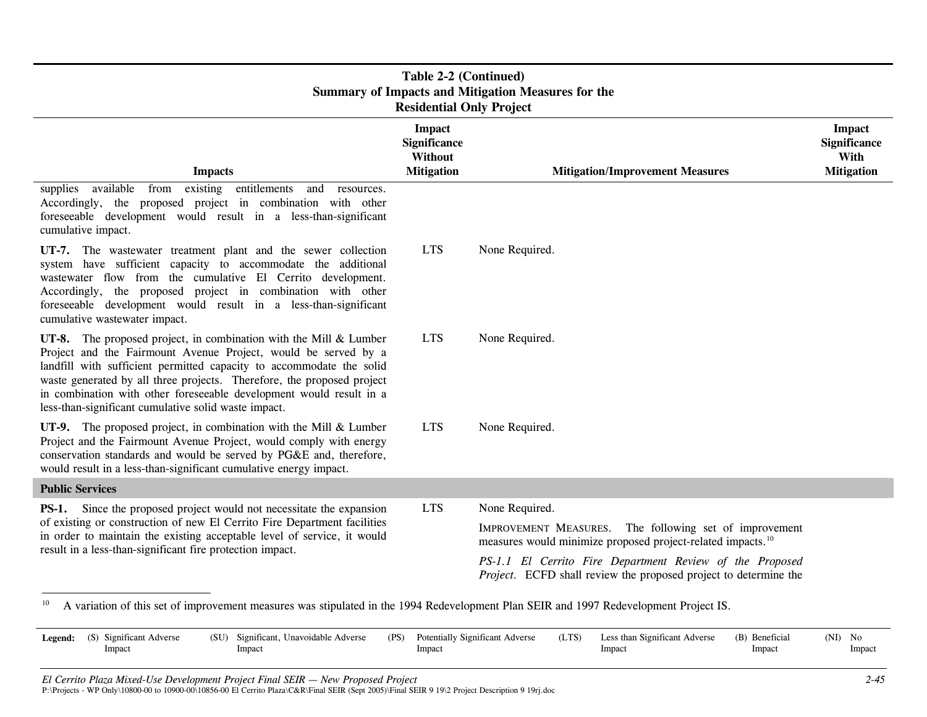| Table 2-2 (Continued)<br><b>Summary of Impacts and Mitigation Measures for the</b><br><b>Residential Only Project</b>                                                                                                                                                                                                                                                                                                  |                                                                             |                                                                                                                                                                                                                                                                                     |                                                                   |  |  |  |
|------------------------------------------------------------------------------------------------------------------------------------------------------------------------------------------------------------------------------------------------------------------------------------------------------------------------------------------------------------------------------------------------------------------------|-----------------------------------------------------------------------------|-------------------------------------------------------------------------------------------------------------------------------------------------------------------------------------------------------------------------------------------------------------------------------------|-------------------------------------------------------------------|--|--|--|
| <b>Impacts</b>                                                                                                                                                                                                                                                                                                                                                                                                         | <b>Impact</b><br><b>Significance</b><br><b>Without</b><br><b>Mitigation</b> | <b>Mitigation/Improvement Measures</b>                                                                                                                                                                                                                                              | <b>Impact</b><br><b>Significance</b><br>With<br><b>Mitigation</b> |  |  |  |
| available<br>existing entitlements<br>from<br>supplies<br>and<br>resources.<br>Accordingly, the proposed project in combination with other<br>foreseeable development would result in a less-than-significant<br>cumulative impact.                                                                                                                                                                                    |                                                                             |                                                                                                                                                                                                                                                                                     |                                                                   |  |  |  |
| UT-7. The wastewater treatment plant and the sewer collection<br>system have sufficient capacity to accommodate the additional<br>wastewater flow from the cumulative El Cerrito development.<br>Accordingly, the proposed project in combination with other<br>foreseeable development would result in a less-than-significant<br>cumulative wastewater impact.                                                       | <b>LTS</b>                                                                  | None Required.                                                                                                                                                                                                                                                                      |                                                                   |  |  |  |
| UT-8. The proposed project, in combination with the Mill $&$ Lumber<br>Project and the Fairmount Avenue Project, would be served by a<br>landfill with sufficient permitted capacity to accommodate the solid<br>waste generated by all three projects. Therefore, the proposed project<br>in combination with other foreseeable development would result in a<br>less-than-significant cumulative solid waste impact. | <b>LTS</b>                                                                  | None Required.                                                                                                                                                                                                                                                                      |                                                                   |  |  |  |
| UT-9. The proposed project, in combination with the Mill $&$ Lumber<br>Project and the Fairmount Avenue Project, would comply with energy<br>conservation standards and would be served by PG&E and, therefore,<br>would result in a less-than-significant cumulative energy impact.                                                                                                                                   | <b>LTS</b>                                                                  | None Required.                                                                                                                                                                                                                                                                      |                                                                   |  |  |  |
| <b>Public Services</b>                                                                                                                                                                                                                                                                                                                                                                                                 |                                                                             |                                                                                                                                                                                                                                                                                     |                                                                   |  |  |  |
| <b>PS-1.</b> Since the proposed project would not necessitate the expansion<br>of existing or construction of new El Cerrito Fire Department facilities<br>in order to maintain the existing acceptable level of service, it would<br>result in a less-than-significant fire protection impact.                                                                                                                        | <b>LTS</b>                                                                  | None Required.<br>IMPROVEMENT MEASURES. The following set of improvement<br>measures would minimize proposed project-related impacts. <sup>10</sup><br>PS-1.1 El Cerrito Fire Department Review of the Proposed<br>Project. ECFD shall review the proposed project to determine the |                                                                   |  |  |  |

<sup>10</sup> A variation of this set of improvement measures was stipulated in the 1994 Redevelopment Plan SEIR and 1997 Redevelopment Project IS.

| <b>Legend:</b> (S) Significant Adverse<br>Impact | (SU) Significant, Unavoidable Adverse<br>Impact | (PS) Potentially Significant Adverse<br>Impact | Less than Significant Adverse<br>(LTS)<br>Impact | (B) Beneficial<br>Impact | (NI)<br>No<br>Impact |
|--------------------------------------------------|-------------------------------------------------|------------------------------------------------|--------------------------------------------------|--------------------------|----------------------|
|                                                  |                                                 |                                                |                                                  |                          |                      |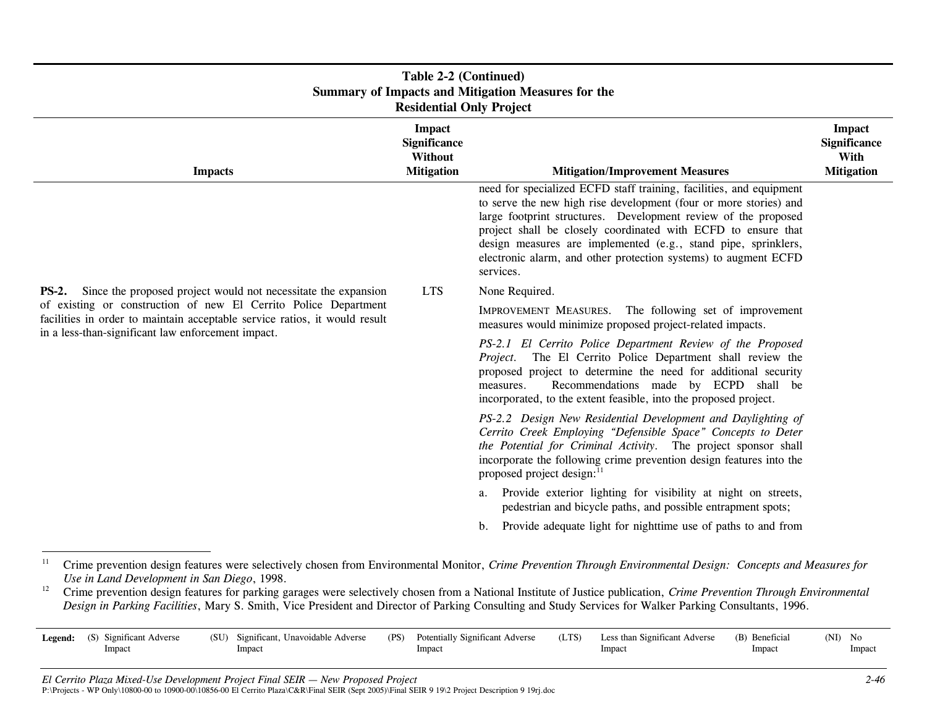| Table 2-2 (Continued)<br><b>Summary of Impacts and Mitigation Measures for the</b><br><b>Residential Only Project</b>                                                                               |                                                                      |                                                                                                                                                                                                                                                                                                                                                                                                                               |                                                            |  |  |  |  |
|-----------------------------------------------------------------------------------------------------------------------------------------------------------------------------------------------------|----------------------------------------------------------------------|-------------------------------------------------------------------------------------------------------------------------------------------------------------------------------------------------------------------------------------------------------------------------------------------------------------------------------------------------------------------------------------------------------------------------------|------------------------------------------------------------|--|--|--|--|
| <b>Impacts</b>                                                                                                                                                                                      | <b>Impact</b><br><b>Significance</b><br>Without<br><b>Mitigation</b> | <b>Mitigation/Improvement Measures</b>                                                                                                                                                                                                                                                                                                                                                                                        | <b>Impact</b><br>Significance<br>With<br><b>Mitigation</b> |  |  |  |  |
|                                                                                                                                                                                                     |                                                                      | need for specialized ECFD staff training, facilities, and equipment<br>to serve the new high rise development (four or more stories) and<br>large footprint structures. Development review of the proposed<br>project shall be closely coordinated with ECFD to ensure that<br>design measures are implemented (e.g., stand pipe, sprinklers,<br>electronic alarm, and other protection systems) to augment ECFD<br>services. |                                                            |  |  |  |  |
| Since the proposed project would not necessitate the expansion<br><b>PS-2.</b>                                                                                                                      | <b>LTS</b>                                                           | None Required.                                                                                                                                                                                                                                                                                                                                                                                                                |                                                            |  |  |  |  |
| of existing or construction of new El Cerrito Police Department<br>facilities in order to maintain acceptable service ratios, it would result<br>in a less-than-significant law enforcement impact. |                                                                      | The following set of improvement<br>IMPROVEMENT MEASURES.<br>measures would minimize proposed project-related impacts.                                                                                                                                                                                                                                                                                                        |                                                            |  |  |  |  |
|                                                                                                                                                                                                     |                                                                      | PS-2.1 El Cerrito Police Department Review of the Proposed<br>Project. The El Cerrito Police Department shall review the<br>proposed project to determine the need for additional security<br>Recommendations made by ECPD shall be<br>measures.<br>incorporated, to the extent feasible, into the proposed project.                                                                                                          |                                                            |  |  |  |  |
|                                                                                                                                                                                                     |                                                                      | PS-2.2 Design New Residential Development and Daylighting of<br>Cerrito Creek Employing "Defensible Space" Concepts to Deter<br>the Potential for Criminal Activity. The project sponsor shall<br>incorporate the following crime prevention design features into the<br>proposed project design: <sup>11</sup>                                                                                                               |                                                            |  |  |  |  |
|                                                                                                                                                                                                     |                                                                      | a. Provide exterior lighting for visibility at night on streets,<br>pedestrian and bicycle paths, and possible entrapment spots;                                                                                                                                                                                                                                                                                              |                                                            |  |  |  |  |
|                                                                                                                                                                                                     |                                                                      | Provide adequate light for nighttime use of paths to and from<br>b <sub>1</sub>                                                                                                                                                                                                                                                                                                                                               |                                                            |  |  |  |  |

<sup>&</sup>lt;sup>11</sup> Crime prevention design features were selectively chosen from Environmental Monitor, *Crime Prevention Through Environmental Design: Concepts and Measures for Use in Land Development in San Diego*, 1998.

<sup>&</sup>lt;sup>12</sup> Crime prevention design features for parking garages were selectively chosen from a National Institute of Justice publication, *Crime Prevention Through Environmental Design in Parking Facilities*, Mary S. Smith, Vice President and Director of Parking Consulting and Study Services for Walker Parking Consultants, 1996.

| <b>Legend:</b> (S) Significant Adverse | (SU) Significant, Unavoidable Adverse | (PS) Potentially Significant Adverse | Less than Significant Adverse<br>(LTS) | (B) Beneficial | (NI) No |
|----------------------------------------|---------------------------------------|--------------------------------------|----------------------------------------|----------------|---------|
| Impact                                 | Impact                                | Impact                               | Impact                                 | Impact         | Impact  |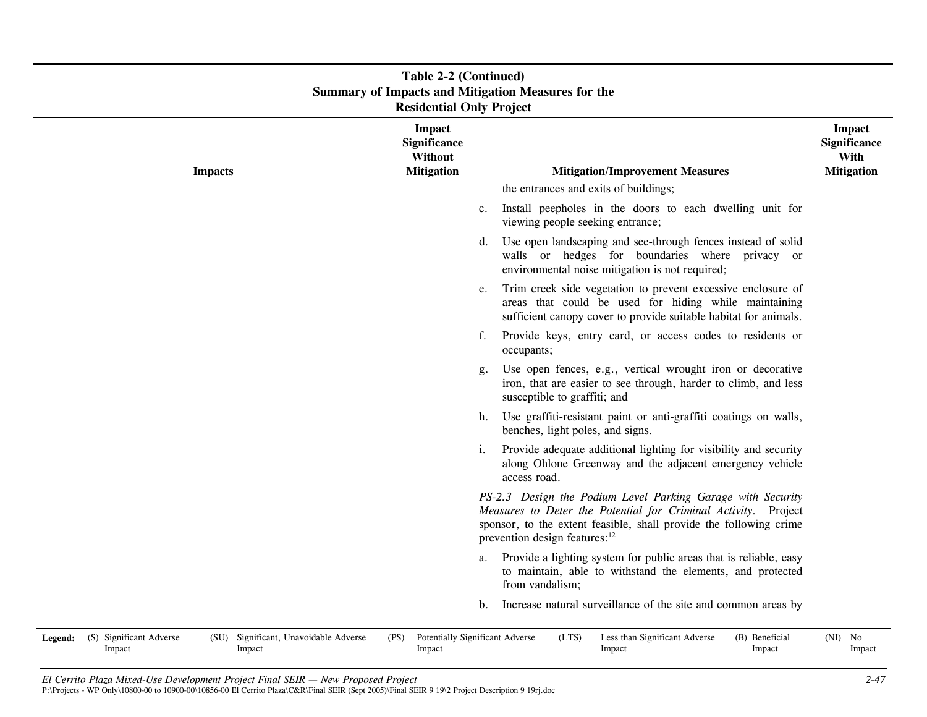|         | <b>Table 2-2 (Continued)</b><br><b>Summary of Impacts and Mitigation Measures for the</b><br><b>Residential Only Project</b> |                |                                                 |      |                                                                      |             |                                                                                                                                                                                                                                                  |  |                                                            |
|---------|------------------------------------------------------------------------------------------------------------------------------|----------------|-------------------------------------------------|------|----------------------------------------------------------------------|-------------|--------------------------------------------------------------------------------------------------------------------------------------------------------------------------------------------------------------------------------------------------|--|------------------------------------------------------------|
|         |                                                                                                                              | <b>Impacts</b> |                                                 |      | <b>Impact</b><br><b>Significance</b><br>Without<br><b>Mitigation</b> |             | <b>Mitigation/Improvement Measures</b>                                                                                                                                                                                                           |  | Impact<br><b>Significance</b><br>With<br><b>Mitigation</b> |
|         |                                                                                                                              |                |                                                 |      |                                                                      |             | the entrances and exits of buildings;                                                                                                                                                                                                            |  |                                                            |
|         |                                                                                                                              |                |                                                 |      |                                                                      | $c_{\cdot}$ | Install peepholes in the doors to each dwelling unit for<br>viewing people seeking entrance;                                                                                                                                                     |  |                                                            |
|         |                                                                                                                              |                |                                                 |      |                                                                      | d.          | Use open landscaping and see-through fences instead of solid<br>walls or hedges for boundaries where privacy or<br>environmental noise mitigation is not required;                                                                               |  |                                                            |
|         |                                                                                                                              |                |                                                 |      |                                                                      | e.          | Trim creek side vegetation to prevent excessive enclosure of<br>areas that could be used for hiding while maintaining<br>sufficient canopy cover to provide suitable habitat for animals.                                                        |  |                                                            |
|         |                                                                                                                              |                |                                                 |      |                                                                      | f.          | Provide keys, entry card, or access codes to residents or<br>occupants;                                                                                                                                                                          |  |                                                            |
|         |                                                                                                                              |                |                                                 |      |                                                                      | g.          | Use open fences, e.g., vertical wrought iron or decorative<br>iron, that are easier to see through, harder to climb, and less<br>susceptible to graffiti; and                                                                                    |  |                                                            |
|         |                                                                                                                              |                |                                                 |      |                                                                      | h.          | Use graffiti-resistant paint or anti-graffiti coatings on walls,<br>benches, light poles, and signs.                                                                                                                                             |  |                                                            |
|         |                                                                                                                              |                |                                                 |      |                                                                      | i.          | Provide adequate additional lighting for visibility and security<br>along Ohlone Greenway and the adjacent emergency vehicle<br>access road.                                                                                                     |  |                                                            |
|         |                                                                                                                              |                |                                                 |      |                                                                      |             | PS-2.3 Design the Podium Level Parking Garage with Security<br>Measures to Deter the Potential for Criminal Activity. Project<br>sponsor, to the extent feasible, shall provide the following crime<br>prevention design features: <sup>12</sup> |  |                                                            |
|         |                                                                                                                              |                |                                                 |      |                                                                      | a.          | Provide a lighting system for public areas that is reliable, easy<br>to maintain, able to withstand the elements, and protected<br>from vandalism;                                                                                               |  |                                                            |
|         |                                                                                                                              |                |                                                 |      |                                                                      | b.          | Increase natural surveillance of the site and common areas by                                                                                                                                                                                    |  |                                                            |
| Legend: | (S) Significant Adverse<br>Impact                                                                                            |                | (SU) Significant, Unavoidable Adverse<br>Impact | (PS) | Potentially Significant Adverse<br>Impact                            |             | (LTS)<br>Less than Significant Adverse<br>(B) Beneficial<br>Impact<br>Impact                                                                                                                                                                     |  | $(NI)$ No<br>Impact                                        |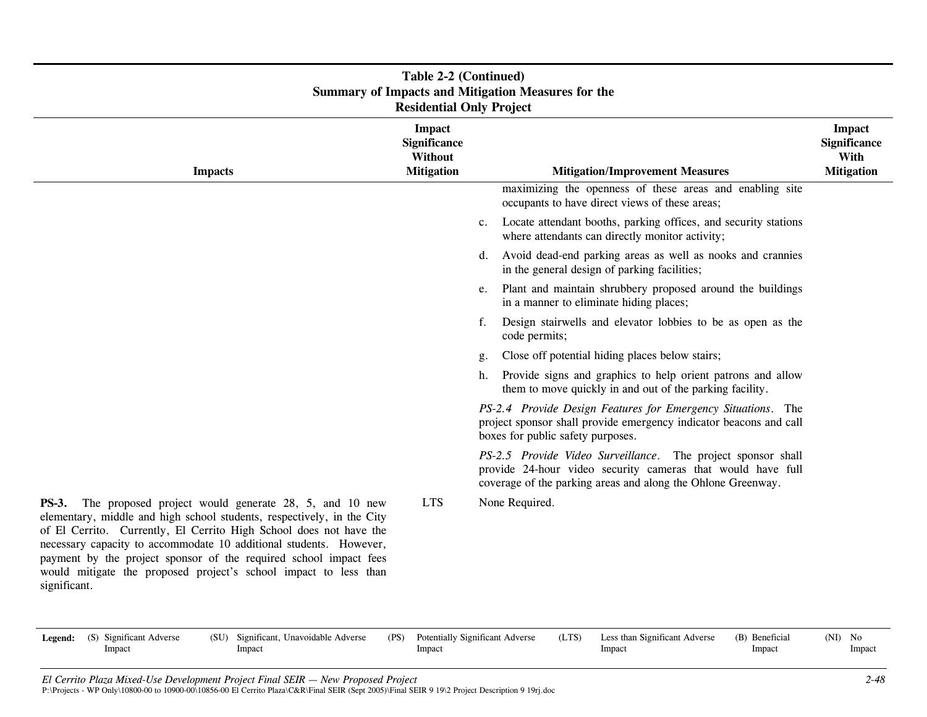| <b>Summary of Impacts and Mitigation Measures for the</b><br><b>Residential Only Project</b>                                                                                                                                                                                                                                                                                                                                                         |                                                                      |             |                                                                                                                                                                                             |                                                                   |  |  |  |  |
|------------------------------------------------------------------------------------------------------------------------------------------------------------------------------------------------------------------------------------------------------------------------------------------------------------------------------------------------------------------------------------------------------------------------------------------------------|----------------------------------------------------------------------|-------------|---------------------------------------------------------------------------------------------------------------------------------------------------------------------------------------------|-------------------------------------------------------------------|--|--|--|--|
| <b>Impacts</b>                                                                                                                                                                                                                                                                                                                                                                                                                                       | <b>Impact</b><br><b>Significance</b><br>Without<br><b>Mitigation</b> |             | <b>Mitigation/Improvement Measures</b>                                                                                                                                                      | <b>Impact</b><br><b>Significance</b><br>With<br><b>Mitigation</b> |  |  |  |  |
|                                                                                                                                                                                                                                                                                                                                                                                                                                                      |                                                                      |             | maximizing the openness of these areas and enabling site<br>occupants to have direct views of these areas;                                                                                  |                                                                   |  |  |  |  |
|                                                                                                                                                                                                                                                                                                                                                                                                                                                      |                                                                      | $c_{\cdot}$ | Locate attendant booths, parking offices, and security stations<br>where attendants can directly monitor activity;                                                                          |                                                                   |  |  |  |  |
|                                                                                                                                                                                                                                                                                                                                                                                                                                                      |                                                                      | d.          | Avoid dead-end parking areas as well as nooks and crannies<br>in the general design of parking facilities;                                                                                  |                                                                   |  |  |  |  |
|                                                                                                                                                                                                                                                                                                                                                                                                                                                      |                                                                      | e.          | Plant and maintain shrubbery proposed around the buildings<br>in a manner to eliminate hiding places;                                                                                       |                                                                   |  |  |  |  |
|                                                                                                                                                                                                                                                                                                                                                                                                                                                      |                                                                      | f.          | Design stairwells and elevator lobbies to be as open as the<br>code permits;                                                                                                                |                                                                   |  |  |  |  |
|                                                                                                                                                                                                                                                                                                                                                                                                                                                      |                                                                      | g.          | Close off potential hiding places below stairs;                                                                                                                                             |                                                                   |  |  |  |  |
|                                                                                                                                                                                                                                                                                                                                                                                                                                                      |                                                                      | h.          | Provide signs and graphics to help orient patrons and allow<br>them to move quickly in and out of the parking facility.                                                                     |                                                                   |  |  |  |  |
|                                                                                                                                                                                                                                                                                                                                                                                                                                                      |                                                                      |             | PS-2.4 Provide Design Features for Emergency Situations. The<br>project sponsor shall provide emergency indicator beacons and call<br>boxes for public safety purposes.                     |                                                                   |  |  |  |  |
|                                                                                                                                                                                                                                                                                                                                                                                                                                                      |                                                                      |             | PS-2.5 Provide Video Surveillance. The project sponsor shall<br>provide 24-hour video security cameras that would have full<br>coverage of the parking areas and along the Ohlone Greenway. |                                                                   |  |  |  |  |
| The proposed project would generate 28, 5, and 10 new<br><b>PS-3.</b><br>elementary, middle and high school students, respectively, in the City<br>of El Cerrito. Currently, El Cerrito High School does not have the<br>necessary capacity to accommodate 10 additional students. However,<br>payment by the project sponsor of the required school impact fees<br>would mitigate the proposed project's school impact to less than<br>significant. | <b>LTS</b>                                                           |             | None Required.                                                                                                                                                                              |                                                                   |  |  |  |  |

# **Table 2-2 (Continued)**

| <b>Legend:</b> (S) Significant Adverse | (PS)<br>Significant, Unavoidable Adverse<br>(SU) |  | Potentially Significant Adverse | (LTS) | Less than Significant Adverse | (B) Beneficial | $(NI)$ No |
|----------------------------------------|--------------------------------------------------|--|---------------------------------|-------|-------------------------------|----------------|-----------|
| Impact                                 | Impact                                           |  | Impact                          |       | Impact                        | Impact         | Impact    |